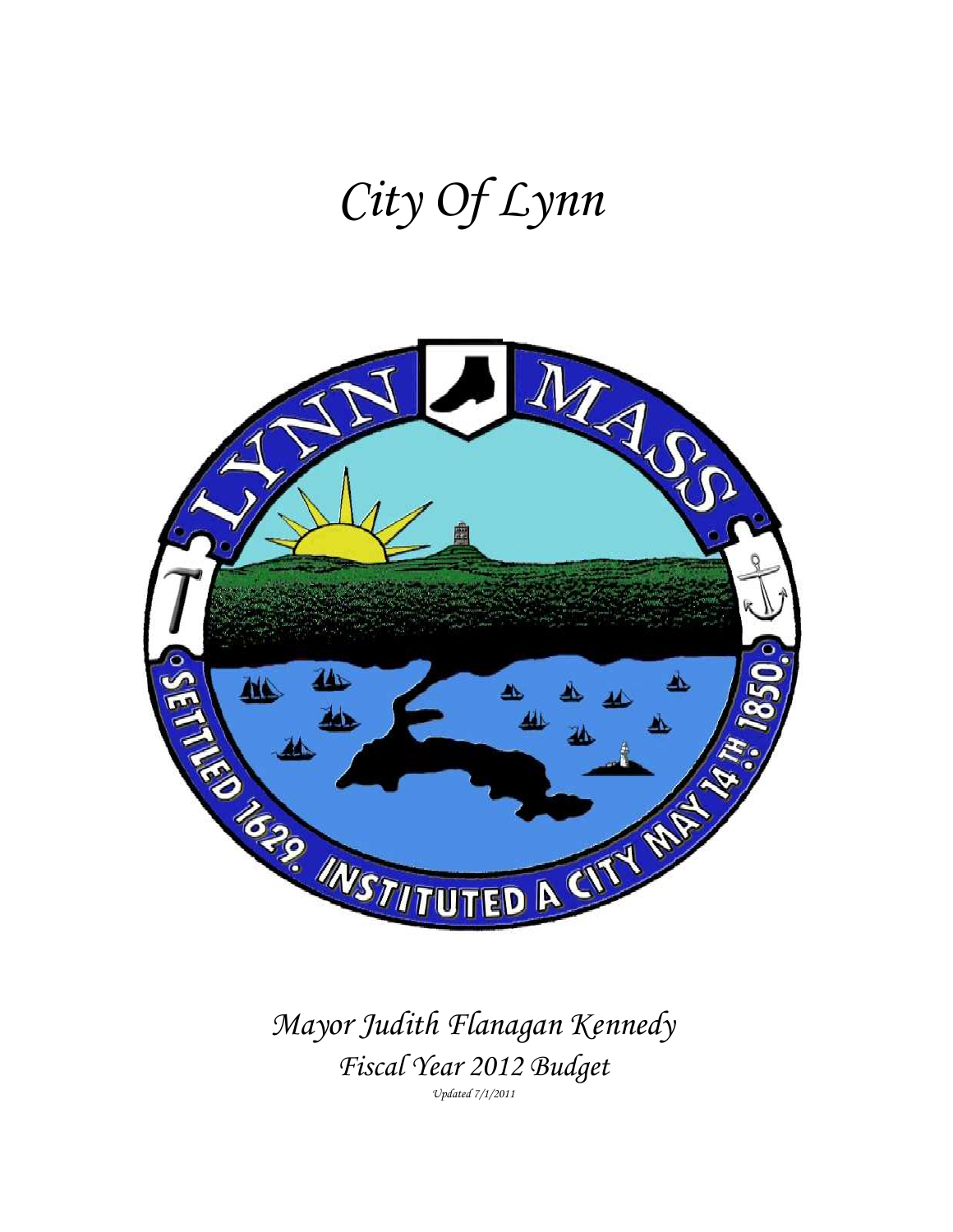# *City Of Lynn*



*Mayor Judith Flanagan Kennedy Fiscal Year 2012 Budget* 

*Updated 7/1/2011*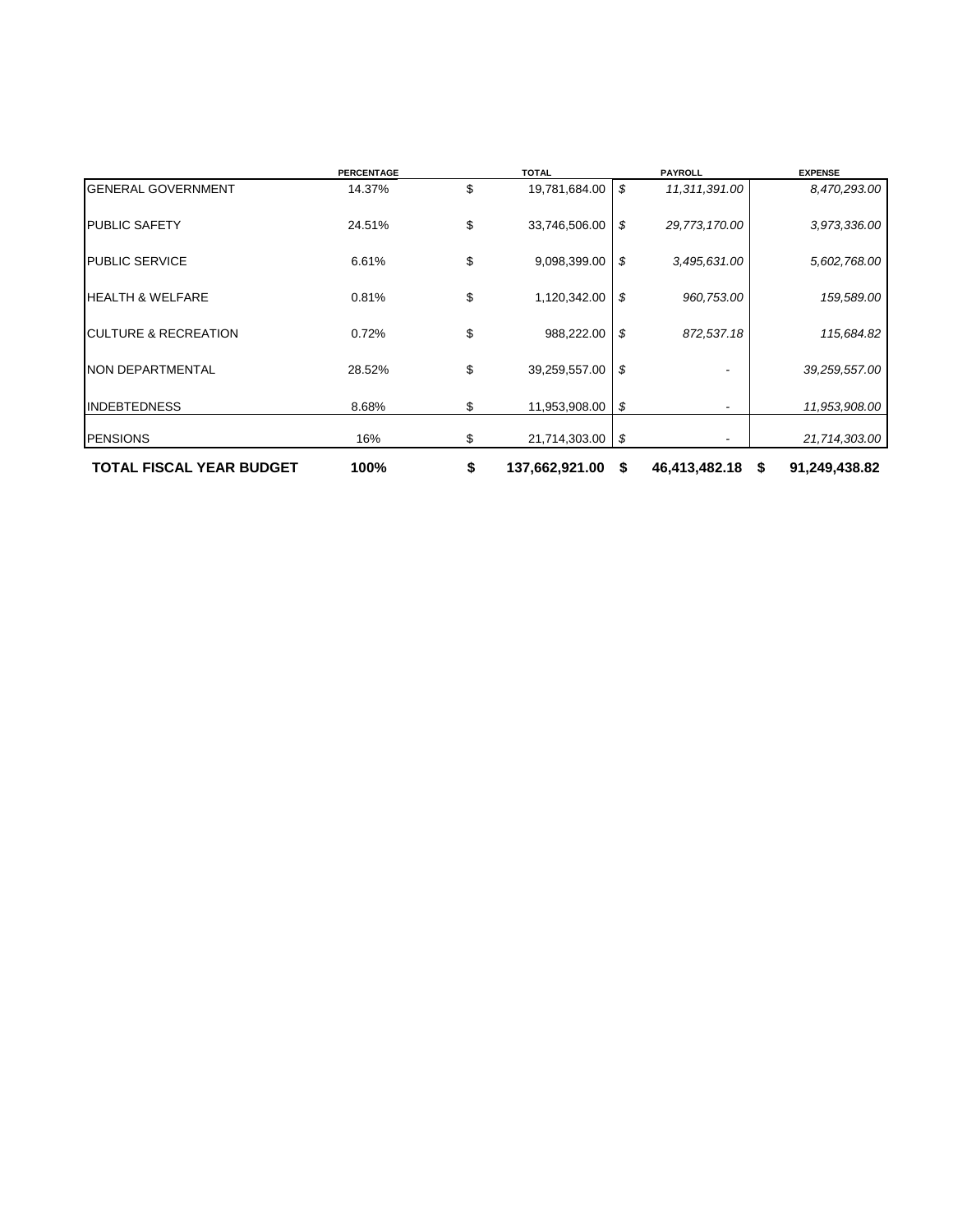|                                  | <b>PERCENTAGE</b> | <b>TOTAL</b>         | <b>PAYROLL</b>                 | <b>EXPENSE</b> |
|----------------------------------|-------------------|----------------------|--------------------------------|----------------|
| <b>GENERAL GOVERNMENT</b>        | 14.37%            | \$<br>19,781,684.00  | \$<br>11,311,391.00            | 8,470,293.00   |
| <b>PUBLIC SAFETY</b>             | 24.51%            | \$<br>33,746,506.00  | \$<br>29,773,170.00            | 3,973,336.00   |
| <b>PUBLIC SERVICE</b>            | 6.61%             | \$<br>9,098,399.00   | \$<br>3,495,631.00             | 5,602,768.00   |
| <b>HEALTH &amp; WELFARE</b>      | 0.81%             | \$<br>1,120,342.00   | \$<br>960,753.00               | 159,589.00     |
| <b>ICULTURE &amp; RECREATION</b> | 0.72%             | \$<br>988,222.00     | \$<br>872,537.18               | 115,684.82     |
| <b>NON DEPARTMENTAL</b>          | 28.52%            | \$<br>39,259,557.00  | \$                             | 39,259,557.00  |
| <b>INDEBTEDNESS</b>              | 8.68%             | \$<br>11,953,908.00  | \$<br>$\overline{\phantom{a}}$ | 11,953,908.00  |
| <b>PENSIONS</b>                  | 16%               | \$<br>21,714,303.00  | \$                             | 21,714,303.00  |
| <b>TOTAL FISCAL YEAR BUDGET</b>  | 100%              | \$<br>137,662,921.00 | \$<br>46,413,482.18 \$         | 91,249,438.82  |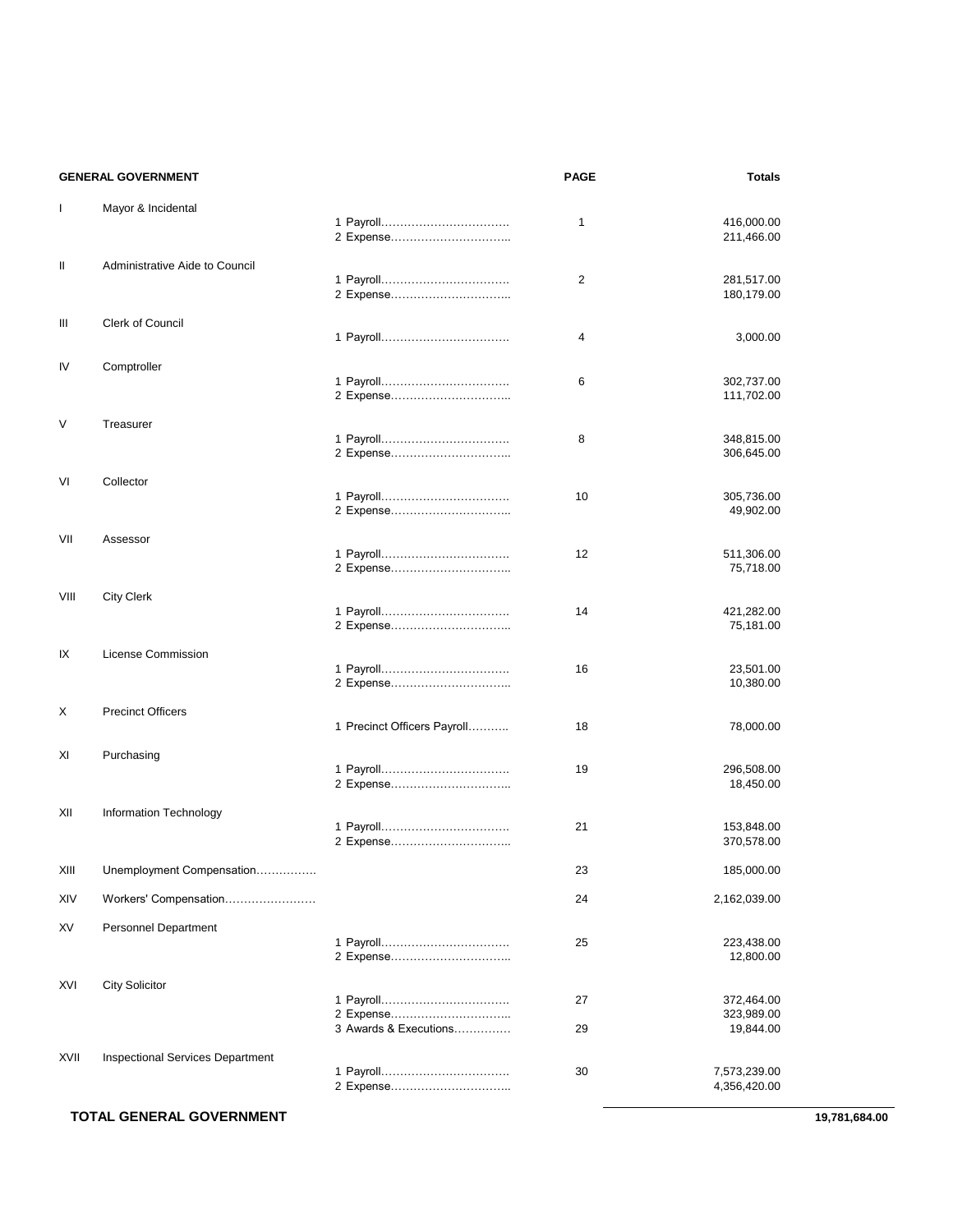|              | <b>GENERAL GOVERNMENT</b>               |                             | <b>PAGE</b> | <b>Totals</b>                |
|--------------|-----------------------------------------|-----------------------------|-------------|------------------------------|
| $\mathbf{I}$ | Mayor & Incidental                      |                             | 1           | 416,000.00<br>211,466.00     |
| Ш            | Administrative Aide to Council          |                             |             |                              |
|              |                                         | 2 Expense                   | 2           | 281,517.00<br>180,179.00     |
| Ш            | Clerk of Council                        |                             | 4           | 3,000.00                     |
|              |                                         |                             |             |                              |
| IV           | Comptroller                             | 2 Expense                   | 6           | 302,737.00<br>111,702.00     |
| V            | Treasurer                               |                             | 8           | 348,815.00                   |
|              |                                         | 2 Expense                   |             | 306,645.00                   |
| VI           | Collector                               |                             | 10          | 305,736.00<br>49,902.00      |
| VII          | Assessor                                |                             | 12          | 511,306.00<br>75,718.00      |
| VIII         | <b>City Clerk</b>                       | 2 Expense                   | 14          | 421,282.00<br>75,181.00      |
| IX           | License Commission                      |                             |             |                              |
|              |                                         | 2 Expense                   | 16          | 23,501.00<br>10,380.00       |
| Х            | <b>Precinct Officers</b>                | 1 Precinct Officers Payroll | 18          | 78,000.00                    |
| XI           | Purchasing                              |                             | 19          | 296,508.00                   |
|              |                                         |                             |             | 18,450.00                    |
| XII          | Information Technology                  |                             | 21          | 153,848.00<br>370,578.00     |
| XIII         | Unemployment Compensation               |                             | 23          | 185,000.00                   |
| XIV          | Workers' Compensation                   |                             | 24          | 2,162,039.00                 |
| XV           | <b>Personnel Department</b>             |                             | 25          | 223,438.00<br>12,800.00      |
| XVI          | <b>City Solicitor</b>                   |                             |             |                              |
|              |                                         | 2 Expense                   | 27          | 372,464.00<br>323,989.00     |
|              |                                         | 3 Awards & Executions       | 29          | 19,844.00                    |
| XVII         | <b>Inspectional Services Department</b> | 1 Payroll                   | 30          | 7,573,239.00<br>4,356,420.00 |

#### **TOTAL GENERAL GOVERNMENT** 19,781,684.00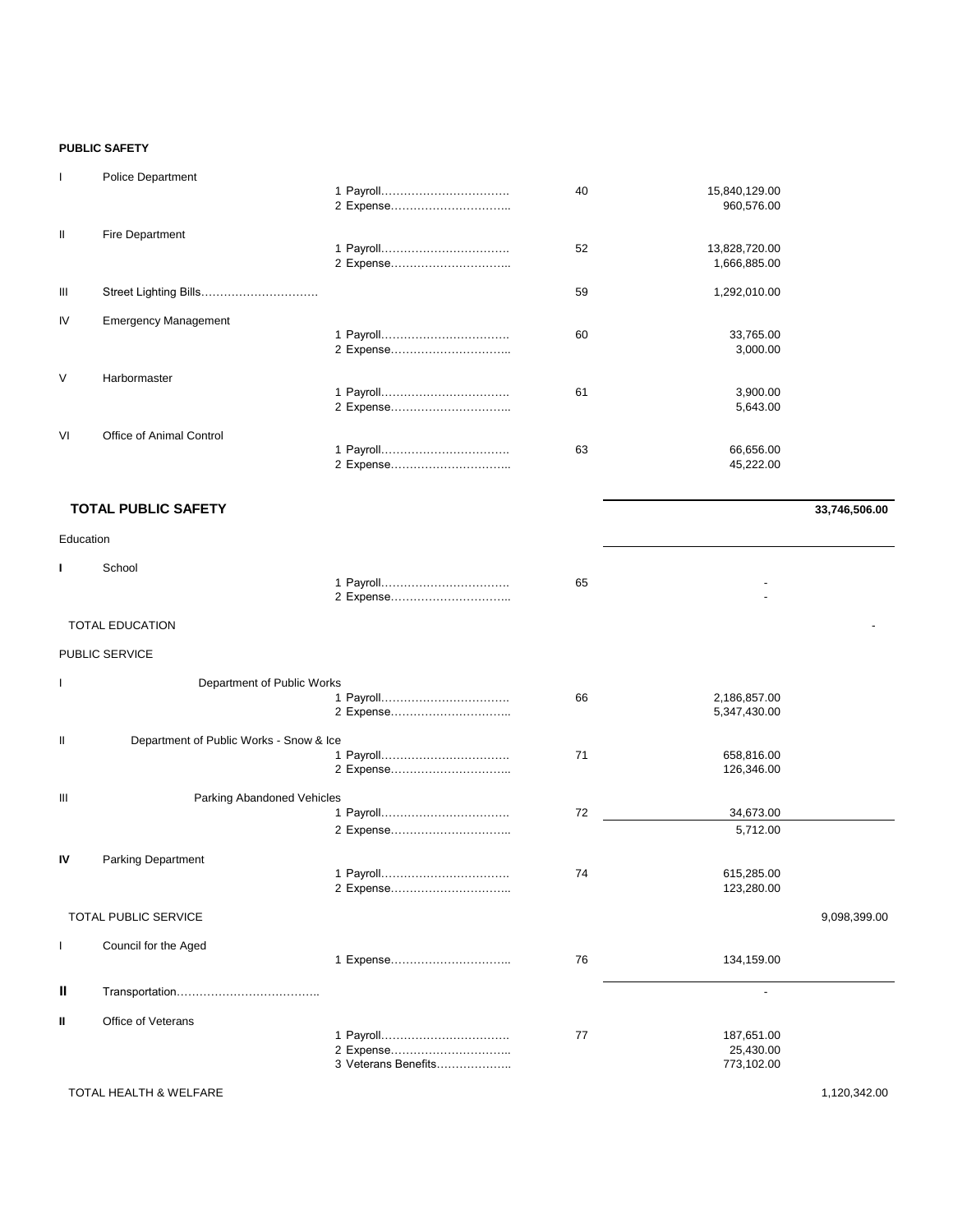#### **PUBLIC SAFETY**

| $\mathbf{I}$  | <b>Police Department</b>    |           | 40 | 15,840,129.00<br>960,576.00   |
|---------------|-----------------------------|-----------|----|-------------------------------|
| $\mathbf{II}$ | Fire Department             |           | 52 | 13,828,720.00<br>1,666,885.00 |
| Ш             |                             |           | 59 | 1,292,010.00                  |
| <b>IV</b>     | <b>Emergency Management</b> |           | 60 | 33,765.00<br>3,000.00         |
| $\vee$        | Harbormaster                |           | 61 | 3,900.00<br>5,643.00          |
| VI            | Office of Animal Control    | 2 Expense | 63 | 66,656.00<br>45,222.00        |

#### **TOTAL PUBLIC SAFETY** 33,746,506.00

| Education |        |    |  |
|-----------|--------|----|--|
|           | School | 65 |  |

#### TOTAL EDUCATION AND RESERVE TO THE SERVE TO THE SERVE TO THE SERVE TO THE SERVE TO THE SERVE TO THE SERVE TO THE SERVE THAT A SERVE THE SERVE THAT A SERVE THE SERVE THAT A SERVE THAT A SERVE THAT A SERVE THAT A SERVE THAT

#### PUBLIC SERVICE

|     | Department of Public Works              |                     |    |              |              |
|-----|-----------------------------------------|---------------------|----|--------------|--------------|
|     |                                         |                     | 66 | 2,186,857.00 |              |
|     |                                         | 2 Expense           |    | 5,347,430.00 |              |
|     |                                         |                     |    |              |              |
| Ш   | Department of Public Works - Snow & Ice |                     |    |              |              |
|     |                                         |                     | 71 | 658,816.00   |              |
|     |                                         |                     |    | 126,346.00   |              |
|     |                                         |                     |    |              |              |
| III | Parking Abandoned Vehicles              |                     |    |              |              |
|     |                                         |                     | 72 | 34,673.00    |              |
|     |                                         | 2 Expense           |    | 5,712.00     |              |
|     |                                         |                     |    |              |              |
| IV  | <b>Parking Department</b>               |                     |    |              |              |
|     |                                         |                     | 74 | 615,285.00   |              |
|     |                                         |                     |    | 123,280.00   |              |
|     |                                         | 2 Expense           |    |              |              |
|     | <b>TOTAL PUBLIC SERVICE</b>             |                     |    |              | 9,098,399.00 |
|     |                                         |                     |    |              |              |
|     | Council for the Aged                    |                     |    |              |              |
|     |                                         |                     | 76 | 134,159.00   |              |
|     |                                         |                     |    |              |              |
| Ш   |                                         |                     |    |              |              |
|     |                                         |                     |    |              |              |
| Ш   | Office of Veterans                      |                     |    |              |              |
|     |                                         |                     | 77 | 187,651.00   |              |
|     |                                         |                     |    | 25,430.00    |              |
|     |                                         | 3 Veterans Benefits |    | 773,102.00   |              |
|     |                                         |                     |    |              |              |

#### TOTAL HEALTH & WELFARE 1,120,342.00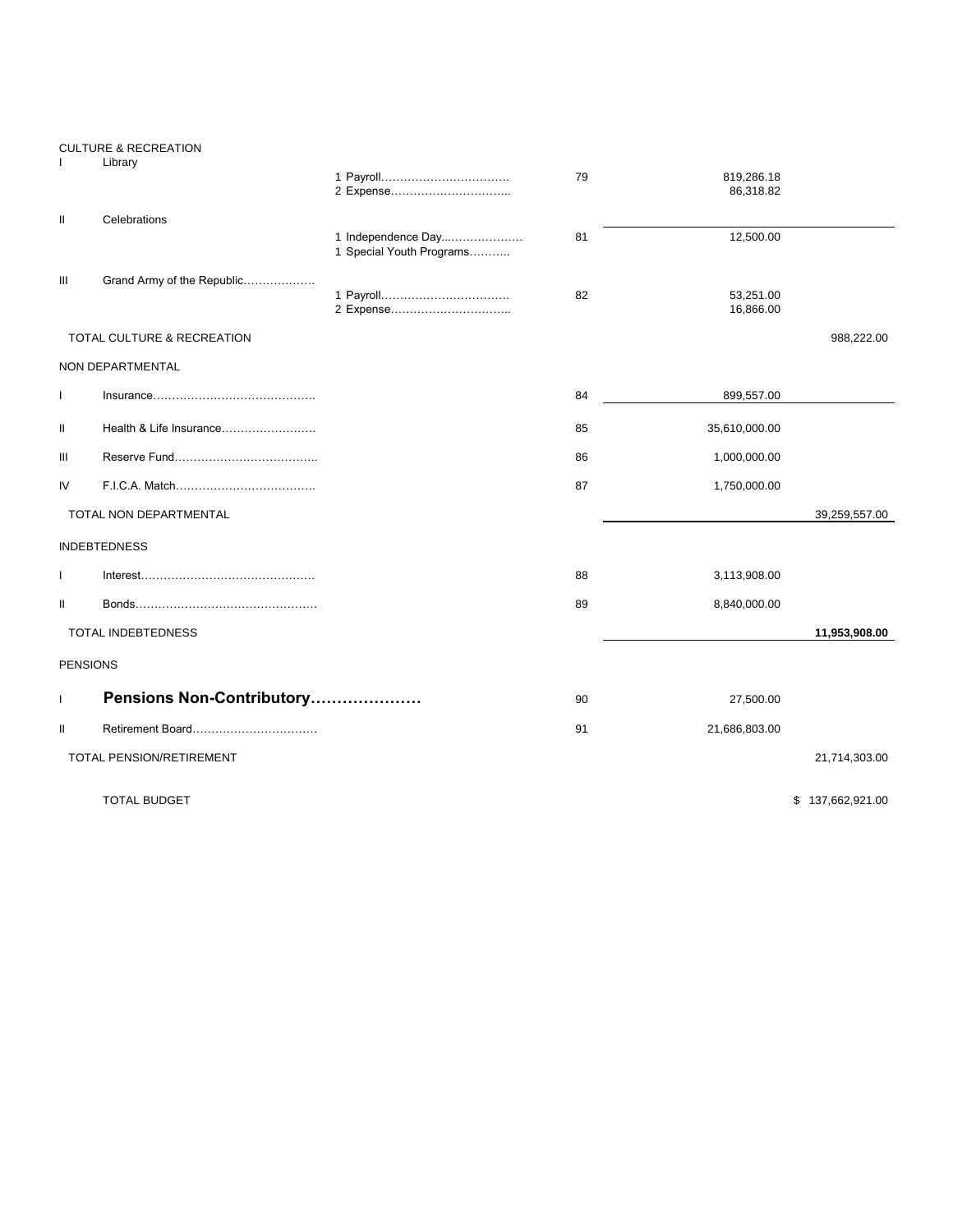|                 | <b>CULTURE &amp; RECREATION</b> |                                                |    |                        |                  |
|-----------------|---------------------------------|------------------------------------------------|----|------------------------|------------------|
|                 | Library                         |                                                | 79 | 819,286.18             |                  |
|                 |                                 | 2 Expense                                      |    | 86,318.82              |                  |
| Ш               | Celebrations                    |                                                |    |                        |                  |
|                 |                                 | 1 Independence Day<br>1 Special Youth Programs | 81 | 12,500.00              |                  |
| Ш               | Grand Army of the Republic      |                                                |    |                        |                  |
|                 |                                 | 2 Expense                                      | 82 | 53,251.00<br>16,866.00 |                  |
|                 | TOTAL CULTURE & RECREATION      |                                                |    |                        | 988,222.00       |
|                 | NON DEPARTMENTAL                |                                                |    |                        |                  |
| $\mathbf{I}$    |                                 |                                                | 84 | 899,557.00             |                  |
| Ш               | Health & Life Insurance         |                                                | 85 | 35,610,000.00          |                  |
| Ш               |                                 |                                                | 86 | 1,000,000.00           |                  |
| IV              |                                 |                                                | 87 | 1,750,000.00           |                  |
|                 | TOTAL NON DEPARTMENTAL          |                                                |    |                        | 39,259,557.00    |
|                 | <b>INDEBTEDNESS</b>             |                                                |    |                        |                  |
| $\mathbf{I}$    |                                 |                                                | 88 | 3,113,908.00           |                  |
| Ш               |                                 |                                                | 89 | 8,840,000.00           |                  |
|                 | TOTAL INDEBTEDNESS              |                                                |    |                        | 11,953,908.00    |
| <b>PENSIONS</b> |                                 |                                                |    |                        |                  |
| $\mathbf{I}$    | Pensions Non-Contributory       |                                                | 90 | 27,500.00              |                  |
| Ш               | Retirement Board                |                                                | 91 | 21,686,803.00          |                  |
|                 | TOTAL PENSION/RETIREMENT        |                                                |    |                        | 21,714,303.00    |
|                 | <b>TOTAL BUDGET</b>             |                                                |    |                        | \$137,662,921.00 |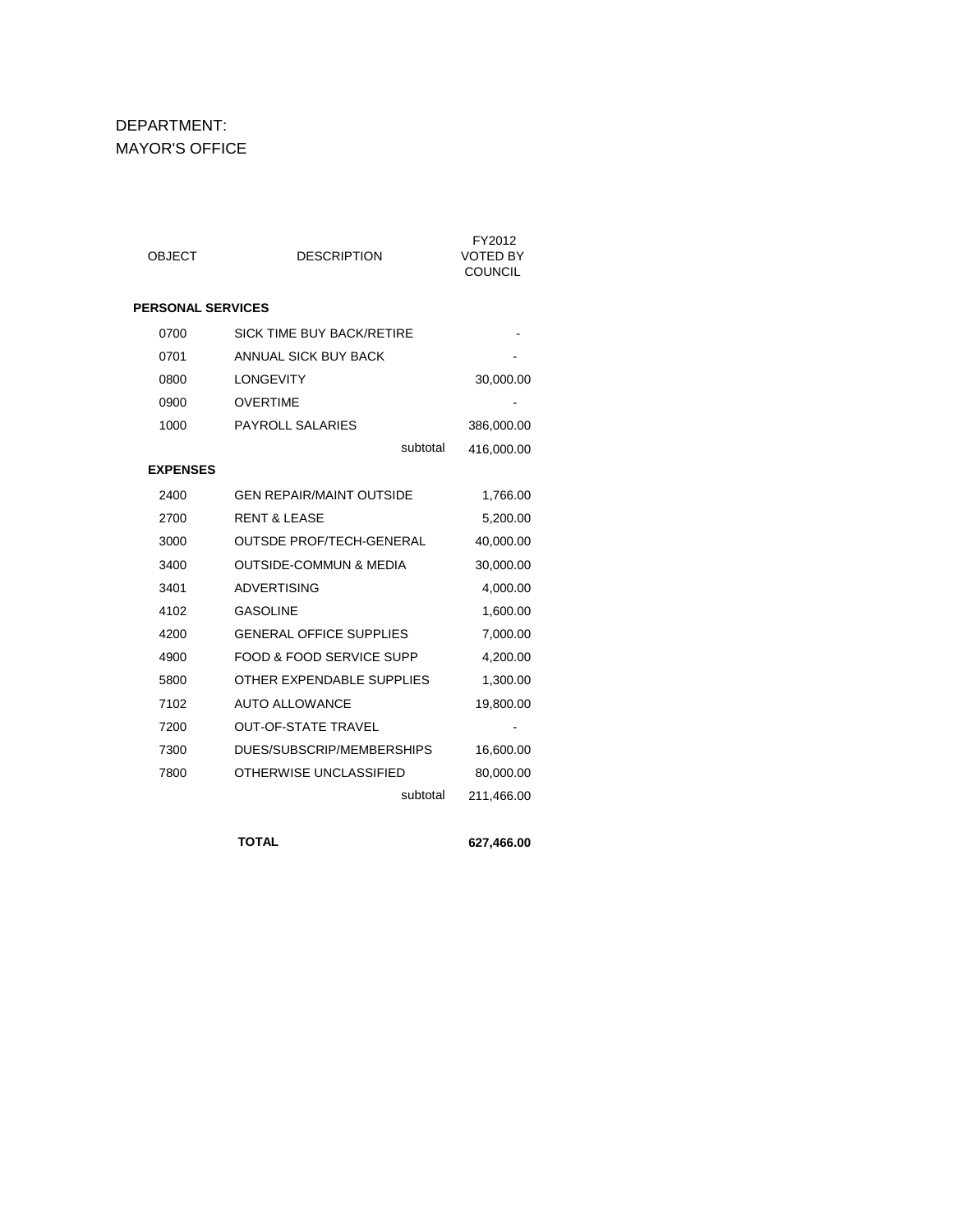# DEPARTMENT: MAYOR'S OFFICE

| <b>OBJECT</b>            | <b>DESCRIPTION</b>                | FY2012<br><b>VOTED BY</b><br><b>COUNCIL</b> |
|--------------------------|-----------------------------------|---------------------------------------------|
| <b>PERSONAL SERVICES</b> |                                   |                                             |
| 0700                     | <b>SICK TIME BUY BACK/RETIRE</b>  |                                             |
| 0701                     | ANNUAL SICK BUY BACK              |                                             |
| 0800                     | <b>LONGEVITY</b>                  | 30,000.00                                   |
| 0900                     | <b>OVERTIME</b>                   |                                             |
| 1000                     | <b>PAYROLL SALARIES</b>           | 386,000.00                                  |
|                          | subtotal                          | 416,000.00                                  |
| <b>EXPENSES</b>          |                                   |                                             |
| 2400                     | <b>GEN REPAIR/MAINT OUTSIDE</b>   | 1,766.00                                    |
| 2700                     | <b>RENT &amp; LEASE</b>           | 5,200.00                                    |
| 3000                     | <b>OUTSDE PROF/TECH-GENERAL</b>   | 40,000.00                                   |
| 3400                     | <b>OUTSIDE-COMMUN &amp; MEDIA</b> | 30,000.00                                   |
| 3401                     | <b>ADVERTISING</b>                | 4,000.00                                    |
| 4102                     | <b>GASOLINE</b>                   | 1,600.00                                    |
| 4200                     | <b>GENERAL OFFICE SUPPLIES</b>    | 7,000.00                                    |
| 4900                     | FOOD & FOOD SERVICE SUPP          | 4,200.00                                    |
| 5800                     | OTHER EXPENDABLE SUPPLIES         | 1,300.00                                    |
| 7102                     | <b>AUTO ALLOWANCE</b>             | 19,800.00                                   |
| 7200                     | <b>OUT-OF-STATE TRAVEL</b>        |                                             |
| 7300                     | DUES/SUBSCRIP/MEMBERSHIPS         | 16,600.00                                   |
| 7800                     | OTHERWISE UNCLASSIFIED            | 80,000.00                                   |
|                          | subtotal                          | 211,466.00                                  |

 **TOTAL 627,466.00**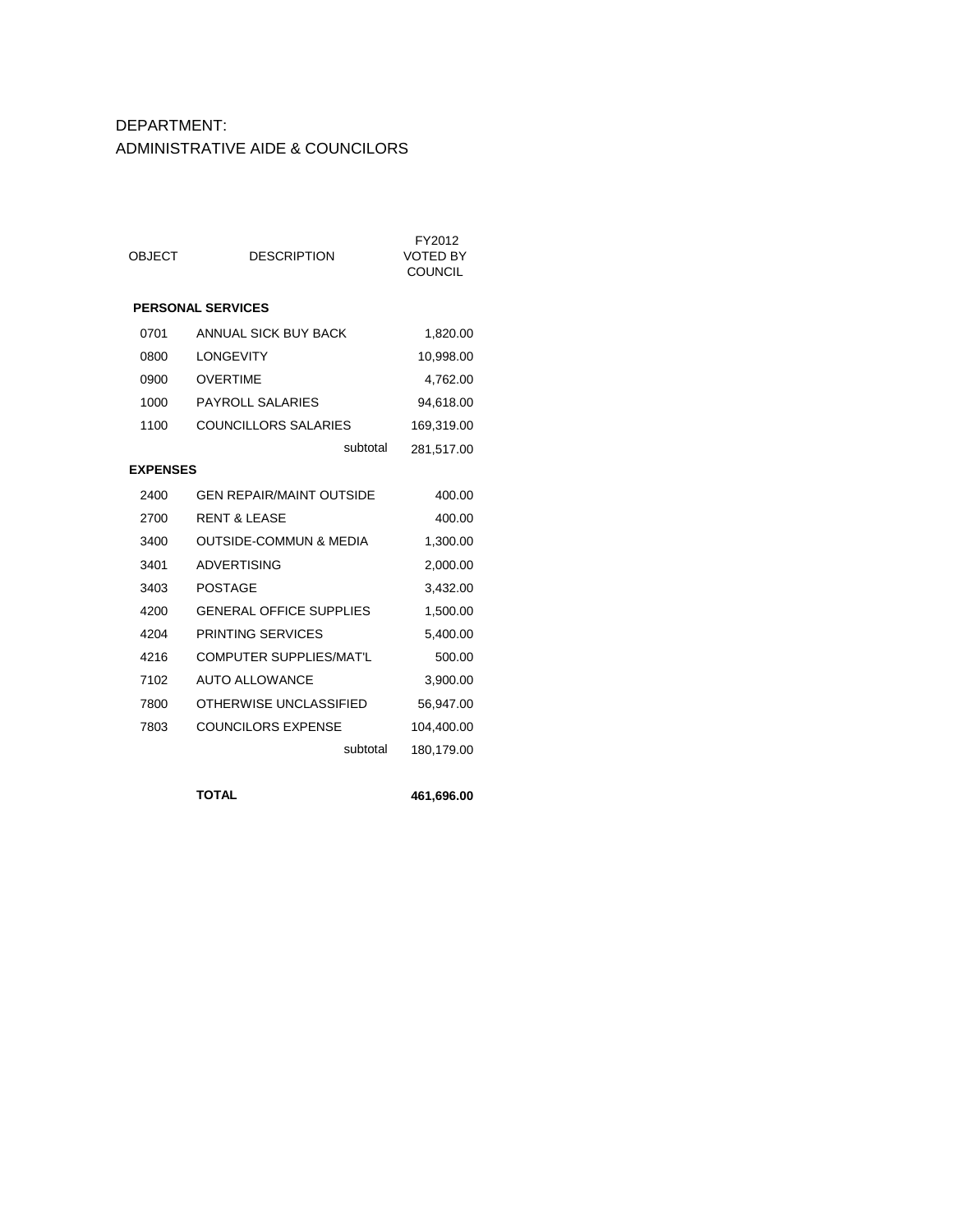# DEPARTMENT: ADMINISTRATIVE AIDE & COUNCILORS

| <b>OBJECT</b>   | <b>DESCRIPTION</b>                | FY2012<br><b>VOTED BY</b><br><b>COUNCIL</b> |
|-----------------|-----------------------------------|---------------------------------------------|
|                 | <b>PERSONAL SERVICES</b>          |                                             |
| 0701            | ANNUAL SICK BUY BACK              | 1,820.00                                    |
| 0800            | <b>LONGEVITY</b>                  | 10,998.00                                   |
| 0900            | <b>OVERTIME</b>                   | 4,762.00                                    |
| 1000            | <b>PAYROLL SALARIES</b>           | 94,618.00                                   |
| 1100            | <b>COUNCILLORS SALARIES</b>       | 169,319.00                                  |
|                 | subtotal                          | 281,517.00                                  |
| <b>EXPENSES</b> |                                   |                                             |
| 2400            | <b>GEN REPAIR/MAINT OUTSIDE</b>   | 400.00                                      |
| 2700            | <b>RENT &amp; LEASE</b>           | 400.00                                      |
| 3400            | <b>OUTSIDE-COMMUN &amp; MEDIA</b> | 1,300.00                                    |
| 3401            | <b>ADVERTISING</b>                | 2,000.00                                    |
| 3403            | <b>POSTAGE</b>                    | 3,432.00                                    |
| 4200            | <b>GENERAL OFFICE SUPPLIES</b>    | 1,500.00                                    |
| 4204            | PRINTING SERVICES                 | 5,400.00                                    |
| 4216            | <b>COMPUTER SUPPLIES/MAT'L</b>    | 500.00                                      |
| 7102            | <b>AUTO ALLOWANCE</b>             | 3,900.00                                    |
| 7800            | OTHERWISE UNCLASSIFIED            | 56,947.00                                   |
| 7803            | <b>COUNCILORS EXPENSE</b>         | 104,400.00                                  |
|                 | subtotal                          | 180,179.00                                  |
|                 |                                   |                                             |

**TOTAL 461,696.00**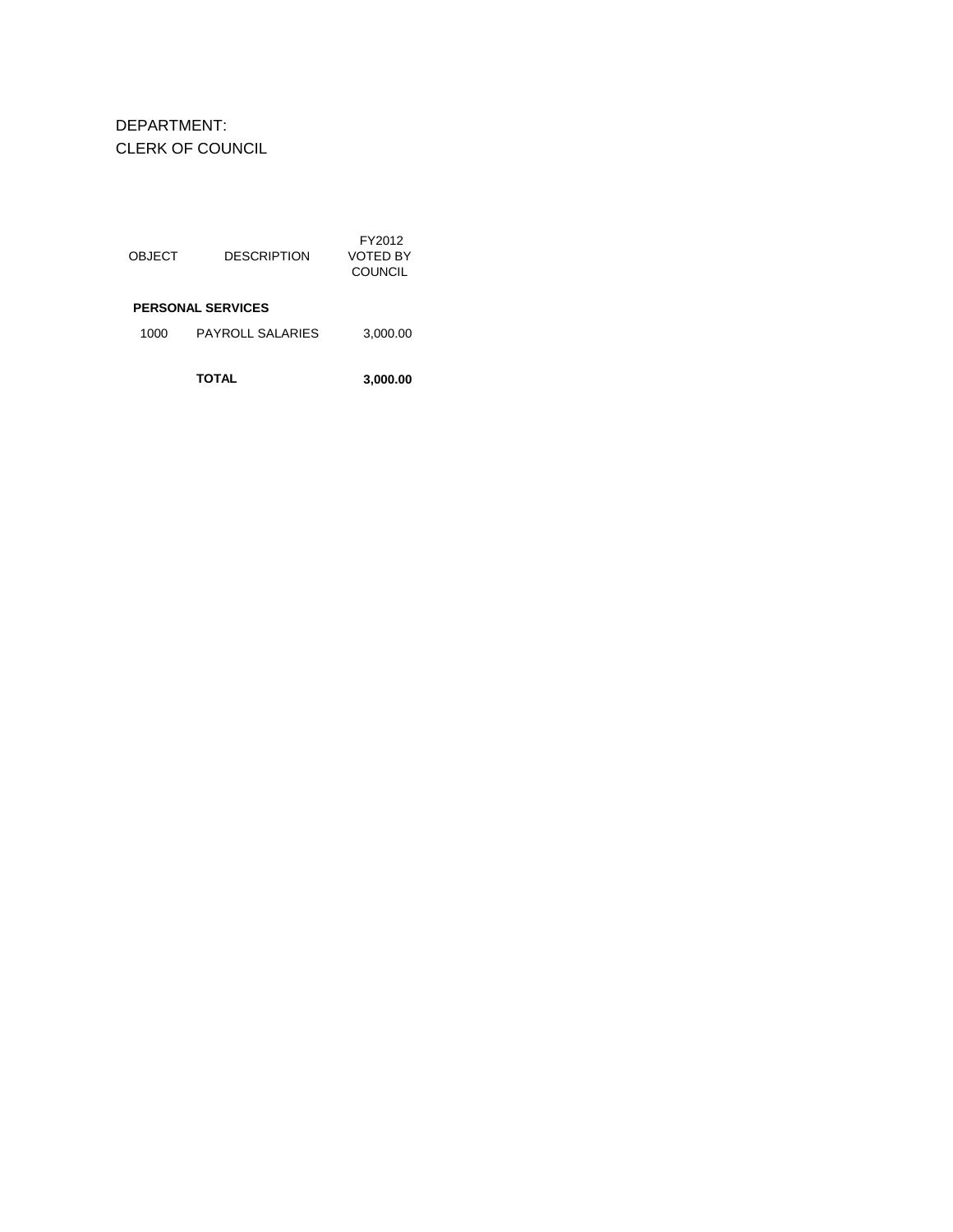DEPARTMENT: CLERK OF COUNCIL

| OBJECT | DESCRIPTION              | FY2012<br>VOTED BY<br>COUNCIL |
|--------|--------------------------|-------------------------------|
|        | <b>PERSONAL SERVICES</b> |                               |
| 1000   | PAYROLL SALARIES         | 3,000.00                      |
|        | TOTAL                    | 3,000.00                      |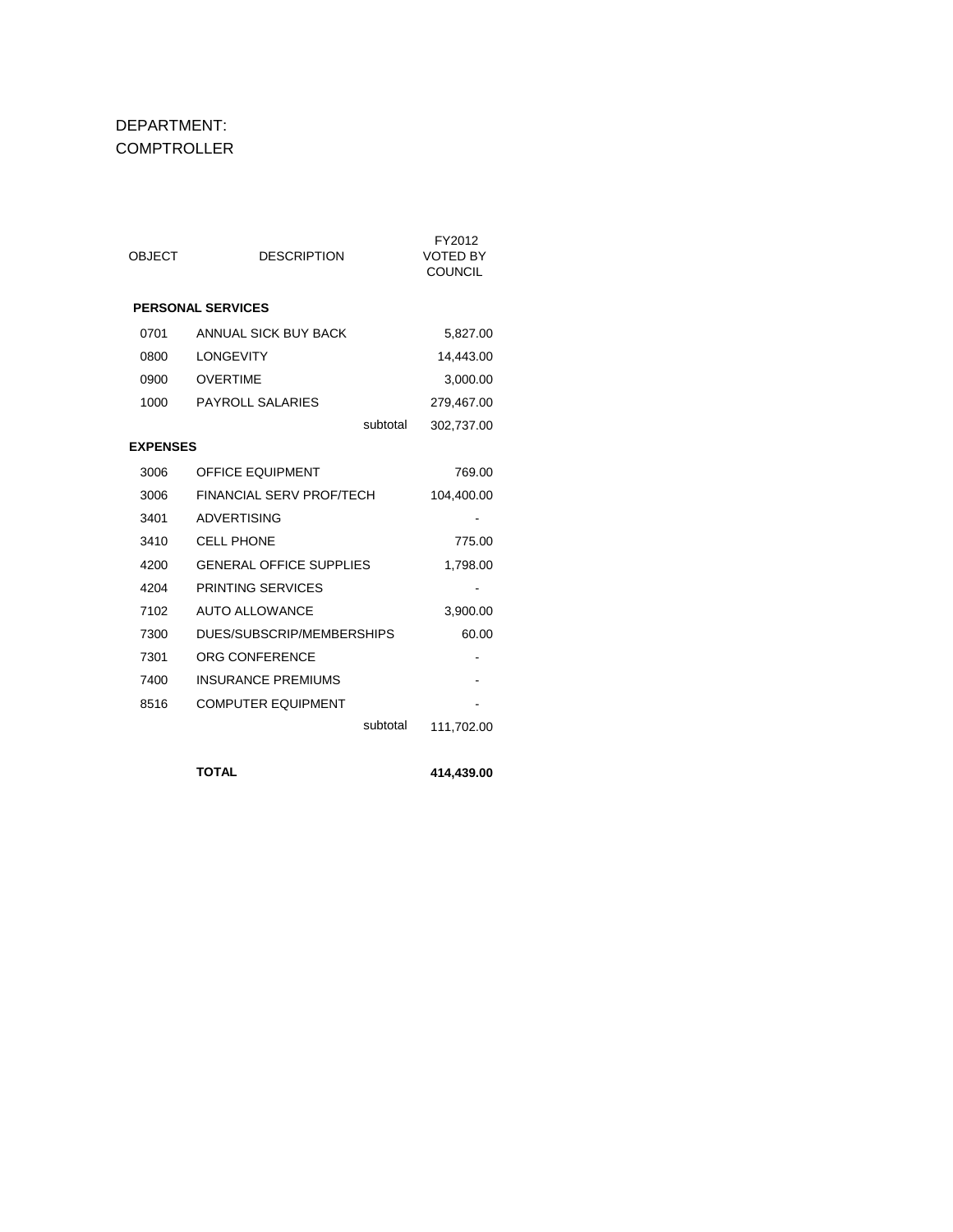#### DEPARTMENT: **COMPTROLLER**

| <b>OBJECT</b>   | <b>DESCRIPTION</b>             | FY2012<br><b>VOTED BY</b><br><b>COUNCIL</b> |
|-----------------|--------------------------------|---------------------------------------------|
|                 | <b>PERSONAL SERVICES</b>       |                                             |
| 0701            | ANNUAL SICK BUY BACK           | 5,827.00                                    |
| 0800            | <b>LONGEVITY</b>               | 14,443.00                                   |
| 0900            | <b>OVERTIME</b>                | 3,000.00                                    |
| 1000            | <b>PAYROLL SALARIES</b>        | 279,467.00                                  |
|                 | subtotal                       | 302,737.00                                  |
| <b>EXPENSES</b> |                                |                                             |
| 3006            | <b>OFFICE EQUIPMENT</b>        | 769.00                                      |
| 3006            | FINANCIAL SERV PROF/TECH       | 104,400.00                                  |
| 3401            | ADVERTISING                    |                                             |
| 3410            | <b>CELL PHONE</b>              | 775.00                                      |
| 4200            | <b>GENERAL OFFICE SUPPLIES</b> | 1,798.00                                    |
| 4204            | PRINTING SERVICES              |                                             |
| 7102            | <b>AUTO ALLOWANCE</b>          | 3,900.00                                    |
| 7300            | DUES/SUBSCRIP/MEMBERSHIPS      | 60.00                                       |
| 7301            | ORG CONFERENCE                 |                                             |
| 7400            | <b>INSURANCE PREMIUMS</b>      |                                             |
| 8516            | <b>COMPUTER EQUIPMENT</b>      |                                             |
|                 | subtotal                       | 111,702.00                                  |
|                 |                                |                                             |

**TOTAL 414,439.00**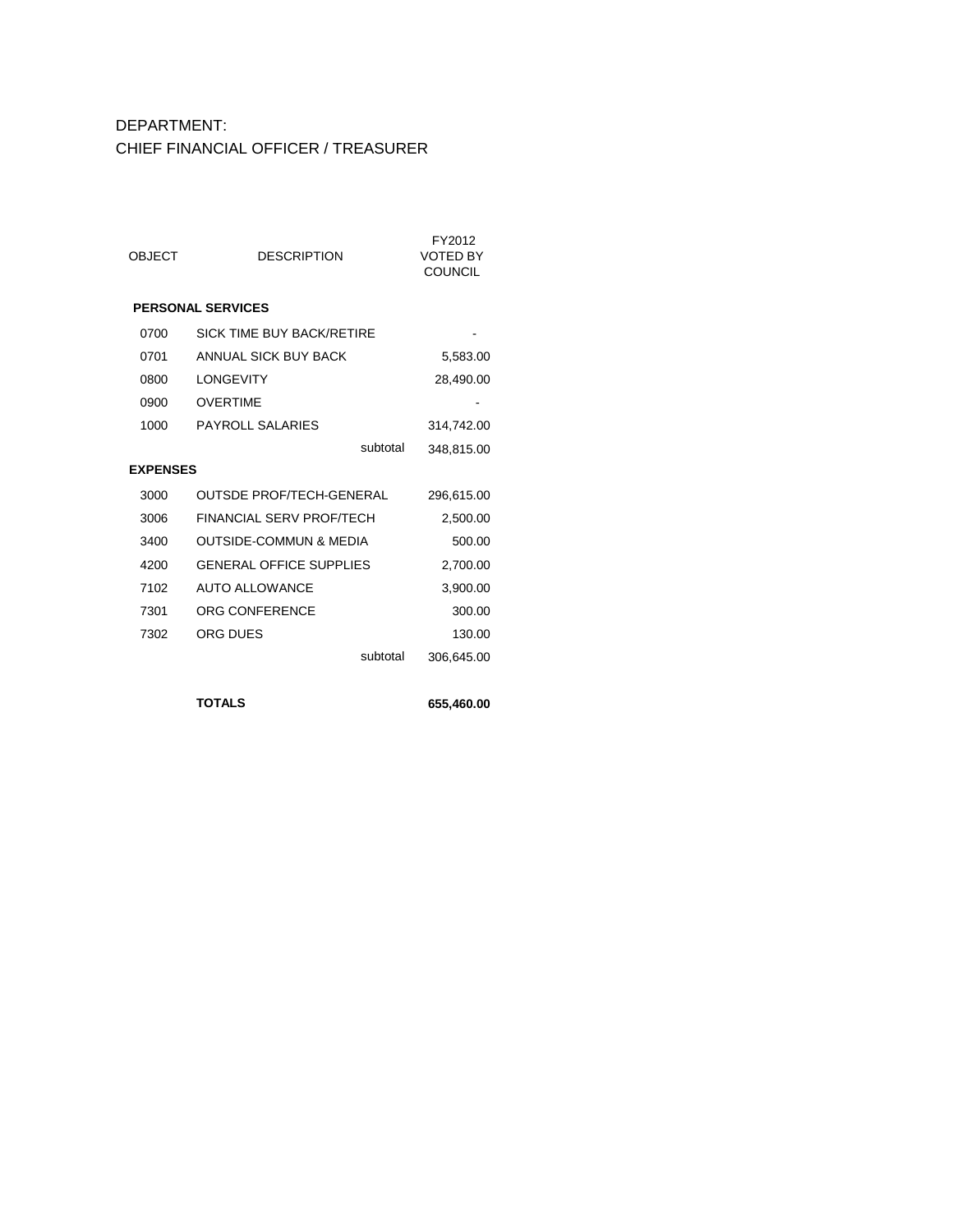# DEPARTMENT: CHIEF FINANCIAL OFFICER / TREASURER

| <b>OBJECT</b>   | <b>DESCRIPTION</b>                | FY2012<br><b>VOTED BY</b><br><b>COUNCIL</b> |
|-----------------|-----------------------------------|---------------------------------------------|
|                 | <b>PERSONAL SERVICES</b>          |                                             |
| 0700            | <b>SICK TIME BUY BACK/RETIRE</b>  |                                             |
| 0701            | ANNUAL SICK BUY BACK              | 5,583.00                                    |
| 0800            | <b>I ONGEVITY</b>                 | 28,490.00                                   |
| 0900            | OVERTIME                          |                                             |
| 1000            | PAYROLL SALARIES                  | 314,742.00                                  |
|                 | subtotal                          | 348,815.00                                  |
| <b>EXPENSES</b> |                                   |                                             |
| 3000            | OUTSDE PROF/TECH-GENERAL          | 296,615.00                                  |
| 3006            | FINANCIAL SERV PROF/TECH          | 2,500.00                                    |
| 3400            | <b>OUTSIDE-COMMUN &amp; MEDIA</b> | 500.00                                      |
| 4200            | <b>GENERAL OFFICE SUPPLIES</b>    | 2,700.00                                    |
| 7102            | <b>AUTO ALLOWANCE</b>             | 3,900.00                                    |
| 7301            | ORG CONFERENCE                    | 300.00                                      |
| 7302            | ORG DUES                          | 130.00                                      |
|                 | subtotal                          | 306,645.00                                  |
|                 |                                   |                                             |

**TOTALS 655,460.00**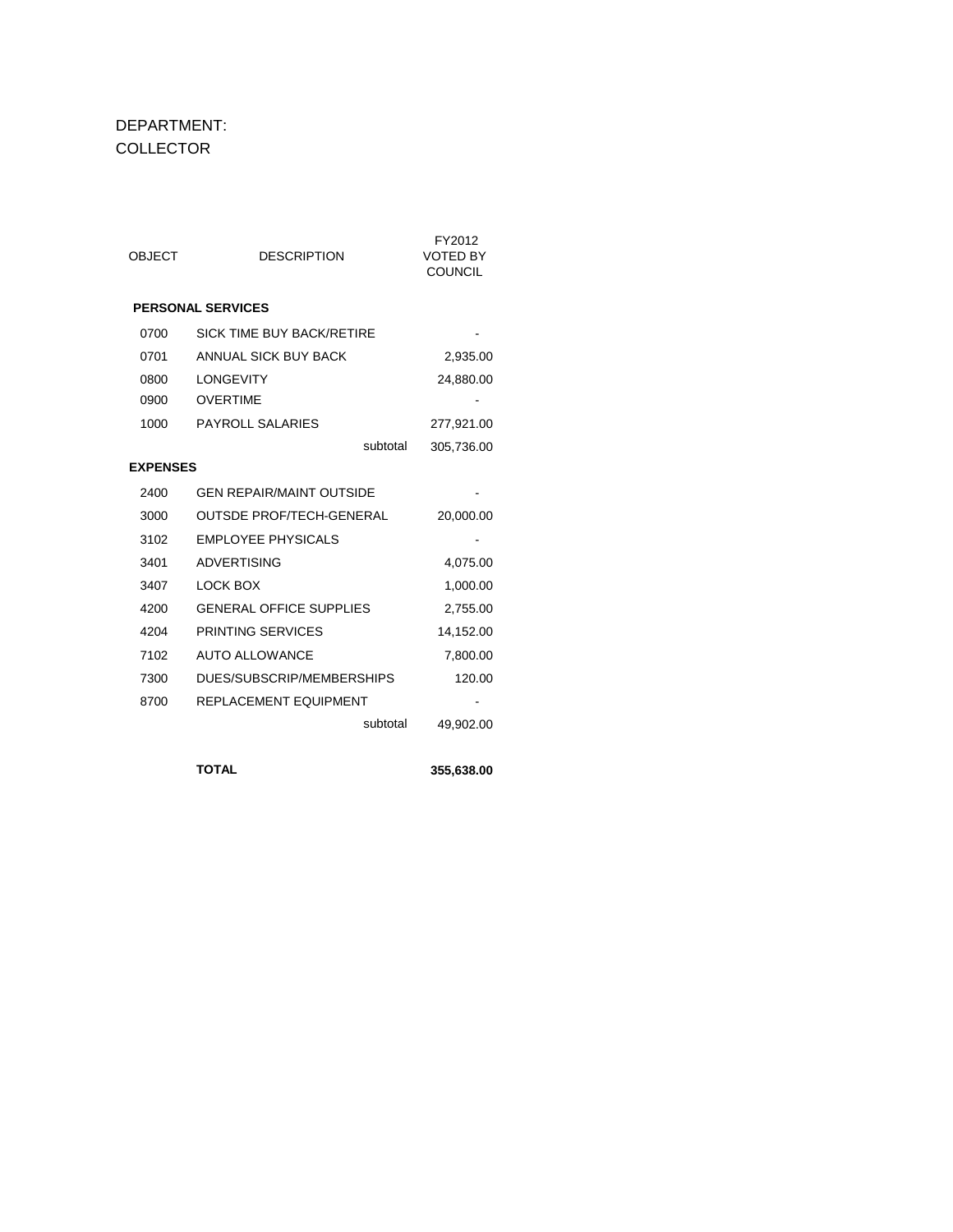#### DEPARTMENT: COLLECTOR

| <b>OBJECT</b>   | <b>DESCRIPTION</b>              | FY2012<br><b>VOTED BY</b><br><b>COUNCIL</b> |
|-----------------|---------------------------------|---------------------------------------------|
|                 | <b>PERSONAL SERVICES</b>        |                                             |
| 0700            | SICK TIME BUY BACK/RETIRE       |                                             |
| 0701            | ANNUAL SICK BUY BACK            | 2,935.00                                    |
| 0800            | <b>LONGEVITY</b>                | 24,880.00                                   |
| 0900            | <b>OVERTIME</b>                 |                                             |
| 1000            | <b>PAYROLL SALARIES</b>         | 277,921.00                                  |
|                 | subtotal                        | 305,736.00                                  |
| <b>EXPENSES</b> |                                 |                                             |
| 2400            | <b>GEN REPAIR/MAINT OUTSIDE</b> |                                             |
| 3000            | <b>OUTSDE PROF/TECH-GENERAL</b> | 20,000.00                                   |
| 3102            | <b>EMPLOYEE PHYSICALS</b>       |                                             |
| 3401            | <b>ADVERTISING</b>              | 4,075.00                                    |
| 3407            | LOCK BOX                        | 1,000.00                                    |
| 4200            | <b>GENERAL OFFICE SUPPLIES</b>  | 2,755.00                                    |
| 4204            | PRINTING SERVICES               | 14,152.00                                   |
| 7102            | <b>AUTO ALLOWANCE</b>           | 7,800.00                                    |
| 7300            | DUES/SUBSCRIP/MEMBERSHIPS       | 120.00                                      |
| 8700            | <b>REPLACEMENT EQUIPMENT</b>    |                                             |
|                 | subtotal                        | 49,902.00                                   |
|                 |                                 |                                             |
|                 | <b>TOTAL</b>                    | 355,638.00                                  |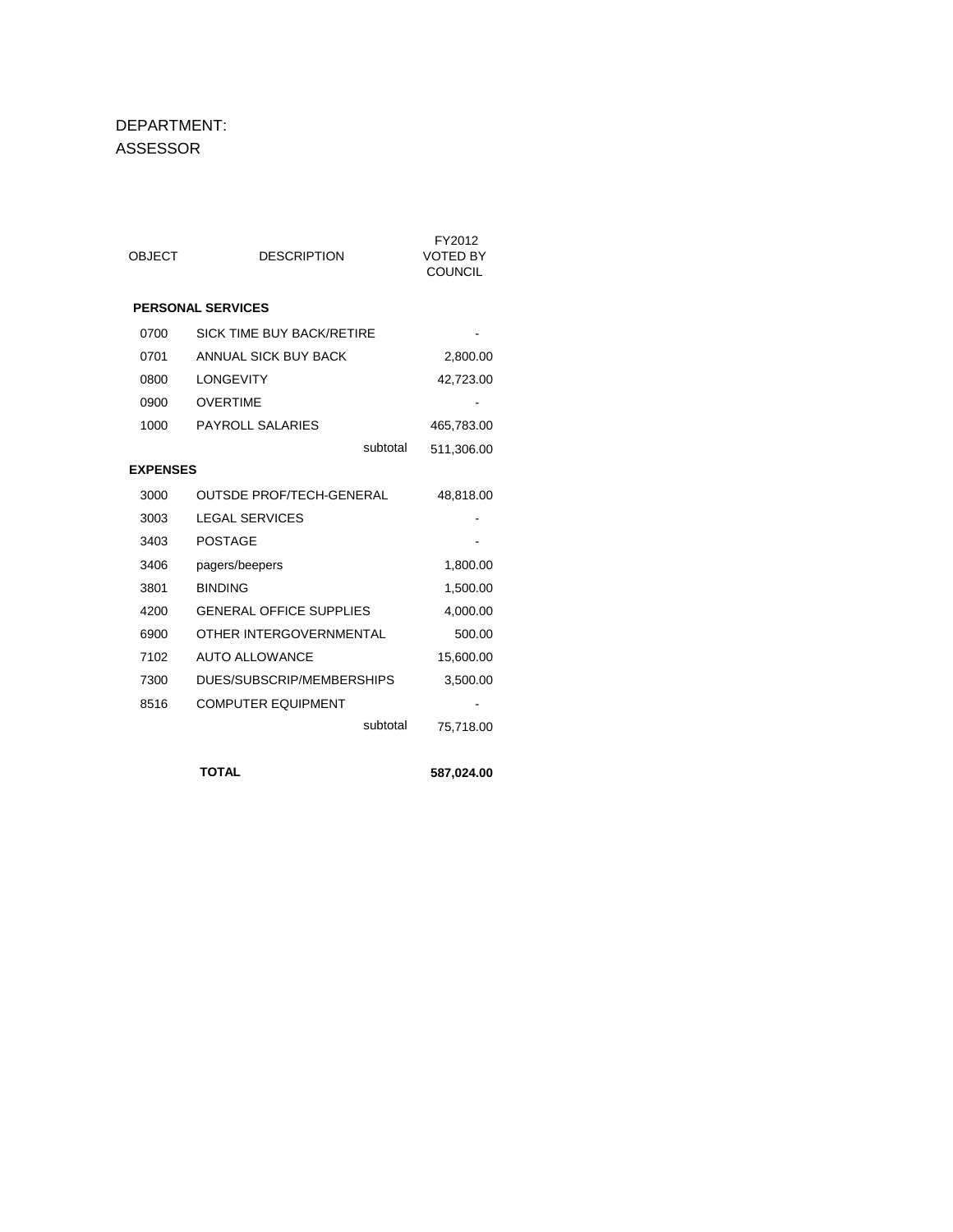#### DEPARTMENT: ASSESSOR

| <b>OBJECT</b>   | <b>DESCRIPTION</b>              | FY2012<br><b>VOTED BY</b><br><b>COUNCIL</b> |
|-----------------|---------------------------------|---------------------------------------------|
|                 | <b>PERSONAL SERVICES</b>        |                                             |
| 0700            | SICK TIME BUY BACK/RETIRE       |                                             |
| 0701            | ANNUAL SICK BUY BACK            | 2,800.00                                    |
| 0800            | <b>LONGEVITY</b>                | 42,723.00                                   |
| 0900            | <b>OVERTIME</b>                 |                                             |
| 1000            | <b>PAYROLL SALARIES</b>         | 465,783.00                                  |
|                 | subtotal                        | 511,306.00                                  |
| <b>EXPENSES</b> |                                 |                                             |
| 3000            | <b>OUTSDE PROF/TECH-GENERAL</b> | 48,818.00                                   |
| 3003            | <b>LEGAL SERVICES</b>           |                                             |
| 3403            | <b>POSTAGE</b>                  |                                             |
| 3406            | pagers/beepers                  | 1,800.00                                    |
| 3801            | <b>BINDING</b>                  | 1,500.00                                    |
| 4200            | <b>GENERAL OFFICE SUPPLIES</b>  | 4,000.00                                    |
| 6900            | OTHER INTERGOVERNMENTAL         | 500.00                                      |
| 7102            | <b>AUTO ALLOWANCE</b>           | 15,600.00                                   |
| 7300            | DUES/SUBSCRIP/MEMBERSHIPS       | 3,500.00                                    |
| 8516            | <b>COMPUTER EQUIPMENT</b>       |                                             |
|                 | subtotal                        | 75,718.00                                   |
|                 |                                 |                                             |
|                 | <b>TOTAL</b>                    | 587,024.00                                  |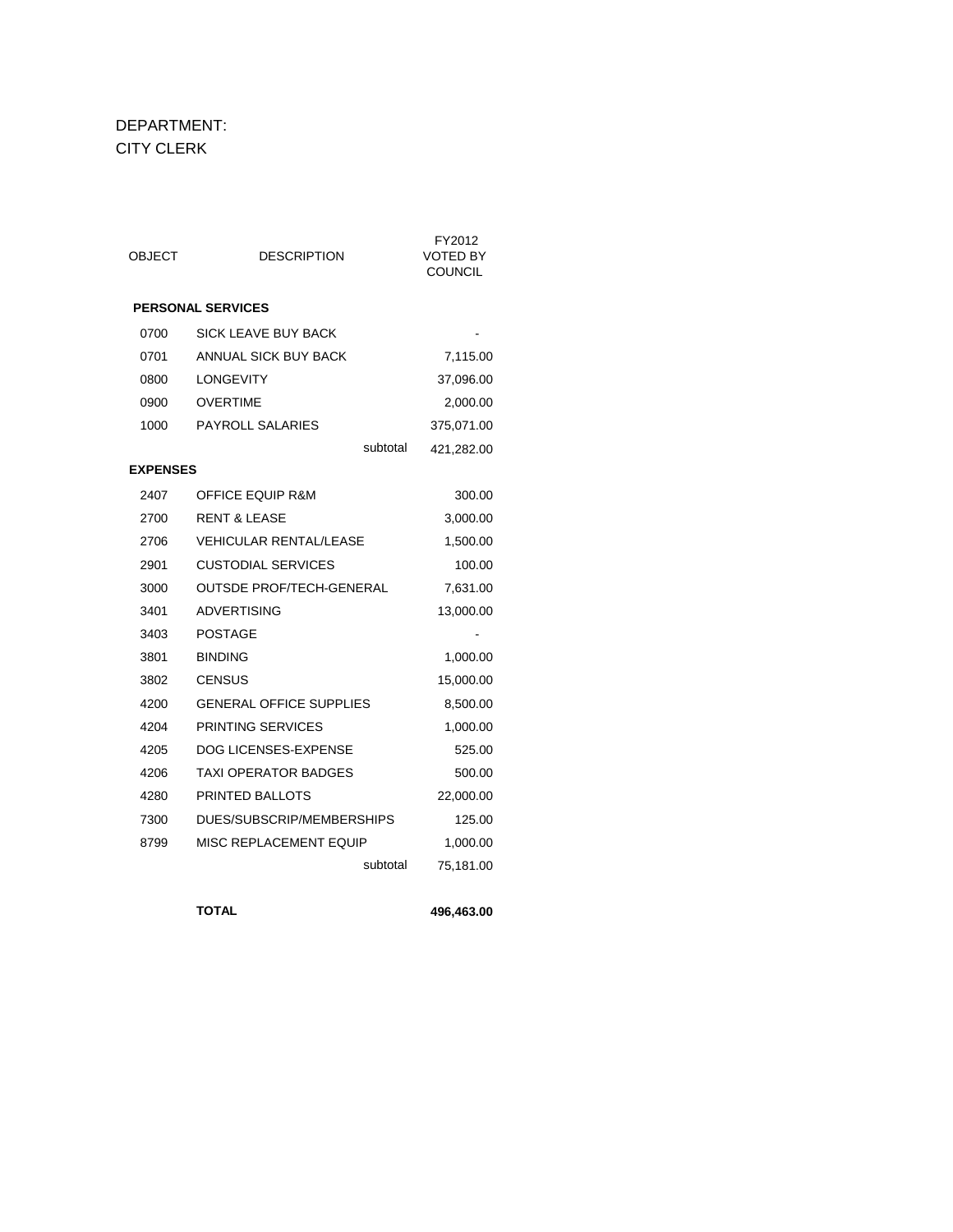#### DEPARTMENT: CITY CLERK

| OBJECT          | <b>DESCRIPTION</b>              | FY2012<br><b>VOTED BY</b><br><b>COUNCIL</b> |
|-----------------|---------------------------------|---------------------------------------------|
|                 | <b>PERSONAL SERVICES</b>        |                                             |
| 0700            | <b>SICK LEAVE BUY BACK</b>      |                                             |
| 0701            | ANNUAL SICK BUY BACK            | 7,115.00                                    |
| 0800            | <b>LONGEVITY</b>                | 37,096.00                                   |
| 0900            | <b>OVERTIME</b>                 | 2,000.00                                    |
| 1000            | <b>PAYROLL SALARIES</b>         | 375,071.00                                  |
|                 | subtotal                        | 421,282.00                                  |
| <b>EXPENSES</b> |                                 |                                             |
| 2407            | <b>OFFICE EQUIP R&amp;M</b>     | 300.00                                      |
| 2700            | <b>RENT &amp; LEASE</b>         | 3,000.00                                    |
| 2706            | <b>VEHICULAR RENTAL/LEASE</b>   | 1,500.00                                    |
| 2901            | <b>CUSTODIAL SERVICES</b>       | 100.00                                      |
| 3000            | <b>OUTSDE PROF/TECH-GENERAL</b> | 7,631.00                                    |
| 3401            | <b>ADVERTISING</b>              | 13,000.00                                   |
| 3403            | POSTAGE                         |                                             |
| 3801            | <b>BINDING</b>                  | 1,000.00                                    |
| 3802            | <b>CENSUS</b>                   | 15,000.00                                   |
| 4200            | <b>GENERAL OFFICE SUPPLIES</b>  | 8,500.00                                    |
| 4204            | PRINTING SERVICES               | 1,000.00                                    |
| 4205            | DOG LICENSES-EXPENSE            | 525.00                                      |
| 4206            | TAXI OPERATOR BADGES            | 500.00                                      |
| 4280            | PRINTED BALLOTS                 | 22,000.00                                   |
| 7300            | DUES/SUBSCRIP/MEMBERSHIPS       | 125.00                                      |
| 8799            | MISC REPLACEMENT EQUIP          | 1,000.00                                    |
|                 | subtotal                        | 75,181.00                                   |

**TOTAL 496,463.00**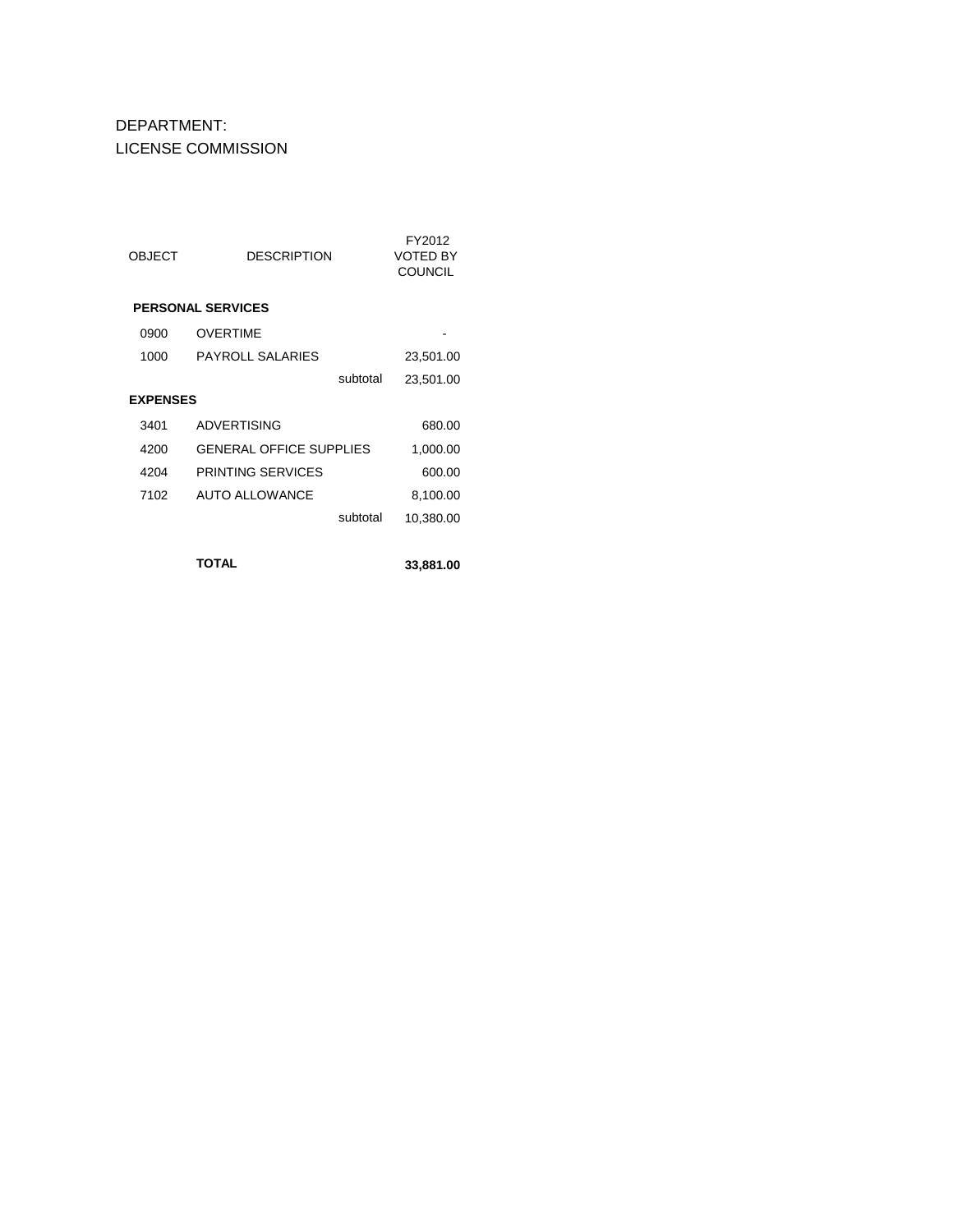# DEPARTMENT: LICENSE COMMISSION

| <b>OBJECT</b>   | DESCRIPTION                    | FY2012<br>VOTED BY<br><b>COUNCIL</b> |
|-----------------|--------------------------------|--------------------------------------|
|                 | <b>PERSONAL SERVICES</b>       |                                      |
| 0900            | <b>OVERTIME</b>                |                                      |
| 1000            | <b>PAYROLL SALARIES</b>        | 23,501.00                            |
|                 | subtotal                       | 23,501.00                            |
| <b>EXPENSES</b> |                                |                                      |
| 3401            | <b>ADVERTISING</b>             | 680.00                               |
| 4200            | <b>GENERAL OFFICE SUPPLIES</b> | 1,000.00                             |
| 4204            | PRINTING SERVICES              | 600.00                               |
| 7102            | <b>AUTO ALLOWANCE</b>          | 8,100.00                             |
|                 | subtotal                       | 10,380.00                            |
|                 |                                |                                      |

**TOTAL 33,881.00**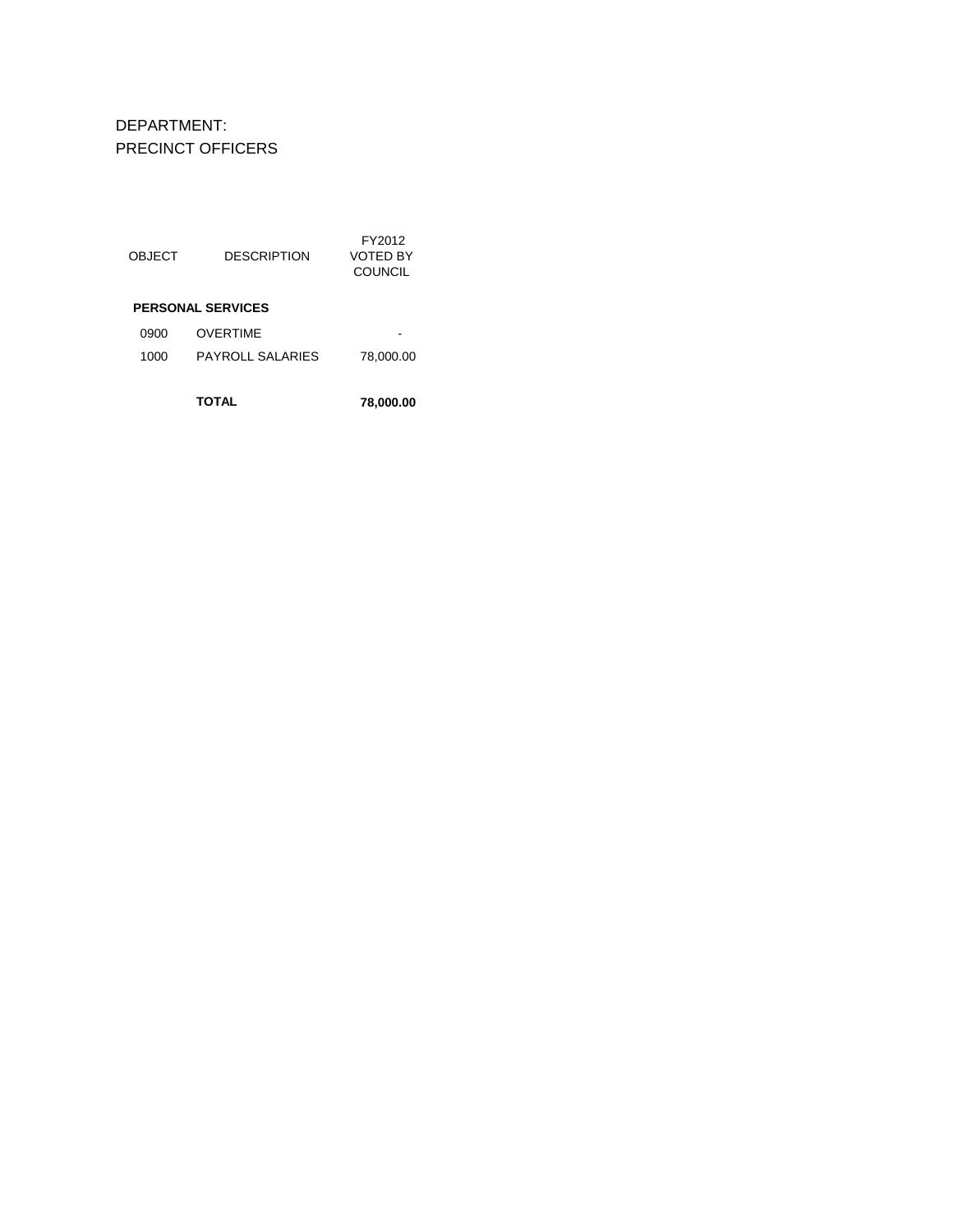DEPARTMENT: PRECINCT OFFICERS

| <b>OBJECT</b> | <b>DESCRIPTION</b>       | FY2012<br>VOTED BY<br>COUNCIL |
|---------------|--------------------------|-------------------------------|
|               | <b>PERSONAL SERVICES</b> |                               |
| 0900          | OVERTIME                 |                               |
| 1000          | PAYROLL SALARIES         | 78,000.00                     |
|               | <b>TOTAL</b>             | 78,000.00                     |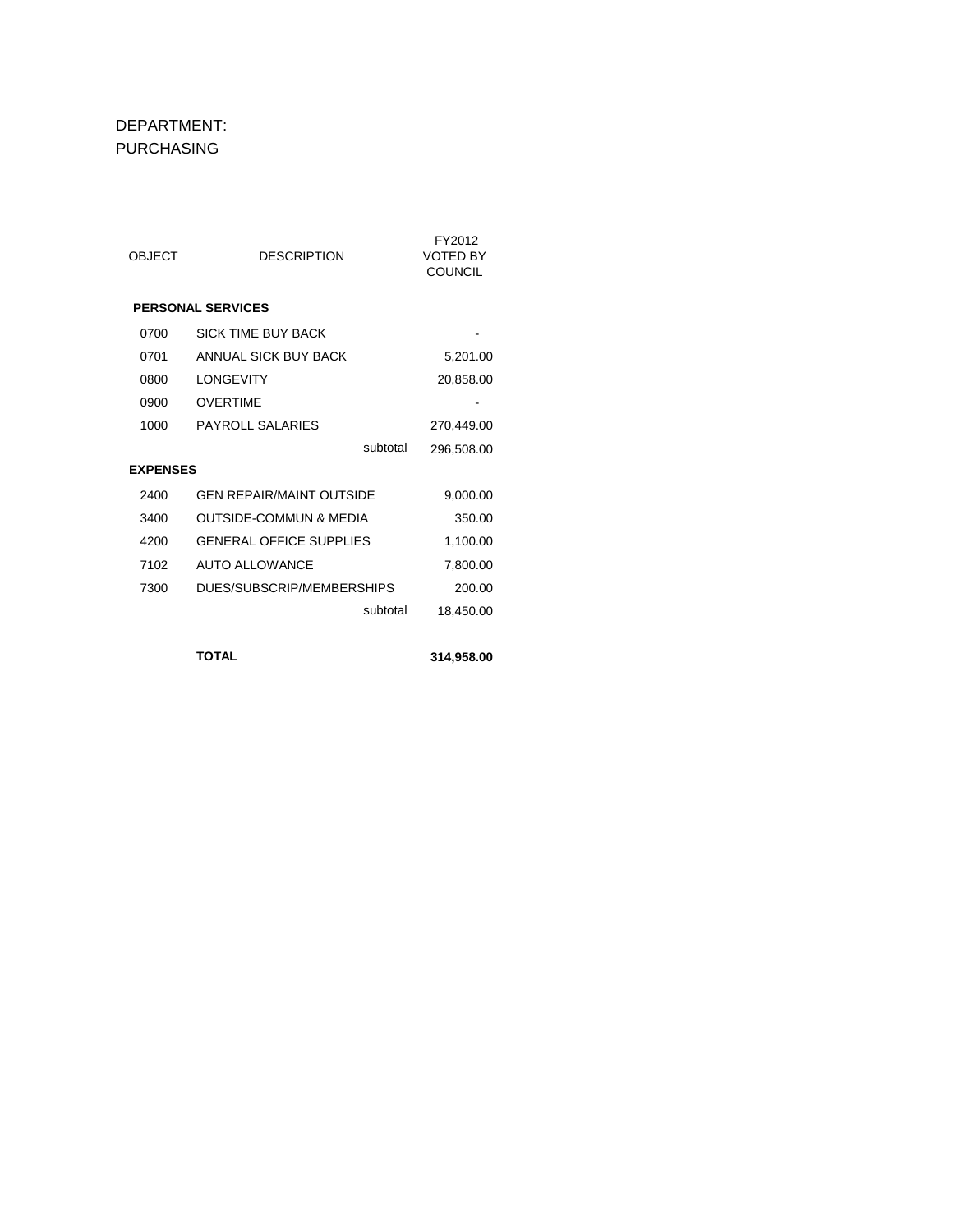#### DEPARTMENT: PURCHASING

| OBJECT          | <b>DESCRIPTION</b>                | FY2012<br><b>VOTED BY</b><br><b>COUNCIL</b> |
|-----------------|-----------------------------------|---------------------------------------------|
|                 | <b>PERSONAL SERVICES</b>          |                                             |
| 0700            | SICK TIME BUY BACK                |                                             |
| 0701            | ANNUAL SICK BUY BACK              | 5,201.00                                    |
| 0800            | LONGEVITY                         | 20,858.00                                   |
| 0900            | <b>OVERTIME</b>                   |                                             |
| 1000            | <b>PAYROLL SALARIES</b>           | 270.449.00                                  |
|                 | subtotal                          | 296,508.00                                  |
| <b>EXPENSES</b> |                                   |                                             |
| 2400            | <b>GEN REPAIR/MAINT OUTSIDE</b>   | 9,000.00                                    |
| 3400            | <b>OUTSIDE-COMMUN &amp; MEDIA</b> | 350.00                                      |
| 4200            | <b>GENERAL OFFICE SUPPLIES</b>    | 1,100.00                                    |
| 7102            | <b>AUTO ALLOWANCE</b>             | 7,800.00                                    |
| 7300            | DUES/SUBSCRIP/MEMBERSHIPS         | 200.00                                      |
|                 | subtotal                          | 18,450.00                                   |
|                 |                                   |                                             |

**TOTAL 314,958.00**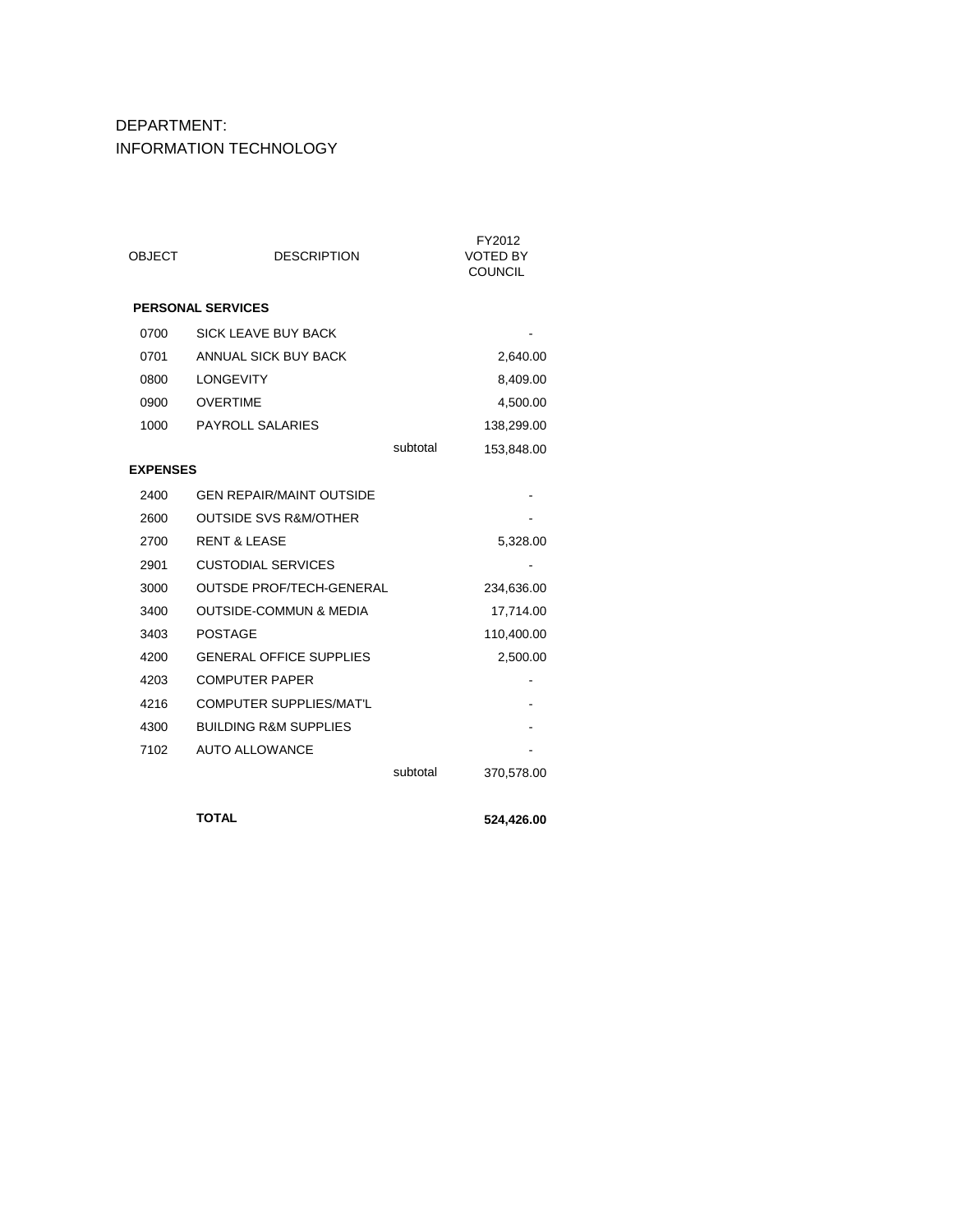### DEPARTMENT: INFORMATION TECHNOLOGY

| <b>PERSONAL SERVICES</b>                  |          |            |
|-------------------------------------------|----------|------------|
| <b>SICK LEAVE BUY BACK</b><br>0700        |          |            |
| ANNUAL SICK BUY BACK<br>0701              |          | 2,640.00   |
| <b>LONGEVITY</b><br>0800                  |          | 8,409.00   |
| 0900<br><b>OVERTIME</b>                   |          | 4,500.00   |
| <b>PAYROLL SALARIES</b><br>1000           |          | 138,299.00 |
|                                           | subtotal | 153,848.00 |
| <b>EXPENSES</b>                           |          |            |
| 2400<br><b>GEN REPAIR/MAINT OUTSIDE</b>   |          |            |
| <b>OUTSIDE SVS R&amp;M/OTHER</b><br>2600  |          |            |
| 2700<br><b>RENT &amp; LEASE</b>           |          | 5,328.00   |
| <b>CUSTODIAL SERVICES</b><br>2901         |          |            |
| 3000<br><b>OUTSDE PROF/TECH-GENERAL</b>   |          | 234,636.00 |
| <b>OUTSIDE-COMMUN &amp; MEDIA</b><br>3400 |          | 17,714.00  |
| 3403<br><b>POSTAGE</b>                    |          | 110,400.00 |
| <b>GENERAL OFFICE SUPPLIES</b><br>4200    |          | 2,500.00   |
| 4203<br><b>COMPUTER PAPER</b>             |          |            |
| <b>COMPUTER SUPPLIES/MAT'L</b><br>4216    |          |            |
| <b>BUILDING R&amp;M SUPPLIES</b><br>4300  |          |            |
| <b>AUTO ALLOWANCE</b><br>7102             |          |            |
|                                           | subtotal | 370,578.00 |
|                                           |          |            |

**TOTAL 524,426.00**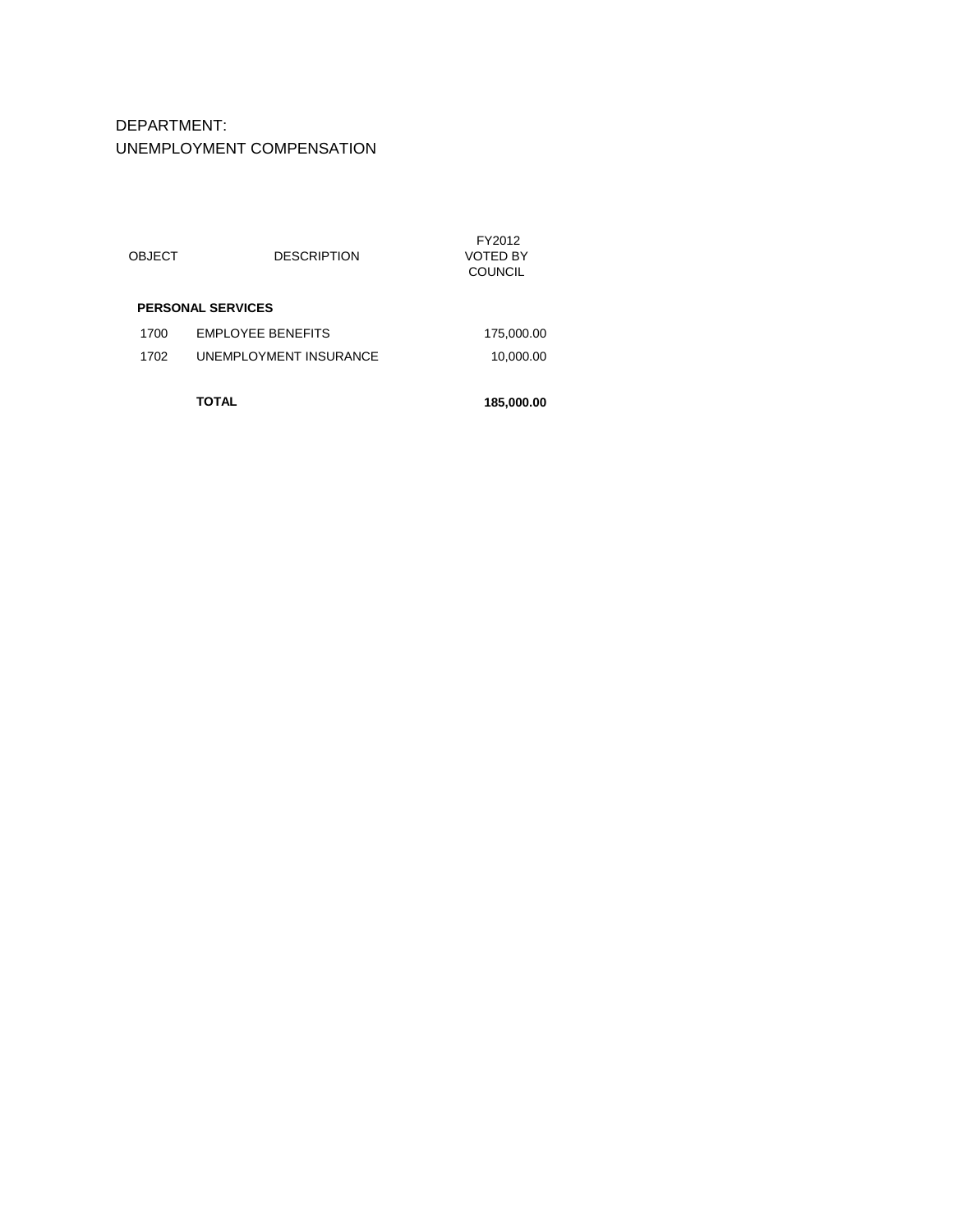## DEPARTMENT: UNEMPLOYMENT COMPENSATION

|               | TOTAL                    | 185,000.00                                  |
|---------------|--------------------------|---------------------------------------------|
| 1702          | UNEMPLOYMENT INSURANCE   | 10,000.00                                   |
| 1700          | <b>EMPLOYEE BENEFITS</b> | 175,000.00                                  |
|               | <b>PERSONAL SERVICES</b> |                                             |
| <b>OBJECT</b> | <b>DESCRIPTION</b>       | FY2012<br><b>VOTED BY</b><br><b>COUNCIL</b> |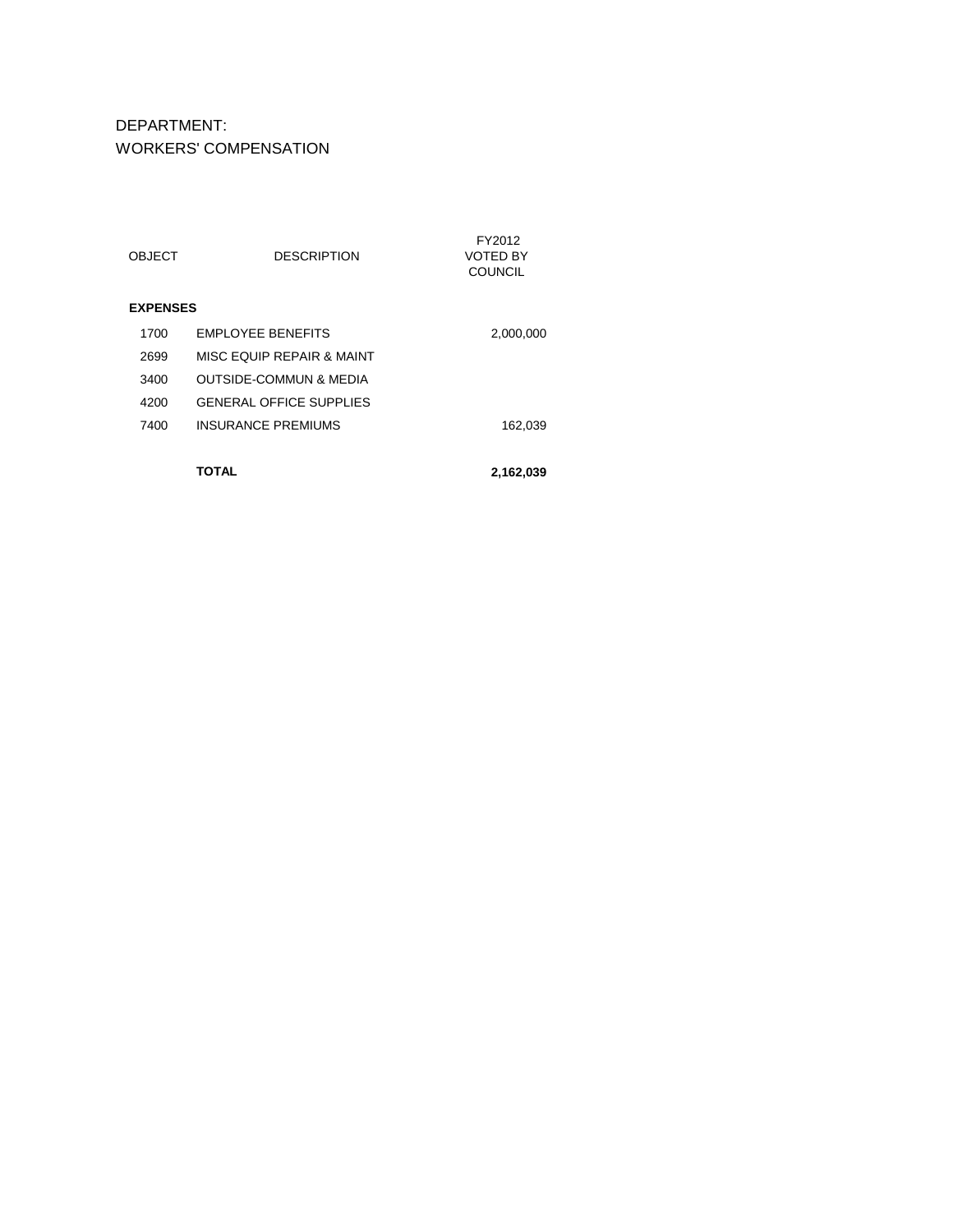DEPARTMENT: WORKERS' COMPENSATION

| <b>OBJECT</b>   | <b>DESCRIPTION</b>                | FY2012<br>VOTED BY<br><b>COUNCIL</b> |
|-----------------|-----------------------------------|--------------------------------------|
| <b>EXPENSES</b> |                                   |                                      |
| 1700            | <b>FMPI OYFF BENFFITS</b>         | 2,000,000                            |
| 2699            | MISC FOUIP REPAIR & MAINT         |                                      |
| 3400            | <b>OUTSIDE-COMMUN &amp; MEDIA</b> |                                      |
| 4200            | <b>GENERAL OFFICE SUPPLIES</b>    |                                      |
| 7400            | INSURANCE PREMIUMS                | 162,039                              |
|                 |                                   |                                      |
|                 | ΤΟΤΑL                             | 2,162,039                            |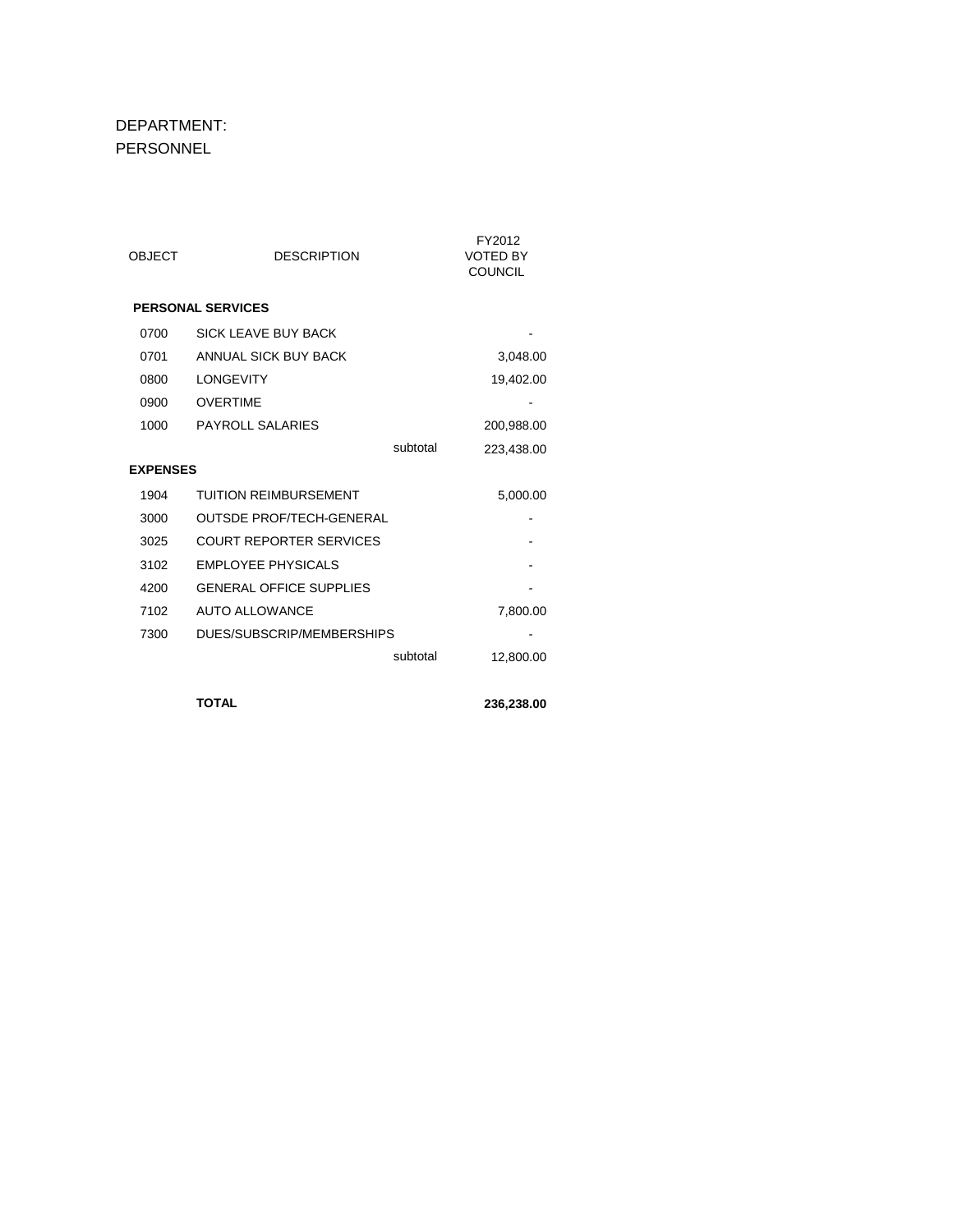#### DEPARTMENT: PERSONNEL

| <b>OBJECT</b>   | <b>DESCRIPTION</b>              |          | FY2012<br><b>VOTED BY</b><br><b>COUNCIL</b> |
|-----------------|---------------------------------|----------|---------------------------------------------|
|                 | <b>PERSONAL SERVICES</b>        |          |                                             |
| 0700            | <b>SICK LEAVE BUY BACK</b>      |          |                                             |
| 0701            | ANNUAL SICK BUY BACK            |          | 3,048.00                                    |
| 0800            | <b>LONGEVITY</b>                |          | 19,402.00                                   |
| 0900            | <b>OVERTIME</b>                 |          |                                             |
| 1000            | PAYROLL SALARIES                |          | 200,988.00                                  |
|                 |                                 | subtotal | 223,438.00                                  |
| <b>EXPENSES</b> |                                 |          |                                             |
| 1904            | <b>TUITION REIMBURSEMENT</b>    |          | 5,000.00                                    |
| 3000            | <b>OUTSDE PROF/TECH-GENERAL</b> |          |                                             |
| 3025            | <b>COURT REPORTER SERVICES</b>  |          |                                             |
| 3102            | <b>EMPLOYEE PHYSICALS</b>       |          |                                             |
| 4200            | <b>GENERAL OFFICE SUPPLIES</b>  |          |                                             |
| 7102            | AUTO ALLOWANCE                  |          | 7,800.00                                    |
| 7300            | DUES/SUBSCRIP/MEMBERSHIPS       |          |                                             |
|                 |                                 | subtotal | 12,800.00                                   |
|                 |                                 |          |                                             |

**TOTAL 236,238.00**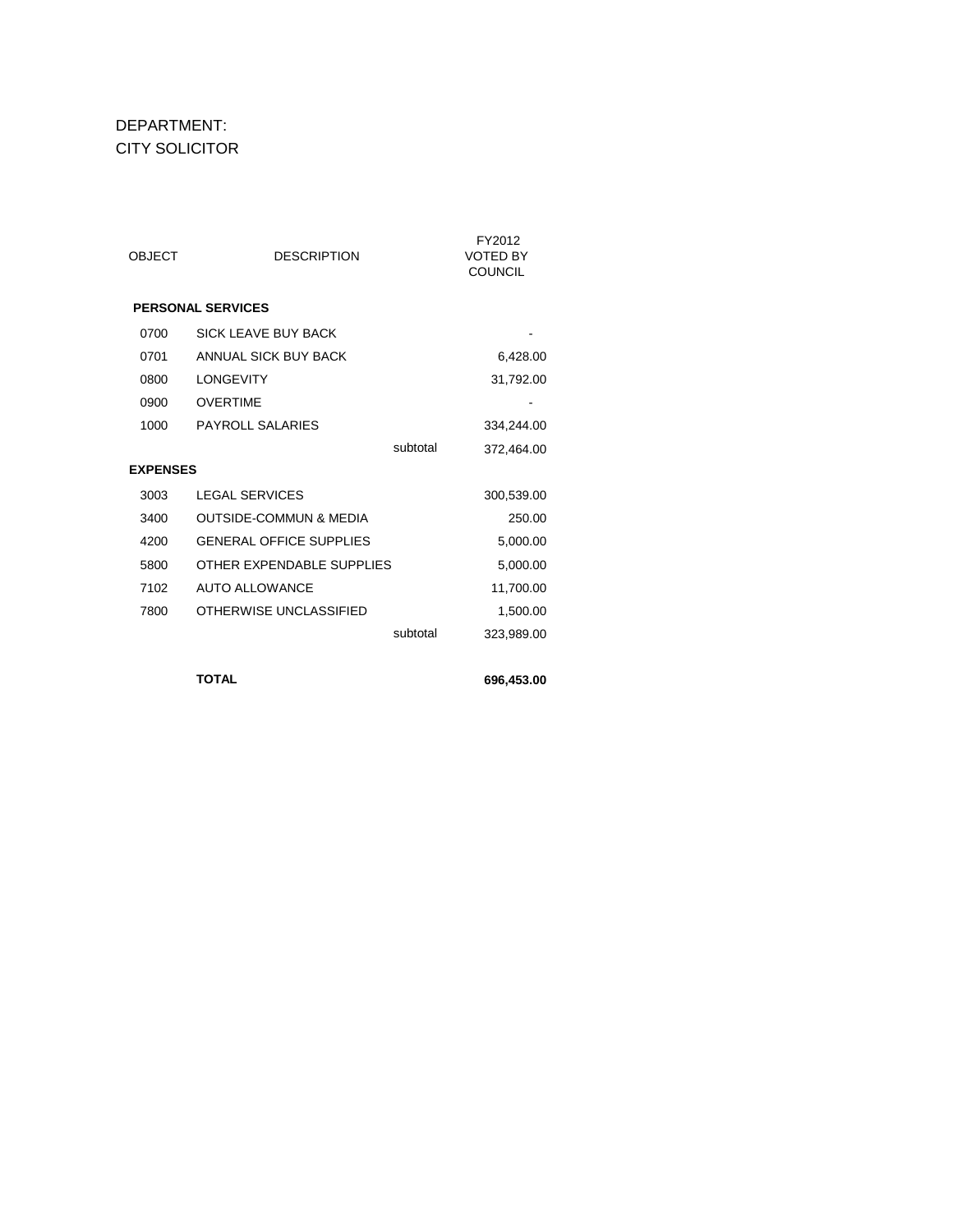#### DEPARTMENT: CITY SOLICITOR

| OBJECT          | <b>DESCRIPTION</b>                | FY2012<br><b>VOTED BY</b><br><b>COUNCIL</b> |
|-----------------|-----------------------------------|---------------------------------------------|
|                 | <b>PERSONAL SERVICES</b>          |                                             |
| 0700            | SICK LEAVE BUY BACK               |                                             |
| 0701            | ANNUAL SICK BUY BACK              | 6,428.00                                    |
| 0800            | <b>LONGEVITY</b>                  | 31,792.00                                   |
| 0900            | <b>OVERTIME</b>                   |                                             |
| 1000            | <b>PAYROLL SALARIES</b>           | 334,244.00                                  |
|                 | subtotal                          | 372,464.00                                  |
| <b>EXPENSES</b> |                                   |                                             |
| 3003            | <b>LEGAL SERVICES</b>             | 300,539.00                                  |
| 3400            | <b>OUTSIDE-COMMUN &amp; MEDIA</b> | 250.00                                      |
| 4200            | <b>GENERAL OFFICE SUPPLIES</b>    | 5,000.00                                    |
| 5800            | OTHER EXPENDABLE SUPPLIES         | 5,000.00                                    |
| 7102            | AUTO ALLOWANCE                    | 11,700.00                                   |
| 7800            | OTHERWISE UNCLASSIFIED            | 1,500.00                                    |
|                 | subtotal                          | 323,989.00                                  |
|                 |                                   |                                             |

**TOTAL 696,453.00**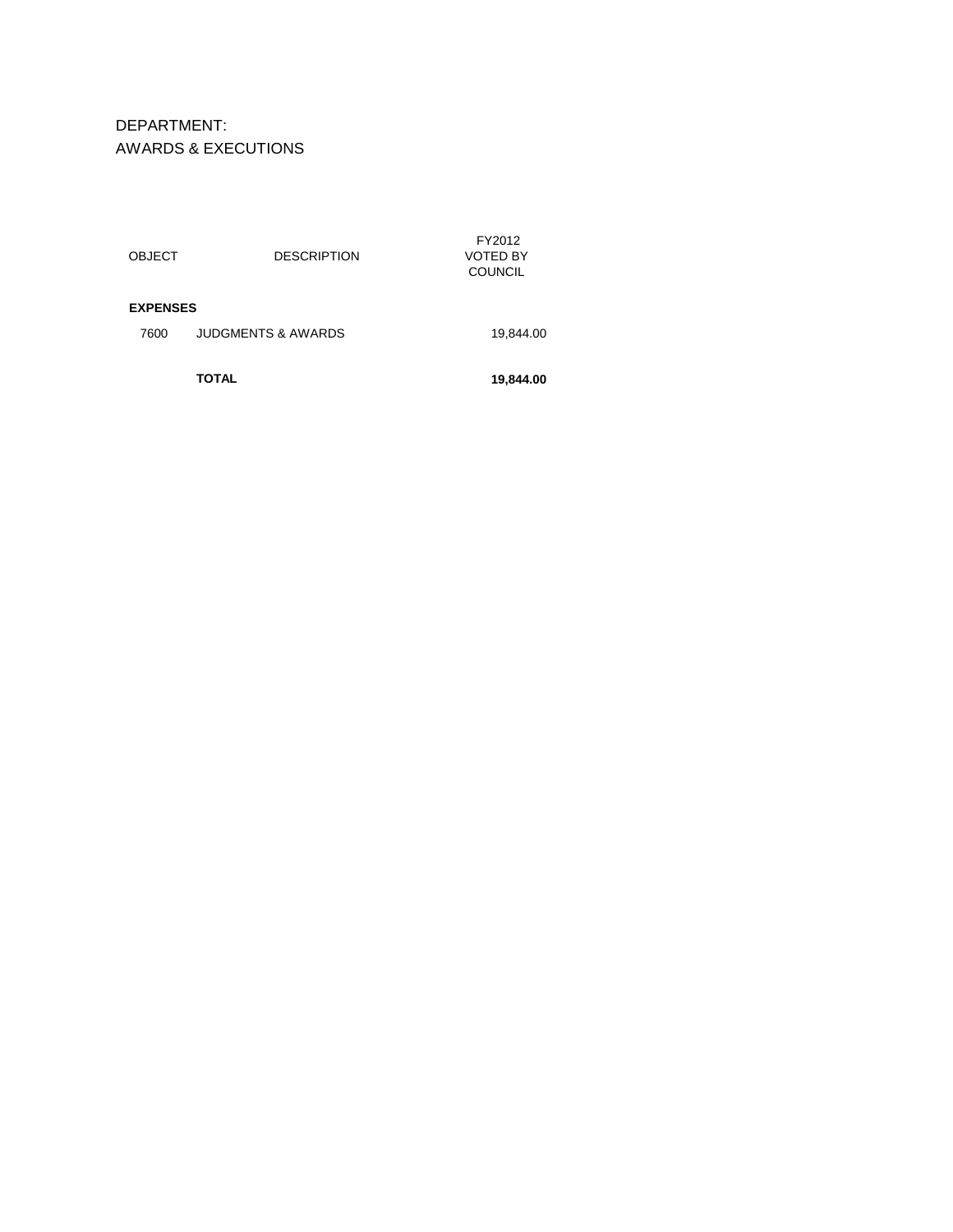DEPARTMENT: AWARDS & EXECUTIONS

|                 | TOTAL                         | 19,844.00                            |
|-----------------|-------------------------------|--------------------------------------|
| 7600            | <b>JUDGMENTS &amp; AWARDS</b> | 19,844.00                            |
| <b>EXPENSES</b> |                               |                                      |
| <b>OBJECT</b>   | <b>DESCRIPTION</b>            | FY2012<br>VOTED BY<br><b>COUNCIL</b> |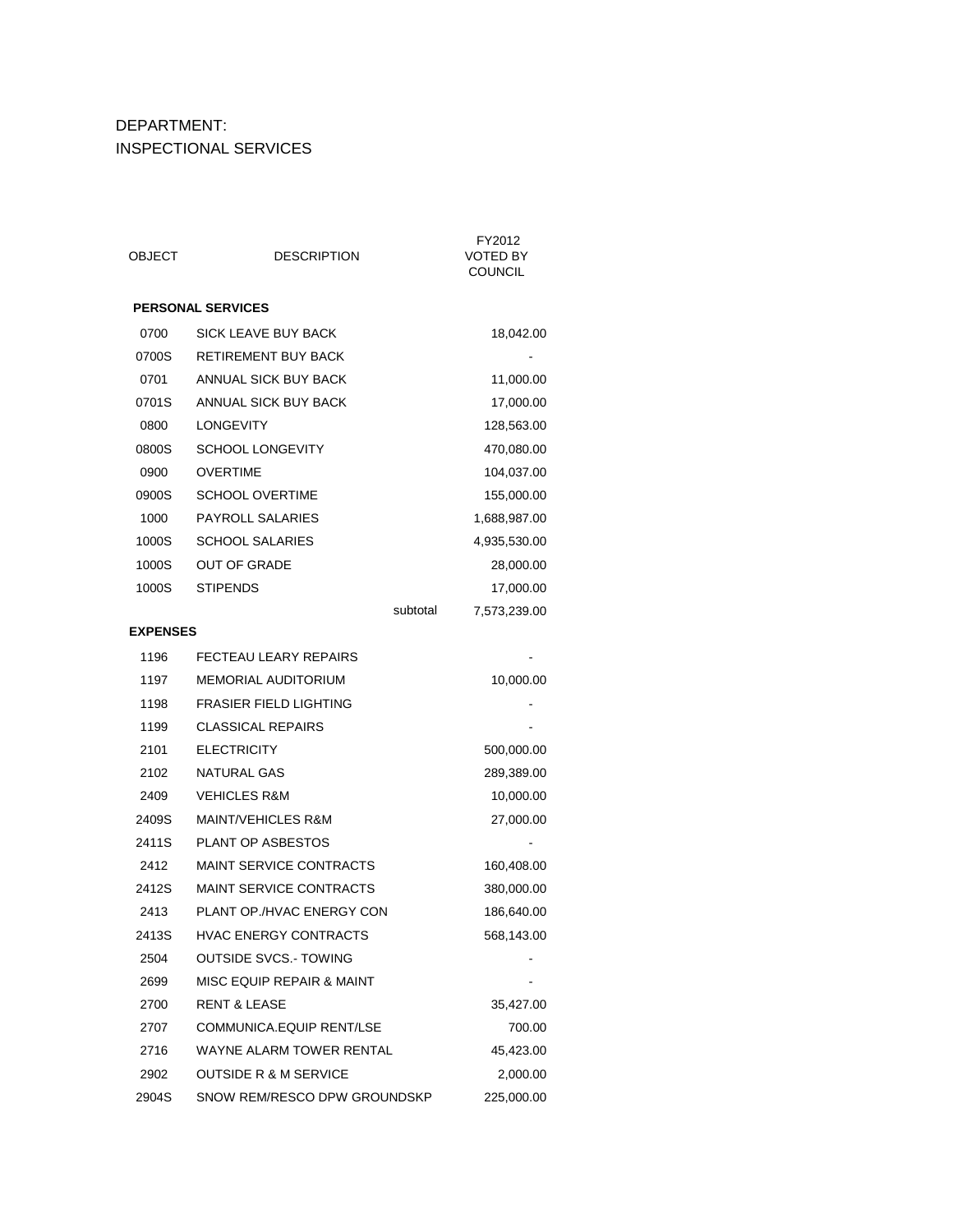### DEPARTMENT: INSPECTIONAL SERVICES

| OBJECT          | <b>DESCRIPTION</b>               | FY2012<br><b>VOTED BY</b><br><b>COUNCIL</b> |
|-----------------|----------------------------------|---------------------------------------------|
|                 | <b>PERSONAL SERVICES</b>         |                                             |
| 0700            | SICK LEAVE BUY BACK              | 18,042.00                                   |
| 0700S           | <b>RETIREMENT BUY BACK</b>       |                                             |
| 0701            | ANNUAL SICK BUY BACK             | 11,000.00                                   |
| 0701S           | <b>ANNUAL SICK BUY BACK</b>      | 17,000.00                                   |
| 0800            | <b>LONGEVITY</b>                 | 128,563.00                                  |
| 0800S           | <b>SCHOOL LONGEVITY</b>          | 470,080.00                                  |
| 0900            | <b>OVERTIME</b>                  | 104,037.00                                  |
| 0900S           | <b>SCHOOL OVERTIME</b>           | 155,000.00                                  |
| 1000            | <b>PAYROLL SALARIES</b>          | 1,688,987.00                                |
| 1000S           | <b>SCHOOL SALARIES</b>           | 4,935,530.00                                |
| 1000S           | <b>OUT OF GRADE</b>              | 28,000.00                                   |
| 1000S           | <b>STIPENDS</b>                  | 17,000.00                                   |
|                 | subtotal                         | 7,573,239.00                                |
| <b>EXPENSES</b> |                                  |                                             |
| 1196            | <b>FECTEAU LEARY REPAIRS</b>     |                                             |
| 1197            | MEMORIAL AUDITORIUM              | 10,000.00                                   |
| 1198            | <b>FRASIER FIELD LIGHTING</b>    |                                             |
| 1199            | <b>CLASSICAL REPAIRS</b>         |                                             |
| 2101            | <b>ELECTRICITY</b>               | 500,000.00                                  |
| 2102            | <b>NATURAL GAS</b>               | 289,389.00                                  |
| 2409            | <b>VEHICLES R&amp;M</b>          | 10,000.00                                   |
| 2409S           | <b>MAINT/VEHICLES R&amp;M</b>    | 27,000.00                                   |
| 2411S           | PLANT OP ASBESTOS                |                                             |
| 2412            | <b>MAINT SERVICE CONTRACTS</b>   | 160,408.00                                  |
| 2412S           | <b>MAINT SERVICE CONTRACTS</b>   | 380,000.00                                  |
| 2413            | PLANT OP./HVAC ENERGY CON        | 186,640.00                                  |
| 2413S           | HVAC ENERGY CONTRACTS            | 568,143.00                                  |
| 2504            | <b>OUTSIDE SVCS. TOWING</b>      |                                             |
| 2699            | MISC EQUIP REPAIR & MAINT        |                                             |
| 2700            | <b>RENT &amp; LEASE</b>          | 35,427.00                                   |
| 2707            | COMMUNICA.EQUIP RENT/LSE         | 700.00                                      |
| 2716            | WAYNE ALARM TOWER RENTAL         | 45,423.00                                   |
| 2902            | <b>OUTSIDE R &amp; M SERVICE</b> | 2,000.00                                    |
| 2904S           | SNOW REM/RESCO DPW GROUNDSKP     | 225,000.00                                  |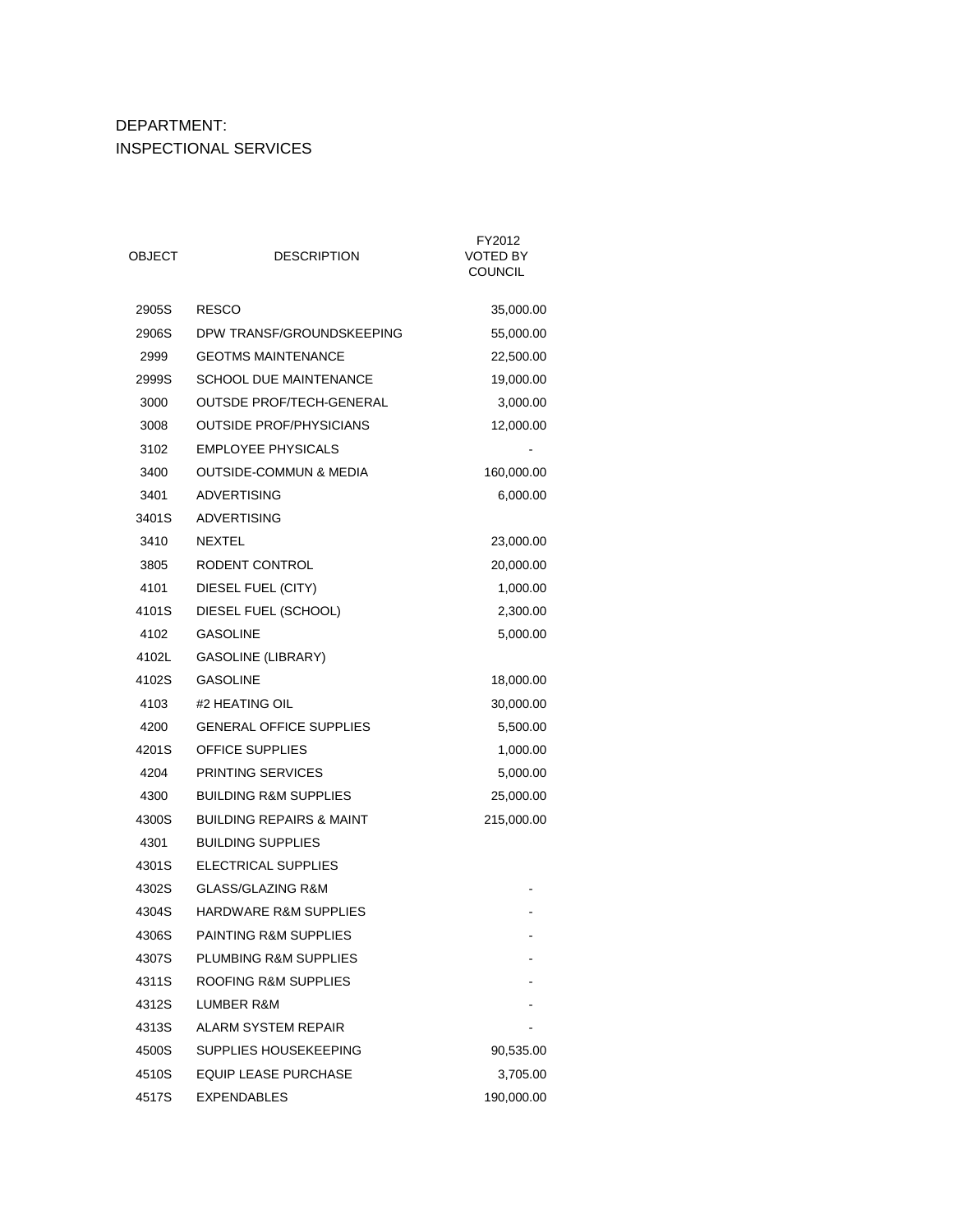## DEPARTMENT: INSPECTIONAL SERVICES

| OBJECT | <b>DESCRIPTION</b>                  | FY2012<br>VOTED BY<br><b>COUNCIL</b> |
|--------|-------------------------------------|--------------------------------------|
| 2905S  | <b>RESCO</b>                        | 35,000.00                            |
| 2906S  | DPW TRANSF/GROUNDSKEEPING           | 55,000.00                            |
| 2999   | <b>GEOTMS MAINTENANCE</b>           | 22,500.00                            |
| 2999S  | <b>SCHOOL DUE MAINTENANCE</b>       | 19,000.00                            |
| 3000   | <b>OUTSDE PROF/TECH-GENERAL</b>     | 3,000.00                             |
| 3008   | <b>OUTSIDE PROF/PHYSICIANS</b>      | 12,000.00                            |
| 3102   | <b>EMPLOYEE PHYSICALS</b>           |                                      |
| 3400   | <b>OUTSIDE-COMMUN &amp; MEDIA</b>   | 160,000.00                           |
| 3401   | <b>ADVERTISING</b>                  | 6,000.00                             |
| 3401S  | ADVERTISING                         |                                      |
| 3410   | <b>NEXTEL</b>                       | 23,000.00                            |
| 3805   | RODENT CONTROL                      | 20,000.00                            |
| 4101   | DIESEL FUEL (CITY)                  | 1,000.00                             |
| 4101S  | DIESEL FUEL (SCHOOL)                | 2,300.00                             |
| 4102   | <b>GASOLINE</b>                     | 5,000.00                             |
| 4102L  | <b>GASOLINE (LIBRARY)</b>           |                                      |
| 4102S  | <b>GASOLINE</b>                     | 18,000.00                            |
| 4103   | #2 HEATING OIL                      | 30,000.00                            |
| 4200   | <b>GENERAL OFFICE SUPPLIES</b>      | 5,500.00                             |
| 4201S  | <b>OFFICE SUPPLIES</b>              | 1,000.00                             |
| 4204   | <b>PRINTING SERVICES</b>            | 5,000.00                             |
| 4300   | <b>BUILDING R&amp;M SUPPLIES</b>    | 25,000.00                            |
| 4300S  | <b>BUILDING REPAIRS &amp; MAINT</b> | 215,000.00                           |
| 4301   | <b>BUILDING SUPPLIES</b>            |                                      |
| 4301S  | ELECTRICAL SUPPLIES                 |                                      |
| 4302S  | <b>GLASS/GLAZING R&amp;M</b>        |                                      |
| 4304S  | <b>HARDWARE R&amp;M SUPPLIES</b>    |                                      |
| 4306S  | <b>PAINTING R&amp;M SUPPLIES</b>    |                                      |
| 4307S  | <b>PLUMBING R&amp;M SUPPLIES</b>    |                                      |
| 4311S  | ROOFING R&M SUPPLIES                |                                      |
| 4312S  | LUMBER R&M                          |                                      |
| 4313S  | ALARM SYSTEM REPAIR                 |                                      |
| 4500S  | SUPPLIES HOUSEKEEPING               | 90,535.00                            |
| 4510S  | <b>EQUIP LEASE PURCHASE</b>         | 3,705.00                             |
| 4517S  | EXPENDABLES                         | 190,000.00                           |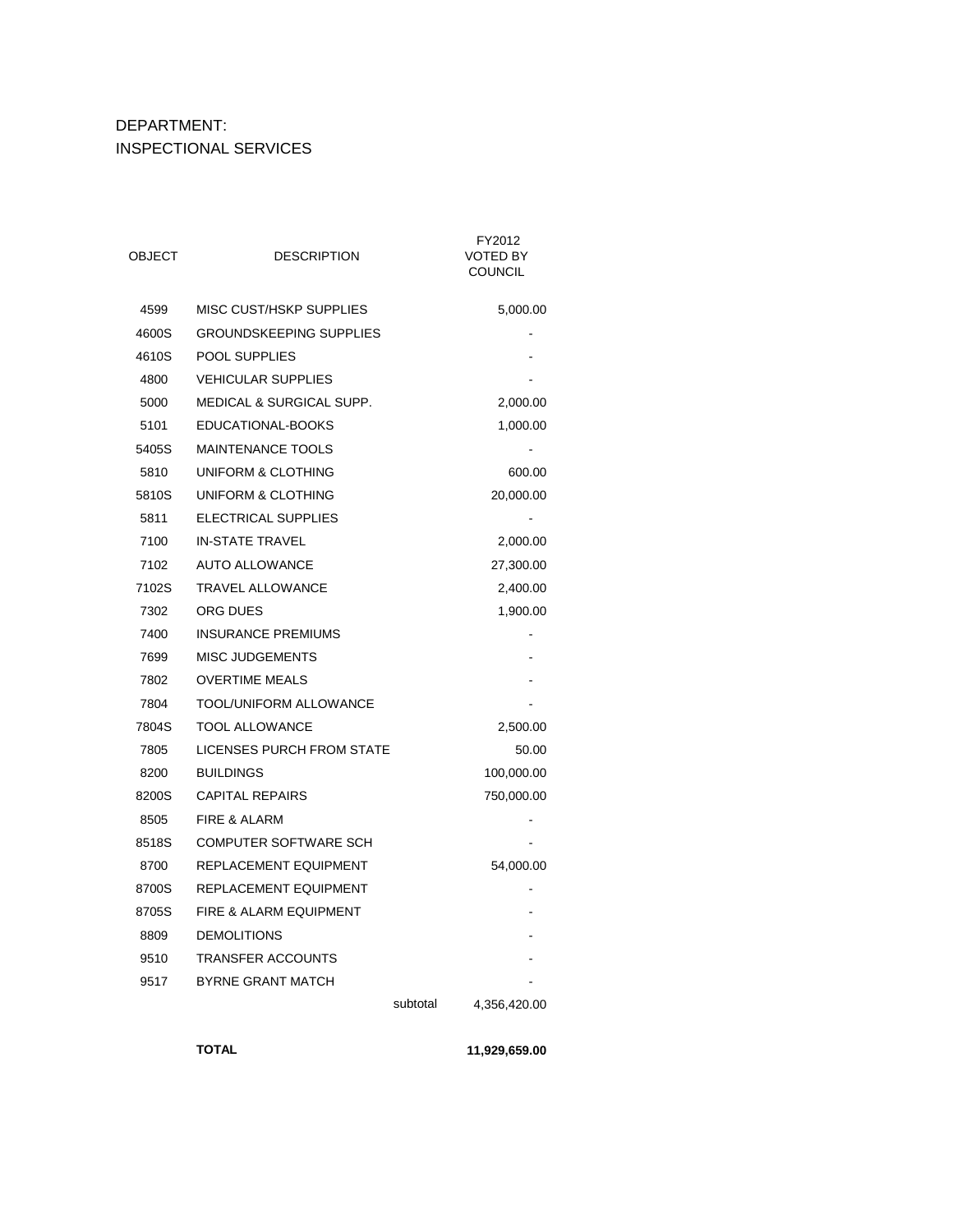### DEPARTMENT: INSPECTIONAL SERVICES

| OBJECT | <b>DESCRIPTION</b>                  |          | FY2012<br><b>VOTED BY</b><br>COUNCIL |
|--------|-------------------------------------|----------|--------------------------------------|
| 4599   | MISC CUST/HSKP SUPPLIES             |          | 5,000.00                             |
| 4600S  | <b>GROUNDSKEEPING SUPPLIES</b>      |          |                                      |
| 4610S  | <b>POOL SUPPLIES</b>                |          |                                      |
| 4800   | <b>VEHICULAR SUPPLIES</b>           |          |                                      |
| 5000   | <b>MEDICAL &amp; SURGICAL SUPP.</b> |          | 2,000.00                             |
| 5101   | EDUCATIONAL-BOOKS                   |          | 1,000.00                             |
| 5405S  | <b>MAINTENANCE TOOLS</b>            |          |                                      |
| 5810   | UNIFORM & CLOTHING                  |          | 600.00                               |
| 5810S  | UNIFORM & CLOTHING                  |          | 20,000.00                            |
| 5811   | <b>ELECTRICAL SUPPLIES</b>          |          |                                      |
| 7100   | <b>IN-STATE TRAVEL</b>              |          | 2,000.00                             |
| 7102   | <b>AUTO ALLOWANCE</b>               |          | 27,300.00                            |
| 7102S  | <b>TRAVEL ALLOWANCE</b>             |          | 2,400.00                             |
| 7302   | ORG DUES                            |          | 1,900.00                             |
| 7400   | <b>INSURANCE PREMIUMS</b>           |          |                                      |
| 7699   | <b>MISC JUDGEMENTS</b>              |          |                                      |
| 7802   | <b>OVERTIME MEALS</b>               |          |                                      |
| 7804   | TOOL/UNIFORM ALLOWANCE              |          |                                      |
| 7804S  | <b>TOOL ALLOWANCE</b>               |          | 2,500.00                             |
| 7805   | <b>LICENSES PURCH FROM STATE</b>    |          | 50.00                                |
| 8200   | <b>BUILDINGS</b>                    |          | 100,000.00                           |
| 8200S  | <b>CAPITAL REPAIRS</b>              |          | 750,000.00                           |
| 8505   | <b>FIRE &amp; ALARM</b>             |          |                                      |
| 8518S  | <b>COMPUTER SOFTWARE SCH</b>        |          |                                      |
| 8700   | REPLACEMENT EQUIPMENT               |          | 54,000.00                            |
| 8700S  | REPLACEMENT EQUIPMENT               |          |                                      |
| 8705S  | FIRE & ALARM EQUIPMENT              |          |                                      |
| 8809   | <b>DEMOLITIONS</b>                  |          |                                      |
| 9510   | <b>TRANSFER ACCOUNTS</b>            |          |                                      |
| 9517   | <b>BYRNE GRANT MATCH</b>            |          |                                      |
|        |                                     | subtotal | 4,356,420.00                         |

**TOTAL 11,929,659.00**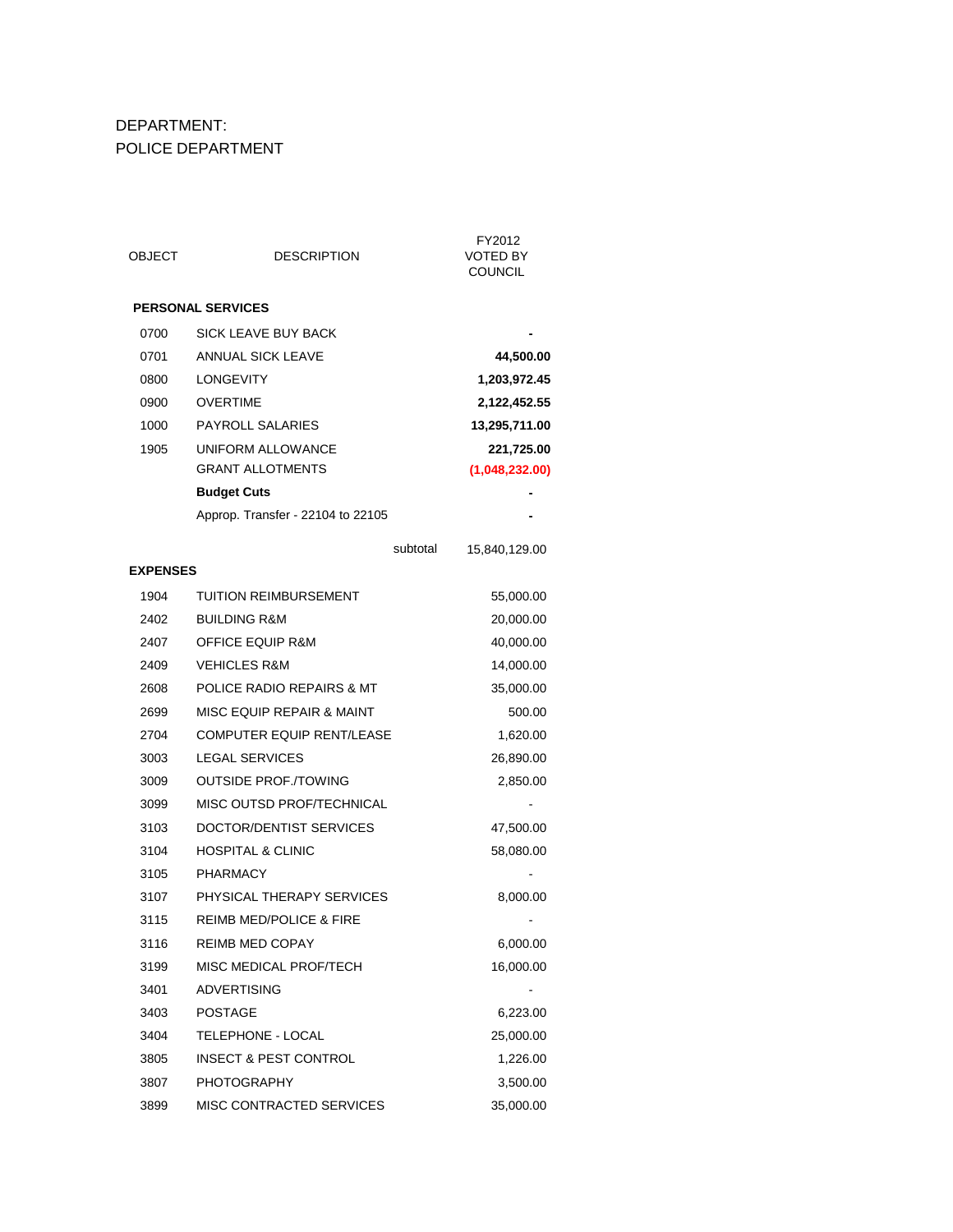### DEPARTMENT: POLICE DEPARTMENT

| OBJECT          | <b>DESCRIPTION</b>                 | FY2012<br><b>VOTED BY</b><br><b>COUNCIL</b> |
|-----------------|------------------------------------|---------------------------------------------|
|                 | <b>PERSONAL SERVICES</b>           |                                             |
| 0700            | <b>SICK LEAVE BUY BACK</b>         |                                             |
| 0701            | <b>ANNUAL SICK LEAVE</b>           | 44,500.00                                   |
| 0800            | LONGEVITY                          | 1,203,972.45                                |
| 0900            | <b>OVERTIME</b>                    | 2,122,452.55                                |
| 1000            | PAYROLL SALARIES                   | 13,295,711.00                               |
| 1905            | UNIFORM ALLOWANCE                  | 221,725.00                                  |
|                 | <b>GRANT ALLOTMENTS</b>            | (1,048,232.00)                              |
|                 | <b>Budget Cuts</b>                 |                                             |
|                 | Approp. Transfer - 22104 to 22105  |                                             |
|                 | subtotal                           | 15,840,129.00                               |
| <b>EXPENSES</b> |                                    |                                             |
| 1904            | <b>TUITION REIMBURSEMENT</b>       | 55,000.00                                   |
| 2402            | <b>BUILDING R&amp;M</b>            | 20,000.00                                   |
| 2407            | <b>OFFICE EQUIP R&amp;M</b>        | 40,000.00                                   |
| 2409            | <b>VEHICLES R&amp;M</b>            | 14,000.00                                   |
| 2608            | POLICE RADIO REPAIRS & MT          | 35,000.00                                   |
| 2699            | MISC EQUIP REPAIR & MAINT          | 500.00                                      |
| 2704            | <b>COMPUTER EQUIP RENT/LEASE</b>   | 1,620.00                                    |
| 3003            | <b>LEGAL SERVICES</b>              | 26,890.00                                   |
| 3009            | <b>OUTSIDE PROF./TOWING</b>        | 2,850.00                                    |
| 3099            | MISC OUTSD PROF/TECHNICAL          |                                             |
| 3103            | DOCTOR/DENTIST SERVICES            | 47,500.00                                   |
| 3104            | <b>HOSPITAL &amp; CLINIC</b>       | 58,080.00                                   |
| 3105            | <b>PHARMACY</b>                    |                                             |
| 3107            | PHYSICAL THERAPY SERVICES          | 8,000.00                                    |
| 3115            | <b>REIMB MED/POLICE &amp; FIRE</b> |                                             |
| 3116            | <b>REIMB MED COPAY</b>             | 6,000.00                                    |
| 3199            | MISC MEDICAL PROF/TECH             | 16,000.00                                   |
| 3401            | <b>ADVERTISING</b>                 |                                             |
| 3403            | <b>POSTAGE</b>                     | 6,223.00                                    |
| 3404            | TELEPHONE - LOCAL                  | 25,000.00                                   |
| 3805            | INSECT & PEST CONTROL              | 1,226.00                                    |
| 3807            | <b>PHOTOGRAPHY</b>                 | 3,500.00                                    |
| 3899            | MISC CONTRACTED SERVICES           | 35,000.00                                   |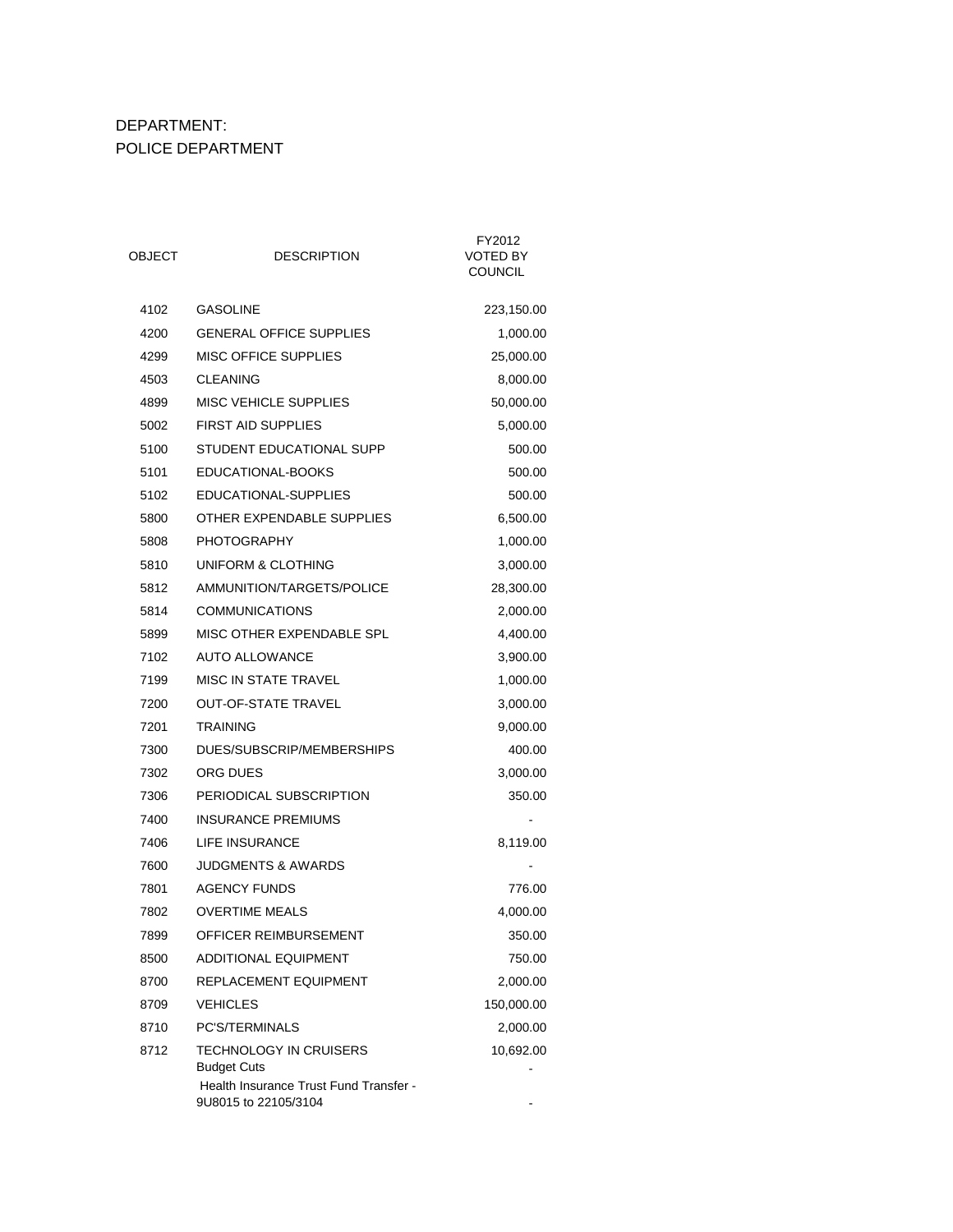### DEPARTMENT: POLICE DEPARTMENT

| OBJECT | <b>DESCRIPTION</b>                                             | FY2012<br>VOTED BY<br><b>COUNCIL</b> |
|--------|----------------------------------------------------------------|--------------------------------------|
| 4102   | <b>GASOLINE</b>                                                | 223,150.00                           |
| 4200   | <b>GENERAL OFFICE SUPPLIES</b>                                 | 1,000.00                             |
| 4299   | <b>MISC OFFICE SUPPLIES</b>                                    | 25,000.00                            |
| 4503   | <b>CLEANING</b>                                                | 8,000.00                             |
| 4899   | <b>MISC VEHICLE SUPPLIES</b>                                   | 50,000.00                            |
| 5002   | <b>FIRST AID SUPPLIES</b>                                      | 5,000.00                             |
| 5100   | STUDENT EDUCATIONAL SUPP                                       | 500.00                               |
| 5101   | EDUCATIONAL-BOOKS                                              | 500.00                               |
| 5102   | EDUCATIONAL-SUPPLIES                                           | 500.00                               |
| 5800   | OTHER EXPENDABLE SUPPLIES                                      | 6,500.00                             |
| 5808   | <b>PHOTOGRAPHY</b>                                             | 1,000.00                             |
| 5810   | UNIFORM & CLOTHING                                             | 3,000.00                             |
| 5812   | AMMUNITION/TARGETS/POLICE                                      | 28,300.00                            |
| 5814   | <b>COMMUNICATIONS</b>                                          | 2,000.00                             |
| 5899   | MISC OTHER EXPENDABLE SPL                                      | 4,400.00                             |
| 7102   | <b>AUTO ALLOWANCE</b>                                          | 3,900.00                             |
| 7199   | MISC IN STATE TRAVEL                                           | 1,000.00                             |
| 7200   | <b>OUT-OF-STATE TRAVEL</b>                                     | 3,000.00                             |
| 7201   | <b>TRAINING</b>                                                | 9,000.00                             |
| 7300   | DUES/SUBSCRIP/MEMBERSHIPS                                      | 400.00                               |
| 7302   | ORG DUES                                                       | 3,000.00                             |
| 7306   | PERIODICAL SUBSCRIPTION                                        | 350.00                               |
| 7400   | <b>INSURANCE PREMIUMS</b>                                      | $\qquad \qquad \blacksquare$         |
| 7406   | LIFE INSURANCE                                                 | 8,119.00                             |
| 7600   | <b>JUDGMENTS &amp; AWARDS</b>                                  | $\qquad \qquad \blacksquare$         |
| 7801   | <b>AGENCY FUNDS</b>                                            | 776.00                               |
| 7802   | <b>OVERTIME MEALS</b>                                          | 4,000.00                             |
| 7899   | OFFICER REIMBURSEMENT                                          | 350.00                               |
| 8500   | <b>ADDITIONAL EQUIPMENT</b>                                    | 750.00                               |
| 8700   | REPLACEMENT EQUIPMENT                                          | 2,000.00                             |
| 8709   | <b>VEHICLES</b>                                                | 150,000.00                           |
| 8710   | PC'S/TERMINALS                                                 | 2,000.00                             |
| 8712   | TECHNOLOGY IN CRUISERS<br><b>Budget Cuts</b>                   | 10,692.00                            |
|        | Health Insurance Trust Fund Transfer -<br>9U8015 to 22105/3104 |                                      |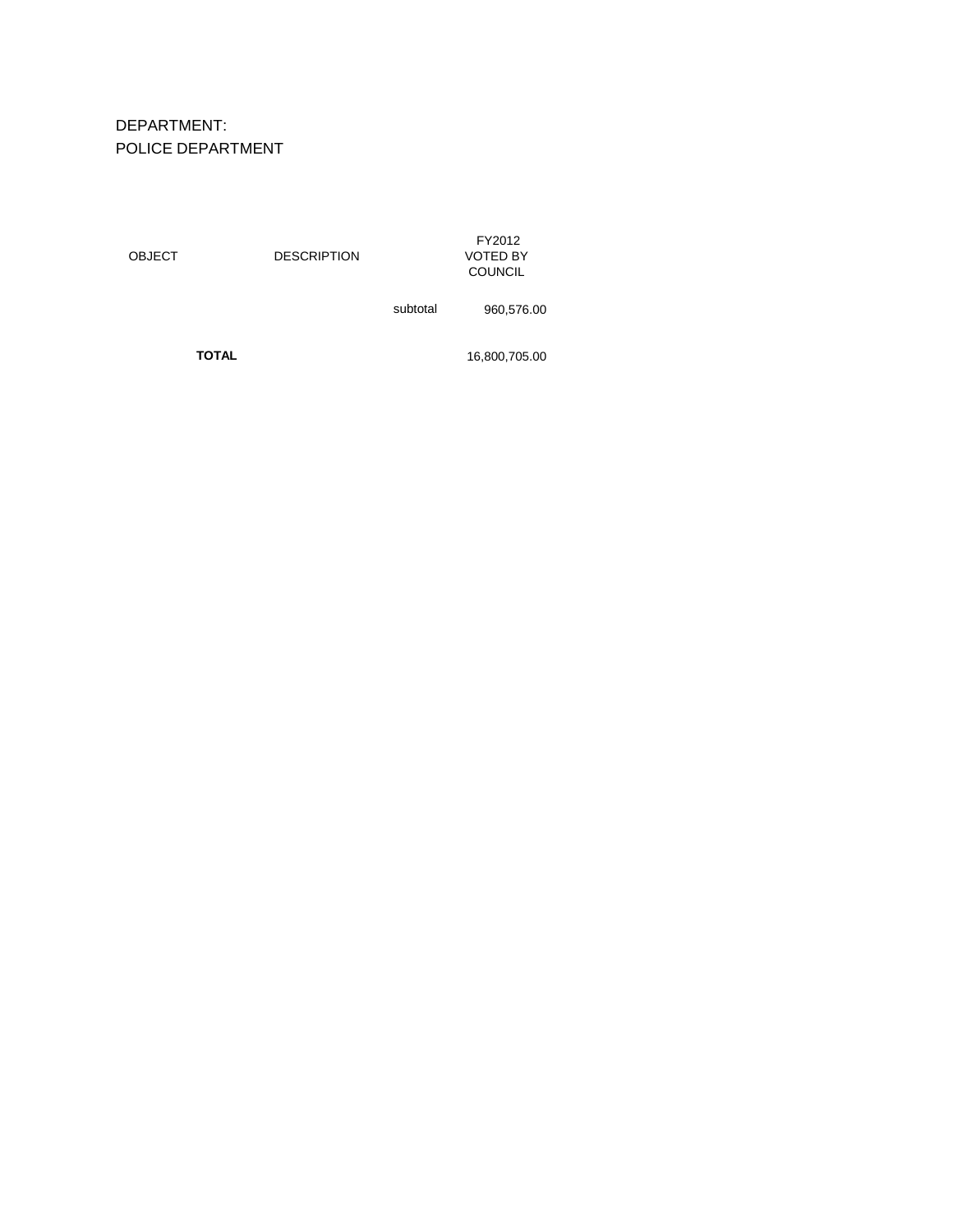# DEPARTMENT: POLICE DEPARTMENT

| <b>OBJECT</b> | <b>DESCRIPTION</b> |          | FY2012<br><b>VOTED BY</b><br><b>COUNCIL</b> |
|---------------|--------------------|----------|---------------------------------------------|
|               |                    | subtotal | 960,576.00                                  |

**TOTAL** 16,800,705.00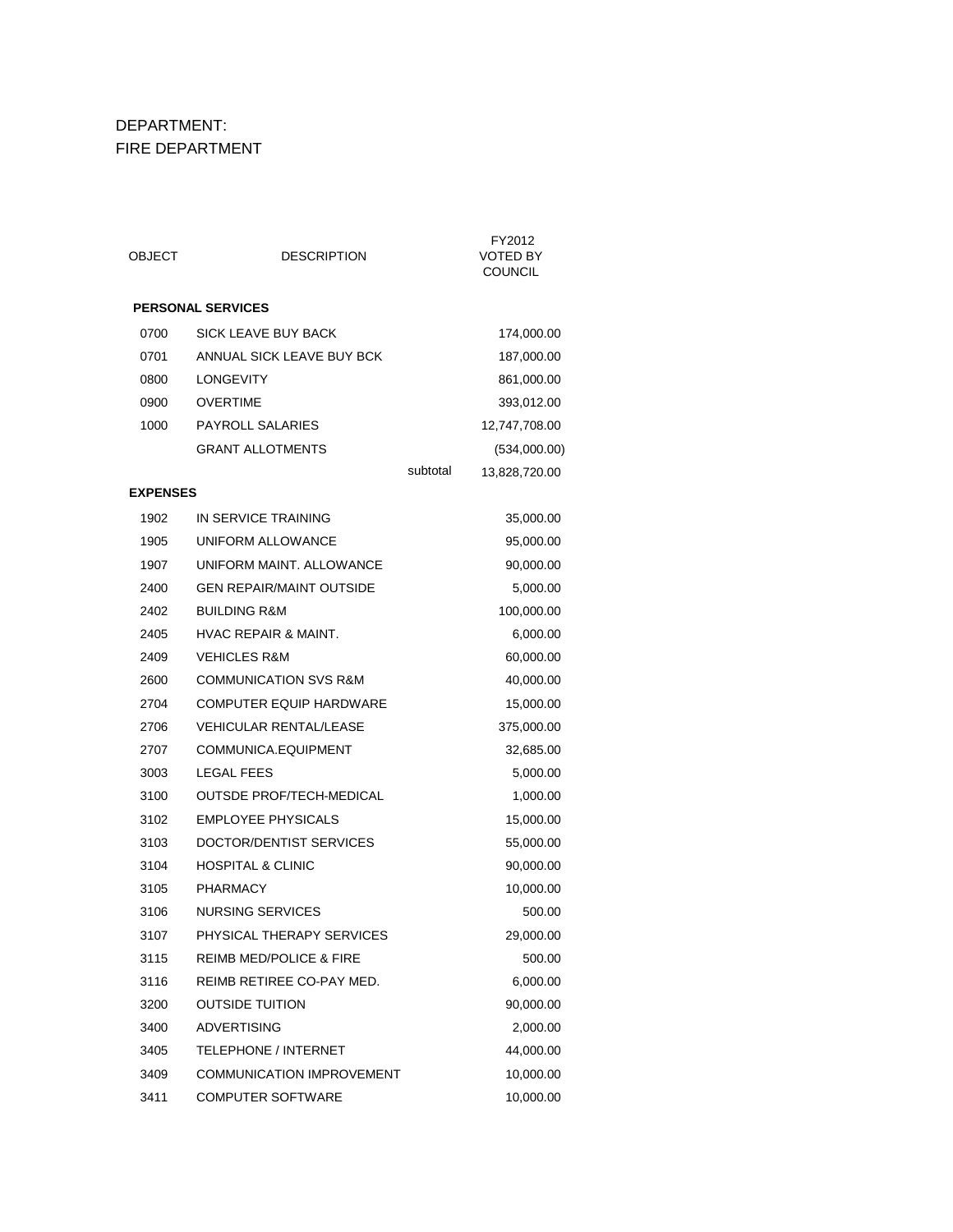# DEPARTMENT: FIRE DEPARTMENT

| OBJECT          | <b>DESCRIPTION</b>                 |          | FY2012<br><b>VOTED BY</b><br><b>COUNCIL</b> |
|-----------------|------------------------------------|----------|---------------------------------------------|
|                 | <b>PERSONAL SERVICES</b>           |          |                                             |
| 0700            | SICK LEAVE BUY BACK                |          | 174,000.00                                  |
| 0701            | ANNUAL SICK LEAVE BUY BCK          |          | 187,000.00                                  |
| 0800            | <b>LONGEVITY</b>                   |          | 861,000.00                                  |
| 0900            | <b>OVERTIME</b>                    |          | 393,012.00                                  |
| 1000            | <b>PAYROLL SALARIES</b>            |          | 12,747,708.00                               |
|                 | <b>GRANT ALLOTMENTS</b>            |          | (534,000.00)                                |
|                 |                                    | subtotal | 13,828,720.00                               |
| <b>EXPENSES</b> |                                    |          |                                             |
| 1902            | IN SERVICE TRAINING                |          | 35,000.00                                   |
| 1905            | UNIFORM ALLOWANCE                  |          | 95,000.00                                   |
| 1907            | UNIFORM MAINT. ALLOWANCE           |          | 90,000.00                                   |
| 2400            | <b>GEN REPAIR/MAINT OUTSIDE</b>    |          | 5,000.00                                    |
| 2402            | <b>BUILDING R&amp;M</b>            |          | 100,000.00                                  |
| 2405            | <b>HVAC REPAIR &amp; MAINT.</b>    |          | 6,000.00                                    |
| 2409            | <b>VEHICLES R&amp;M</b>            |          | 60,000.00                                   |
| 2600            | <b>COMMUNICATION SVS R&amp;M</b>   |          | 40,000.00                                   |
| 2704            | <b>COMPUTER EQUIP HARDWARE</b>     |          | 15,000.00                                   |
| 2706            | <b>VEHICULAR RENTAL/LEASE</b>      |          | 375,000.00                                  |
| 2707            | COMMUNICA.EQUIPMENT                |          | 32,685.00                                   |
| 3003            | <b>LEGAL FEES</b>                  |          | 5,000.00                                    |
| 3100            | OUTSDE PROF/TECH-MEDICAL           |          | 1,000.00                                    |
| 3102            | <b>EMPLOYEE PHYSICALS</b>          |          | 15,000.00                                   |
| 3103            | DOCTOR/DENTIST SERVICES            |          | 55,000.00                                   |
| 3104            | <b>HOSPITAL &amp; CLINIC</b>       |          | 90,000.00                                   |
| 3105            | <b>PHARMACY</b>                    |          | 10,000.00                                   |
| 3106            | <b>NURSING SERVICES</b>            |          | 500.00                                      |
| 3107            | PHYSICAL THERAPY SERVICES          |          | 29,000.00                                   |
| 3115            | <b>REIMB MED/POLICE &amp; FIRE</b> |          | 500.00                                      |
| 3116            | REIMB RETIREE CO-PAY MED.          |          | 6,000.00                                    |
| 3200            | <b>OUTSIDE TUITION</b>             |          | 90,000.00                                   |
| 3400            | <b>ADVERTISING</b>                 |          | 2,000.00                                    |
| 3405            | <b>TELEPHONE / INTERNET</b>        |          | 44,000.00                                   |
| 3409            | <b>COMMUNICATION IMPROVEMENT</b>   |          | 10,000.00                                   |
| 3411            | <b>COMPUTER SOFTWARE</b>           |          | 10,000.00                                   |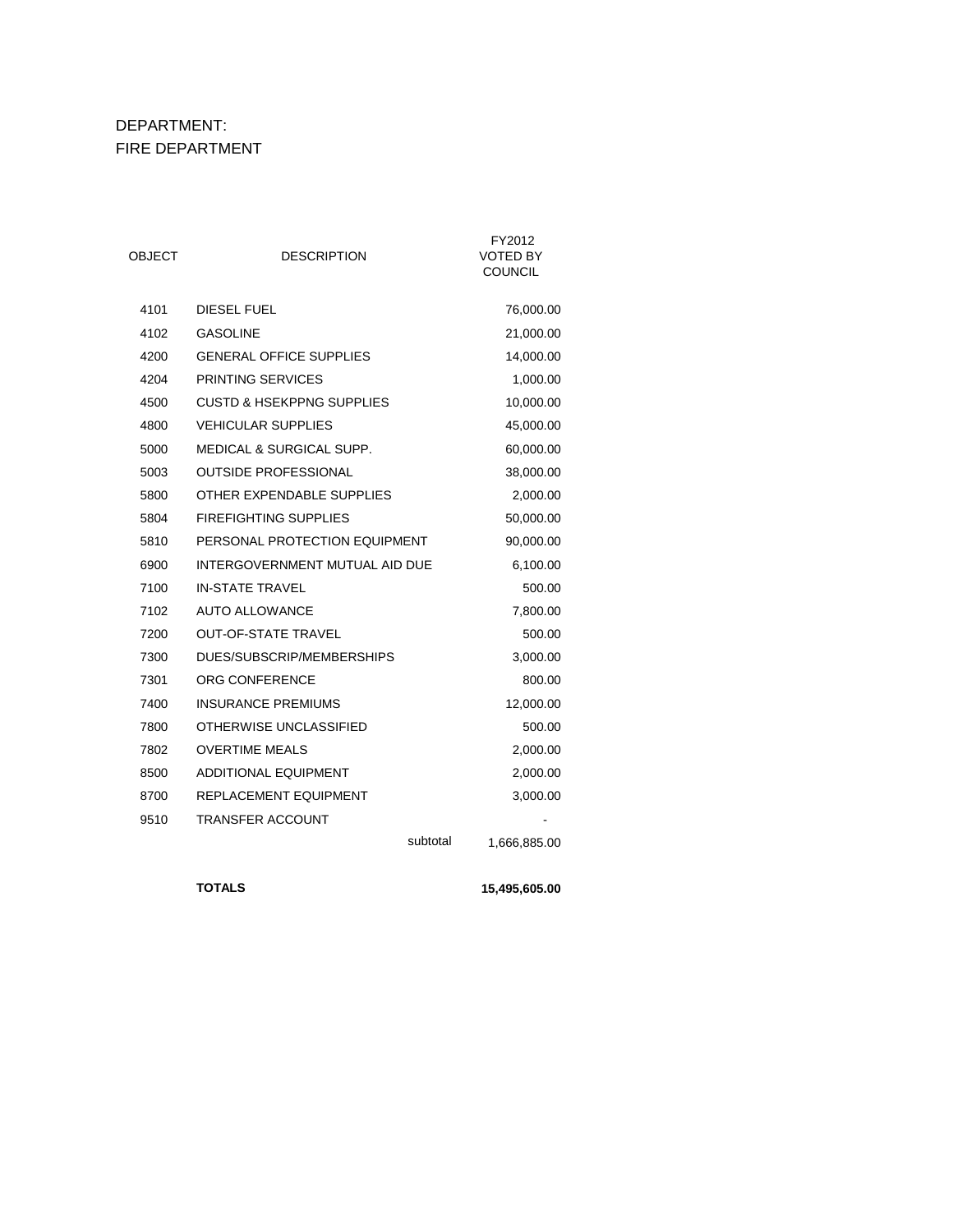# DEPARTMENT: FIRE DEPARTMENT

| OBJECT | <b>DESCRIPTION</b>                   | FY2012<br><b>VOTED BY</b><br><b>COUNCIL</b> |
|--------|--------------------------------------|---------------------------------------------|
| 4101   | <b>DIESEL FUEL</b>                   | 76,000.00                                   |
| 4102   | <b>GASOLINE</b>                      | 21,000.00                                   |
| 4200   | <b>GENERAL OFFICE SUPPLIES</b>       | 14,000.00                                   |
| 4204   | <b>PRINTING SERVICES</b>             | 1,000.00                                    |
| 4500   | <b>CUSTD &amp; HSEKPPNG SUPPLIES</b> | 10,000.00                                   |
| 4800   | <b>VEHICULAR SUPPLIES</b>            | 45,000.00                                   |
| 5000   | <b>MEDICAL &amp; SURGICAL SUPP.</b>  | 60,000.00                                   |
| 5003   | <b>OUTSIDE PROFESSIONAL</b>          | 38,000.00                                   |
| 5800   | OTHER EXPENDABLE SUPPLIES            | 2,000.00                                    |
| 5804   | <b>FIREFIGHTING SUPPLIES</b>         | 50,000.00                                   |
| 5810   | PERSONAL PROTECTION EQUIPMENT        | 90,000.00                                   |
| 6900   | INTERGOVERNMENT MUTUAL AID DUE       | 6,100.00                                    |
| 7100   | <b>IN-STATE TRAVEL</b>               | 500.00                                      |
| 7102   | <b>AUTO ALLOWANCE</b>                | 7,800.00                                    |
| 7200   | <b>OUT-OF-STATE TRAVEL</b>           | 500.00                                      |
| 7300   | DUES/SUBSCRIP/MEMBERSHIPS            | 3,000.00                                    |
| 7301   | ORG CONFERENCE                       | 800.00                                      |
| 7400   | <b>INSURANCE PREMIUMS</b>            | 12,000.00                                   |
| 7800   | OTHERWISE UNCLASSIFIED               | 500.00                                      |
| 7802   | <b>OVERTIME MEALS</b>                | 2,000.00                                    |
| 8500   | <b>ADDITIONAL EQUIPMENT</b>          | 2,000.00                                    |
| 8700   | REPLACEMENT EQUIPMENT                | 3,000.00                                    |
| 9510   | <b>TRANSFER ACCOUNT</b>              |                                             |
|        | subtotal                             | 1,666,885.00                                |
|        |                                      |                                             |

**TOTALS 15,495,605.00**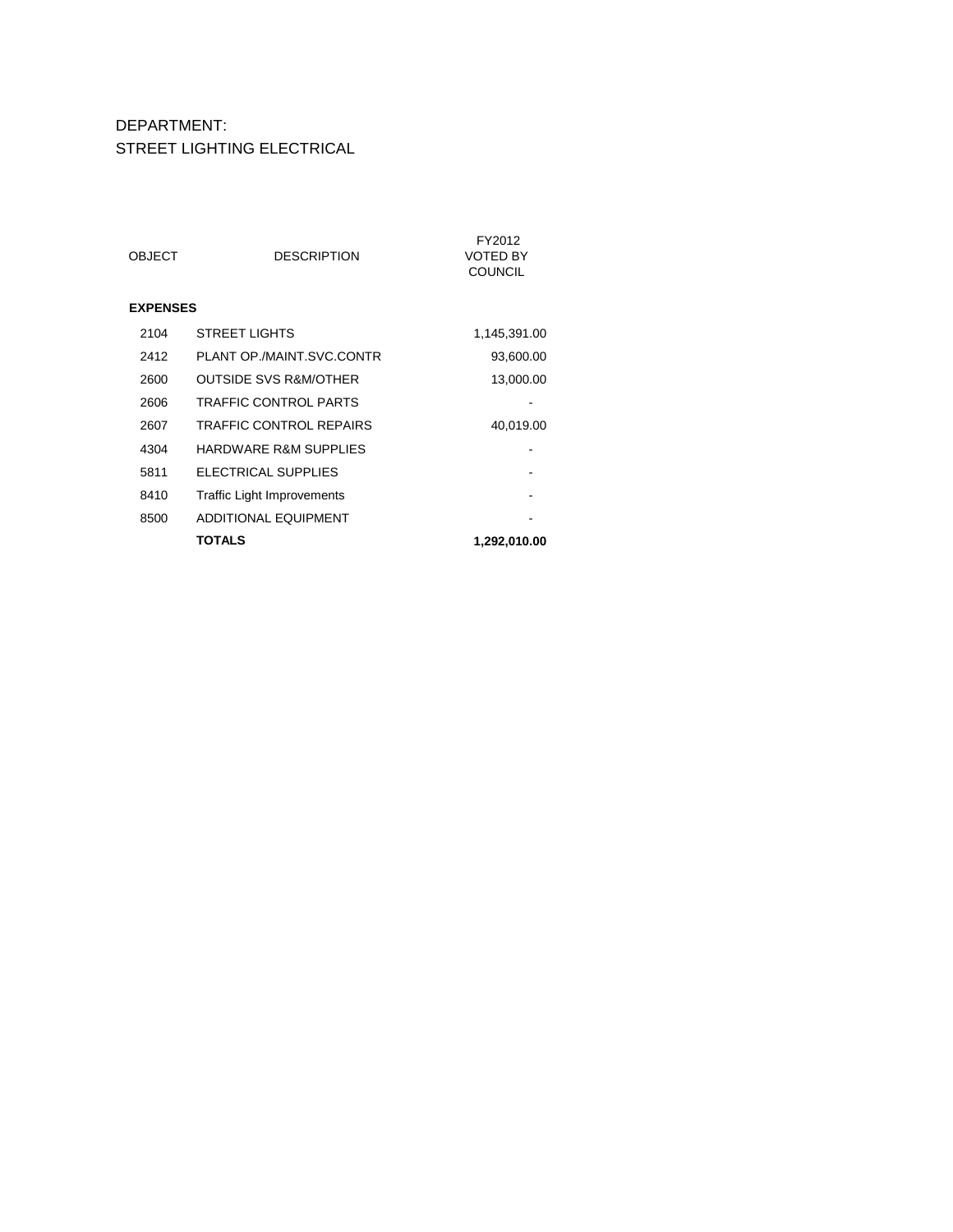#### DEPARTMENT: STREET LIGHTING ELECTRICAL

| OBJECT          | <b>DESCRIPTION</b>                | FY2012<br>VOTED BY<br><b>COUNCIL</b> |
|-----------------|-----------------------------------|--------------------------------------|
| <b>EXPENSES</b> |                                   |                                      |
| 2104            | <b>STREET LIGHTS</b>              | 1,145,391.00                         |
| 2412            | PLANT OP./MAINT.SVC.CONTR         | 93,600.00                            |
| 2600            | OUTSIDE SVS R&M/OTHER             | 13,000.00                            |
| 2606            | <b>TRAFFIC CONTROL PARTS</b>      |                                      |
| 2607            | <b>TRAFFIC CONTROL REPAIRS</b>    | 40,019.00                            |
| 4304            | <b>HARDWARE R&amp;M SUPPLIES</b>  |                                      |
| 5811            | ELECTRICAL SUPPLIES               |                                      |
| 8410            | <b>Traffic Light Improvements</b> |                                      |
| 8500            | <b>ADDITIONAL EQUIPMENT</b>       |                                      |
|                 | TOTALS                            | 1,292,010.00                         |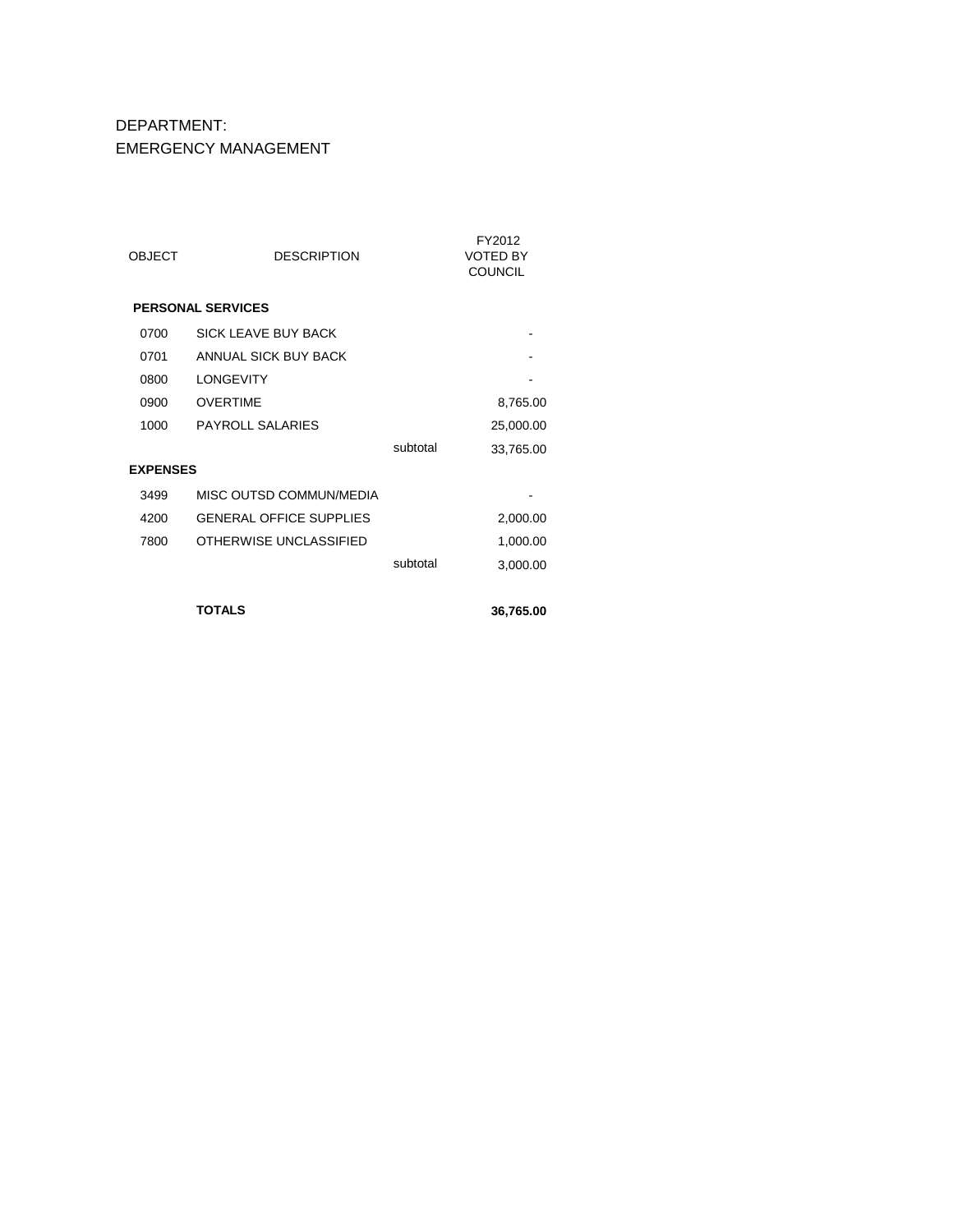### DEPARTMENT: EMERGENCY MANAGEMENT

| <b>OBJECT</b>   | <b>DESCRIPTION</b>             |          | FY2012<br><b>VOTED BY</b><br><b>COUNCIL</b> |
|-----------------|--------------------------------|----------|---------------------------------------------|
|                 | <b>PERSONAL SERVICES</b>       |          |                                             |
| 0700            | SICK I FAVE BUY BACK           |          |                                             |
| 0701            | ANNUAL SICK BUY BACK           |          |                                             |
| 0800            | <b>I ONGEVITY</b>              |          |                                             |
| 0900            | <b>OVERTIME</b>                |          | 8,765.00                                    |
| 1000            | <b>PAYROLL SALARIES</b>        |          | 25,000.00                                   |
|                 |                                | subtotal | 33,765.00                                   |
| <b>EXPENSES</b> |                                |          |                                             |
| 3499            | MISC OUTSD COMMUN/MEDIA        |          |                                             |
| 4200            | <b>GENERAL OFFICE SUPPLIES</b> |          | 2,000.00                                    |
| 7800            | OTHERWISE UNCLASSIFIED         |          | 1,000.00                                    |
|                 |                                | subtotal | 3,000.00                                    |
|                 |                                |          |                                             |
|                 | <b>TOTALS</b>                  |          | 36,765.00                                   |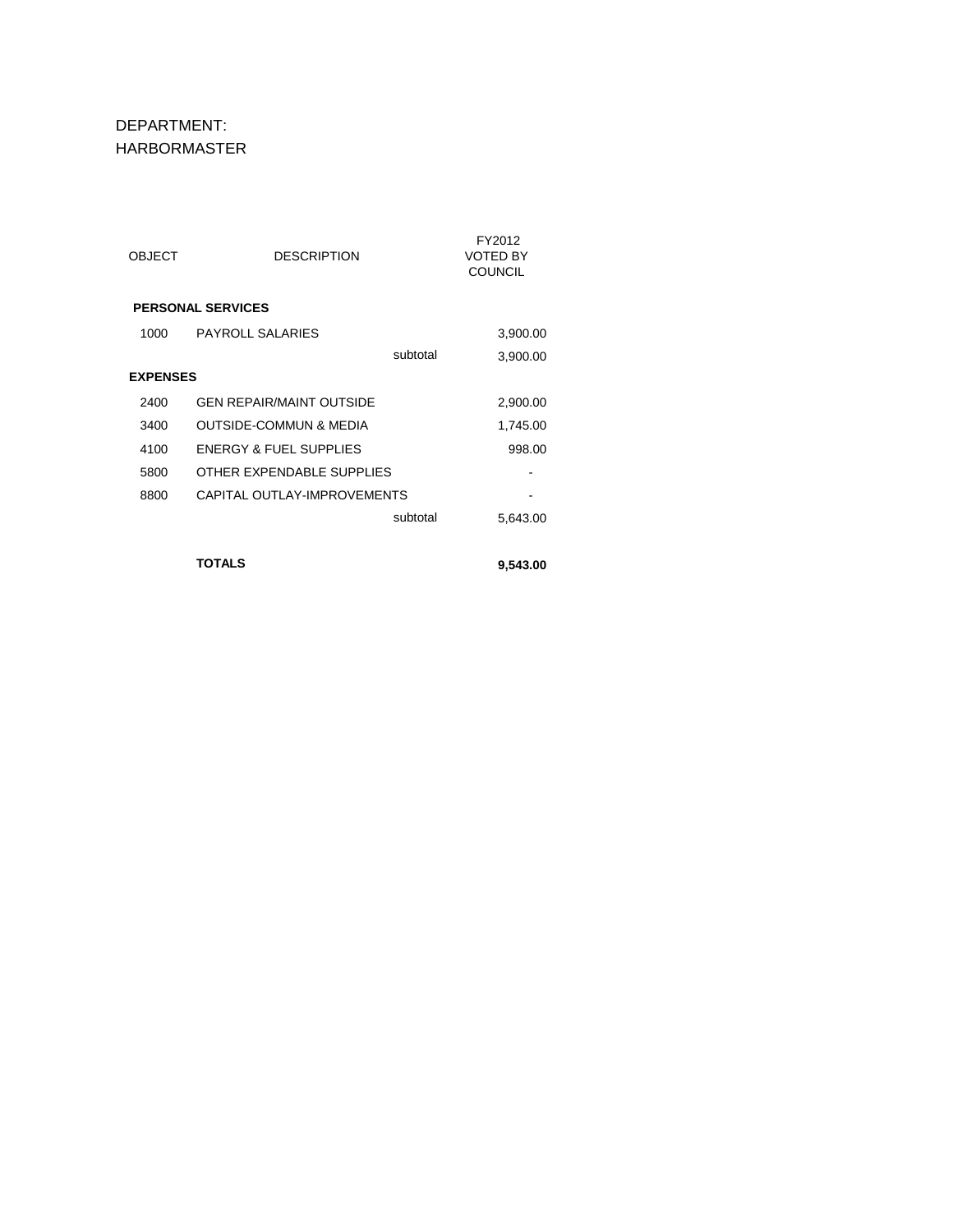DEPARTMENT: HARBORMASTER

| OBJECT          | <b>DESCRIPTION</b>                | FY2012<br><b>VOTED BY</b><br><b>COUNCIL</b> |
|-----------------|-----------------------------------|---------------------------------------------|
|                 | <b>PERSONAL SERVICES</b>          |                                             |
| 1000            | <b>PAYROLL SALARIES</b>           | 3,900.00                                    |
|                 | subtotal                          | 3,900.00                                    |
| <b>EXPENSES</b> |                                   |                                             |
| 2400            | <b>GEN REPAIR/MAINT OUTSIDE</b>   | 2,900.00                                    |
| 3400            | OUTSIDE-COMMUN & MEDIA            | 1,745.00                                    |
| 4100            | <b>ENERGY &amp; FUEL SUPPLIES</b> | 998.00                                      |
| 5800            | OTHER EXPENDABLE SUPPLIES         |                                             |
| 8800            | CAPITAL OUTLAY-IMPROVEMENTS       |                                             |
|                 | subtotal                          | 5,643.00                                    |
|                 |                                   |                                             |
|                 | <b>TOTALS</b>                     | 9,543.00                                    |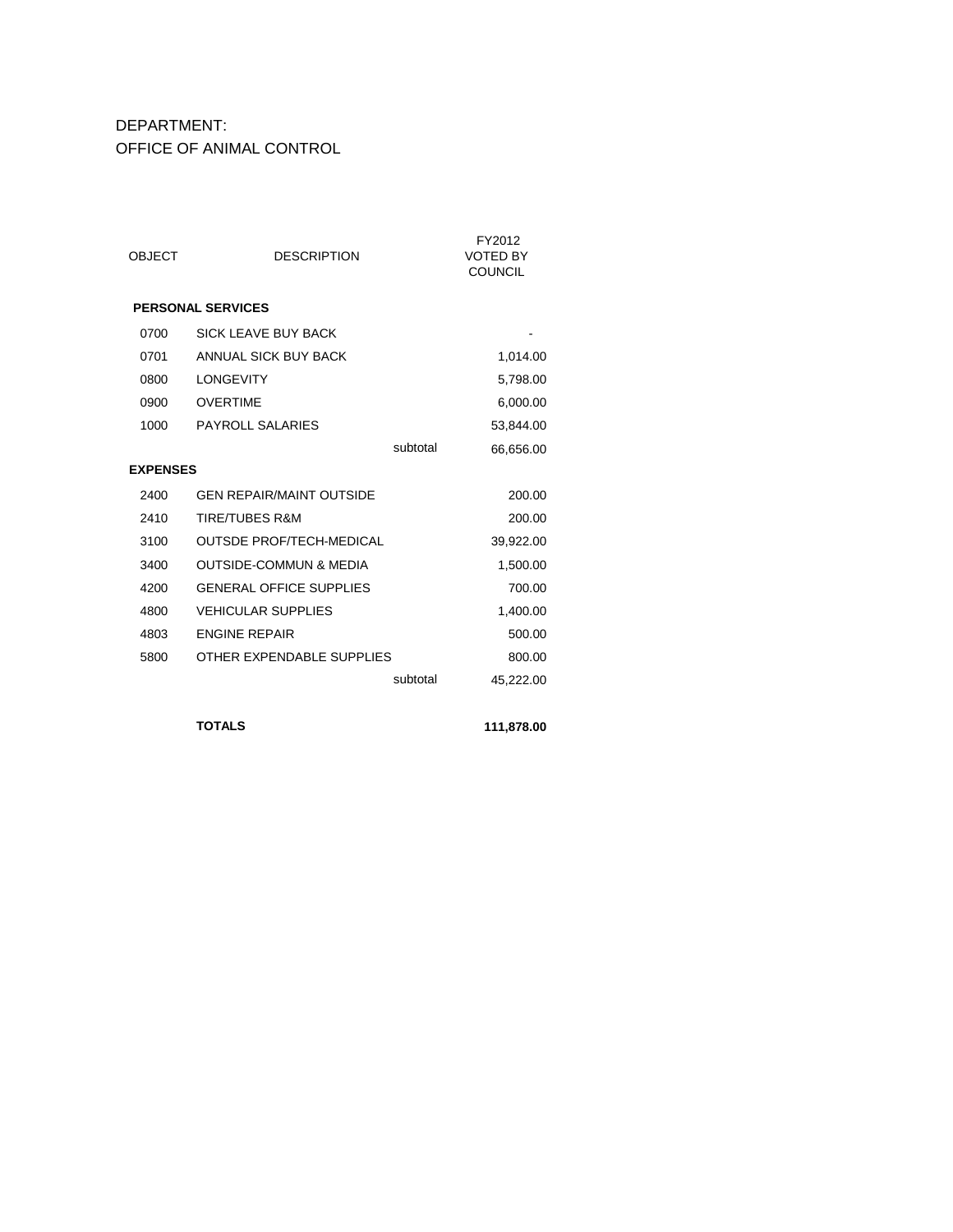### DEPARTMENT: OFFICE OF ANIMAL CONTROL

| <b>OBJECT</b>   | <b>DESCRIPTION</b>                |          | FY2012<br><b>VOTED BY</b><br><b>COUNCIL</b> |
|-----------------|-----------------------------------|----------|---------------------------------------------|
|                 | <b>PERSONAL SERVICES</b>          |          |                                             |
| 0700            | SICK I FAVE BUY BACK              |          |                                             |
| 0701            | ANNUAL SICK BUY BACK              |          | 1,014.00                                    |
| 0800            | <b>LONGEVITY</b>                  |          | 5,798.00                                    |
| 0900            | <b>OVERTIME</b>                   |          | 6,000.00                                    |
| 1000            | <b>PAYROLL SALARIES</b>           |          | 53,844.00                                   |
|                 |                                   | subtotal | 66,656.00                                   |
| <b>EXPENSES</b> |                                   |          |                                             |
| 2400            | <b>GEN REPAIR/MAINT OUTSIDE</b>   |          | 200.00                                      |
| 2410            | <b>TIRE/TUBES R&amp;M</b>         |          | 200.00                                      |
| 3100            | <b>OUTSDE PROF/TECH-MEDICAL</b>   |          | 39,922.00                                   |
| 3400            | <b>OUTSIDE-COMMUN &amp; MEDIA</b> |          | 1,500.00                                    |
| 4200            | <b>GENERAL OFFICE SUPPLIES</b>    |          | 700.00                                      |
| 4800            | <b>VEHICULAR SUPPLIES</b>         |          | 1,400.00                                    |
| 4803            | <b>FNGINE REPAIR</b>              |          | 500.00                                      |
| 5800            | OTHER EXPENDABLE SUPPLIES         |          | 800.00                                      |
|                 |                                   | subtotal | 45,222.00                                   |
|                 |                                   |          |                                             |

**TOTALS 111,878.00**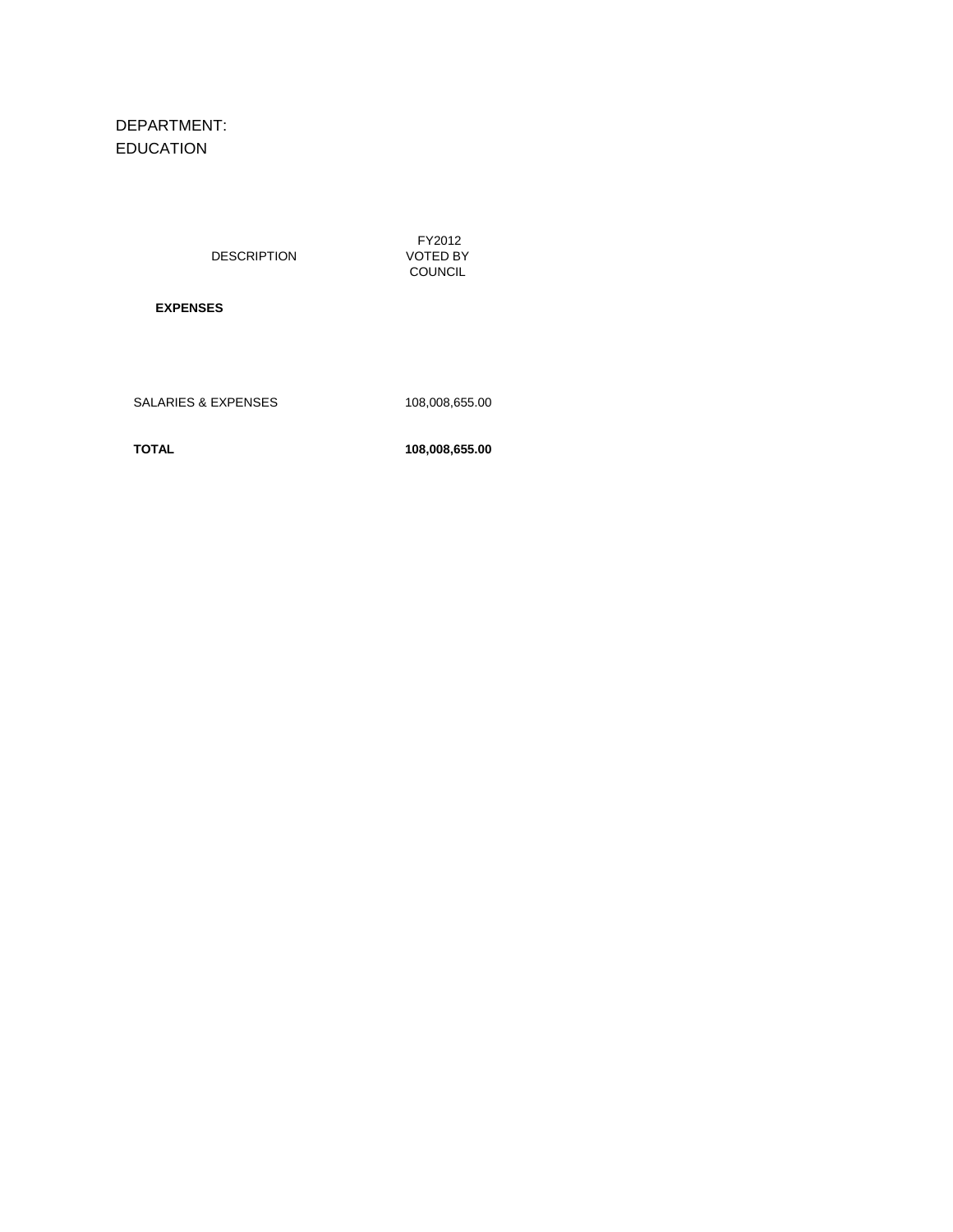# DEPARTMENT: EDUCATION

DESCRIPTION

 FY2012 VOTED BY COUNCIL

 **EXPENSES**

SALARIES & EXPENSES 108,008,655.00

**TOTAL 108,008,655.00**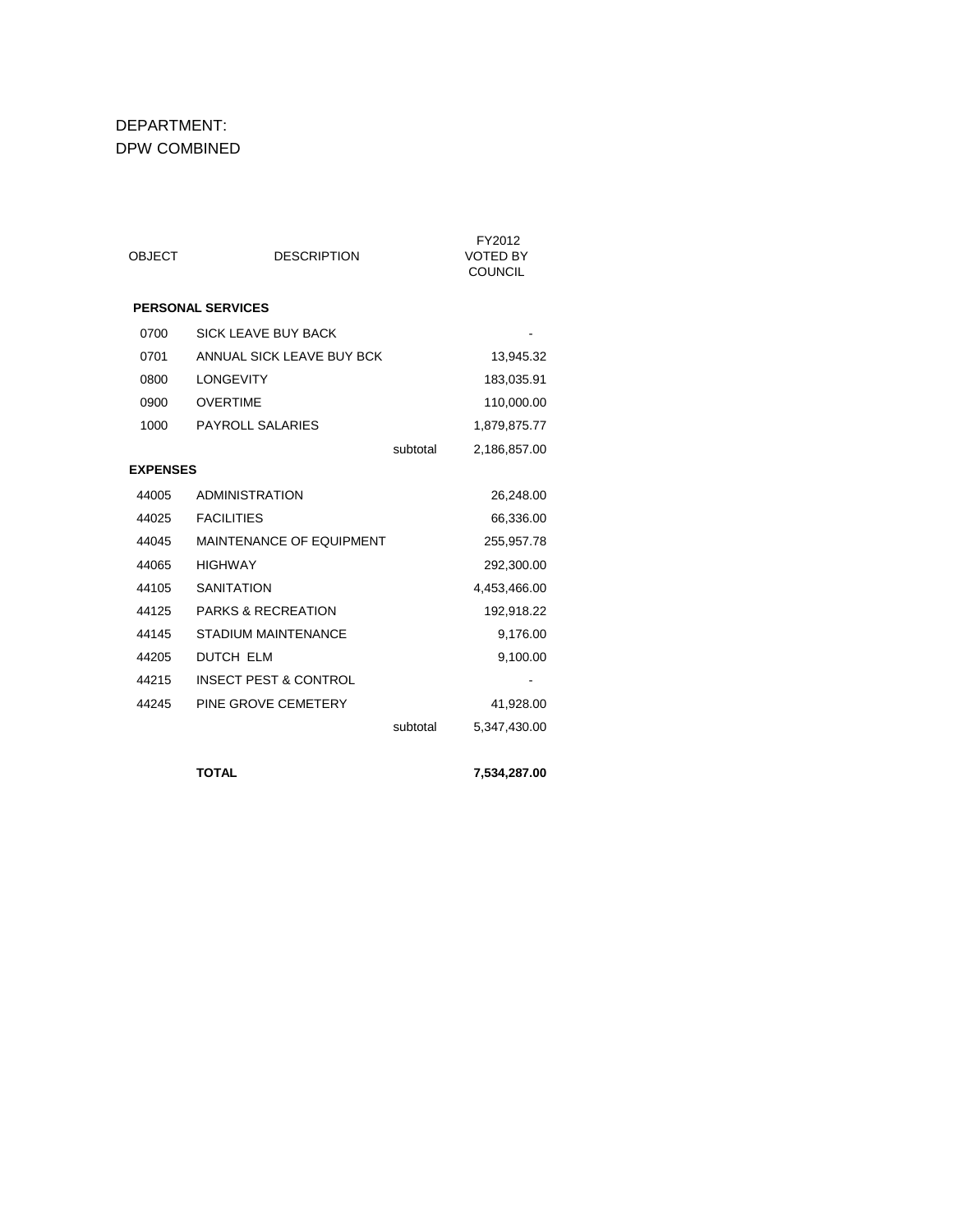## DEPARTMENT: DPW COMBINED

| <b>OBJECT</b>   | <b>DESCRIPTION</b>               |          | FY2012<br><b>VOTED BY</b><br><b>COUNCIL</b> |
|-----------------|----------------------------------|----------|---------------------------------------------|
|                 | <b>PERSONAL SERVICES</b>         |          |                                             |
| 0700            | <b>SICK LEAVE BUY BACK</b>       |          |                                             |
| 0701            | ANNUAL SICK LEAVE BUY BCK        |          | 13,945.32                                   |
| 0800            | <b>LONGEVITY</b>                 |          | 183,035.91                                  |
| 0900            | <b>OVERTIME</b>                  |          | 110,000.00                                  |
| 1000            | PAYROLL SALARIES                 |          | 1,879,875.77                                |
|                 |                                  | subtotal | 2,186,857.00                                |
| <b>EXPENSES</b> |                                  |          |                                             |
| 44005           | <b>ADMINISTRATION</b>            |          | 26,248.00                                   |
| 44025           | <b>FACILITIES</b>                |          | 66,336.00                                   |
| 44045           | MAINTENANCE OF EQUIPMENT         |          | 255,957.78                                  |
| 44065           | <b>HIGHWAY</b>                   |          | 292,300.00                                  |
| 44105           | <b>SANITATION</b>                |          | 4,453,466.00                                |
| 44125           | <b>PARKS &amp; RECREATION</b>    |          | 192,918.22                                  |
| 44145           | <b>STADIUM MAINTENANCE</b>       |          | 9,176.00                                    |
| 44205           | <b>DUTCH ELM</b>                 |          | 9,100.00                                    |
| 44215           | <b>INSECT PEST &amp; CONTROL</b> |          |                                             |
| 44245           | PINE GROVE CEMETERY              |          | 41,928.00                                   |
|                 |                                  | subtotal | 5,347,430.00                                |
|                 | <b>TOTAL</b>                     |          | 7.534.287.00                                |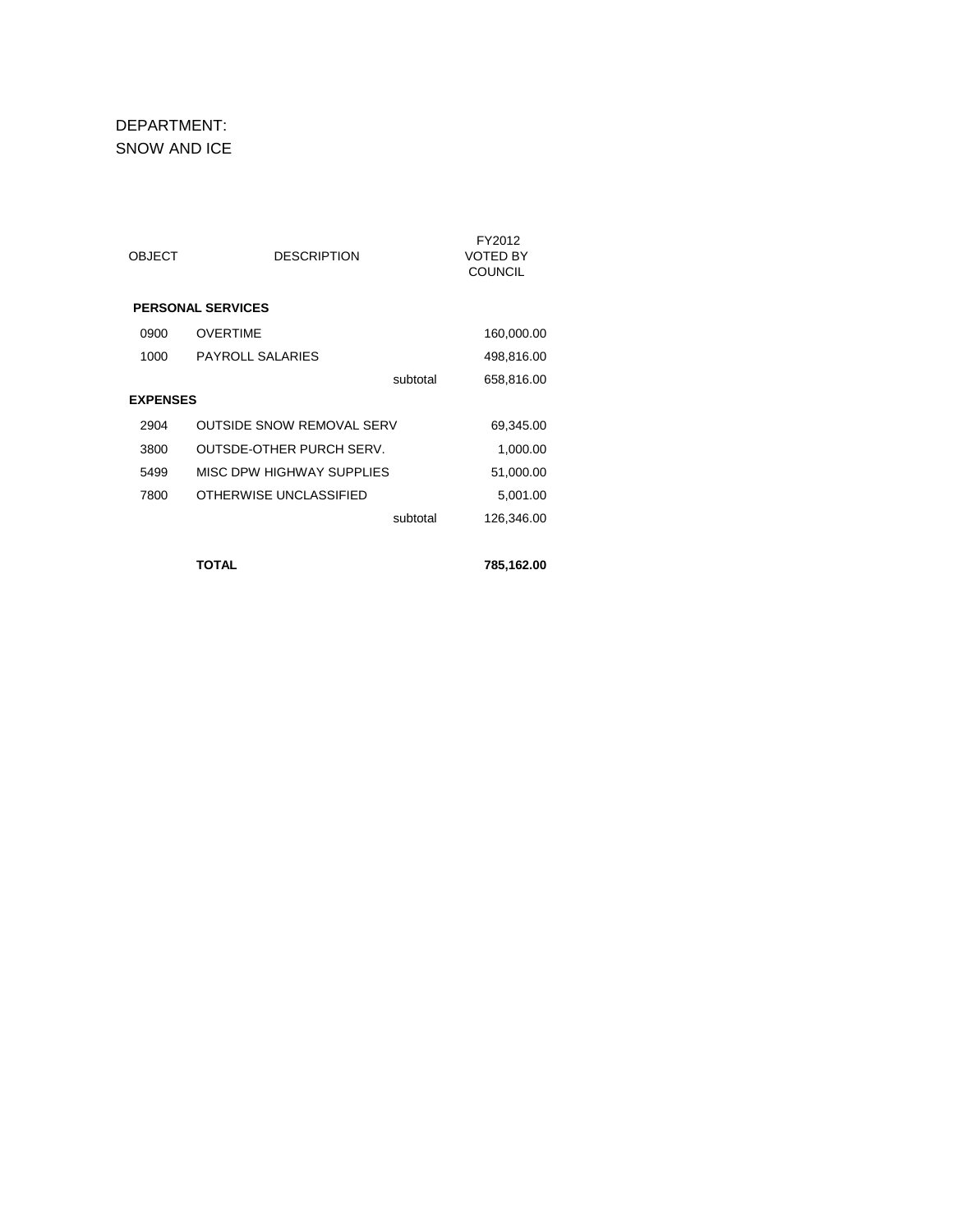DEPARTMENT: SNOW AND ICE

| OBJECT          | <b>DESCRIPTION</b>               |          | FY2012<br>VOTED BY<br><b>COUNCIL</b> |
|-----------------|----------------------------------|----------|--------------------------------------|
|                 | <b>PERSONAL SERVICES</b>         |          |                                      |
| 0900            | <b>OVERTIME</b>                  |          | 160,000.00                           |
| 1000            | <b>PAYROLL SALARIES</b>          |          | 498,816.00                           |
|                 |                                  | subtotal | 658,816.00                           |
| <b>EXPENSES</b> |                                  |          |                                      |
| 2904            | <b>OUTSIDE SNOW REMOVAL SERV</b> |          | 69,345.00                            |
| 3800            | <b>OUTSDE-OTHER PURCH SERV.</b>  |          | 1,000.00                             |
| 5499            | MISC DPW HIGHWAY SUPPLIES        |          | 51,000.00                            |
| 7800            | OTHERWISE UNCLASSIFIED           |          | 5,001.00                             |
|                 |                                  | subtotal | 126,346.00                           |
|                 |                                  |          |                                      |
|                 | TOTAL                            |          | 785,162.00                           |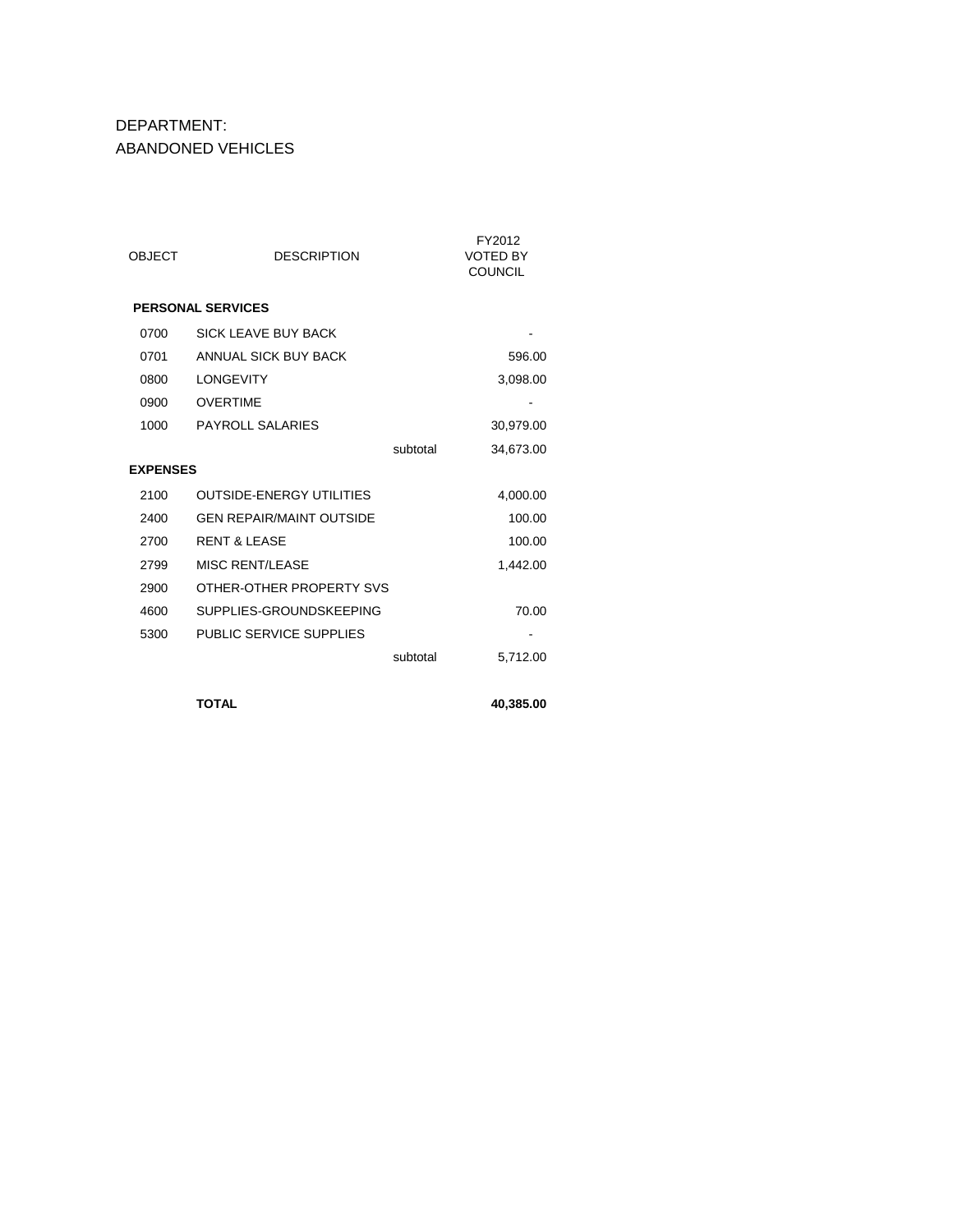DEPARTMENT: ABANDONED VEHICLES

| OBJECT          | <b>DESCRIPTION</b>              |          | FY2012<br><b>VOTED BY</b><br><b>COUNCIL</b> |
|-----------------|---------------------------------|----------|---------------------------------------------|
|                 | <b>PERSONAL SERVICES</b>        |          |                                             |
| 0700            | SICK I FAVE BUY BACK            |          |                                             |
| 0701            | ANNUAL SICK BUY BACK            |          | 596.00                                      |
| 0800            | <b>LONGEVITY</b>                |          | 3,098.00                                    |
| 0900            | <b>OVERTIME</b>                 |          |                                             |
| 1000            | <b>PAYROLL SALARIES</b>         |          | 30,979.00                                   |
|                 |                                 | subtotal | 34,673.00                                   |
| <b>EXPENSES</b> |                                 |          |                                             |
| 2100            | <b>OUTSIDE-ENERGY UTILITIES</b> |          | 4,000.00                                    |
| 2400            | <b>GEN REPAIR/MAINT OUTSIDE</b> |          | 100.00                                      |
| 2700            | RENT & LEASE                    |          | 100.00                                      |
| 2799            | <b>MISC RENT/LEASE</b>          |          | 1,442.00                                    |
| 2900            | OTHER-OTHER PROPERTY SVS        |          |                                             |
| 4600            | SUPPLIES-GROUNDSKEEPING         |          | 70.00                                       |
| 5300            | PUBLIC SERVICE SUPPLIES         |          |                                             |
|                 |                                 | subtotal | 5,712.00                                    |

**TOTAL 40,385.00**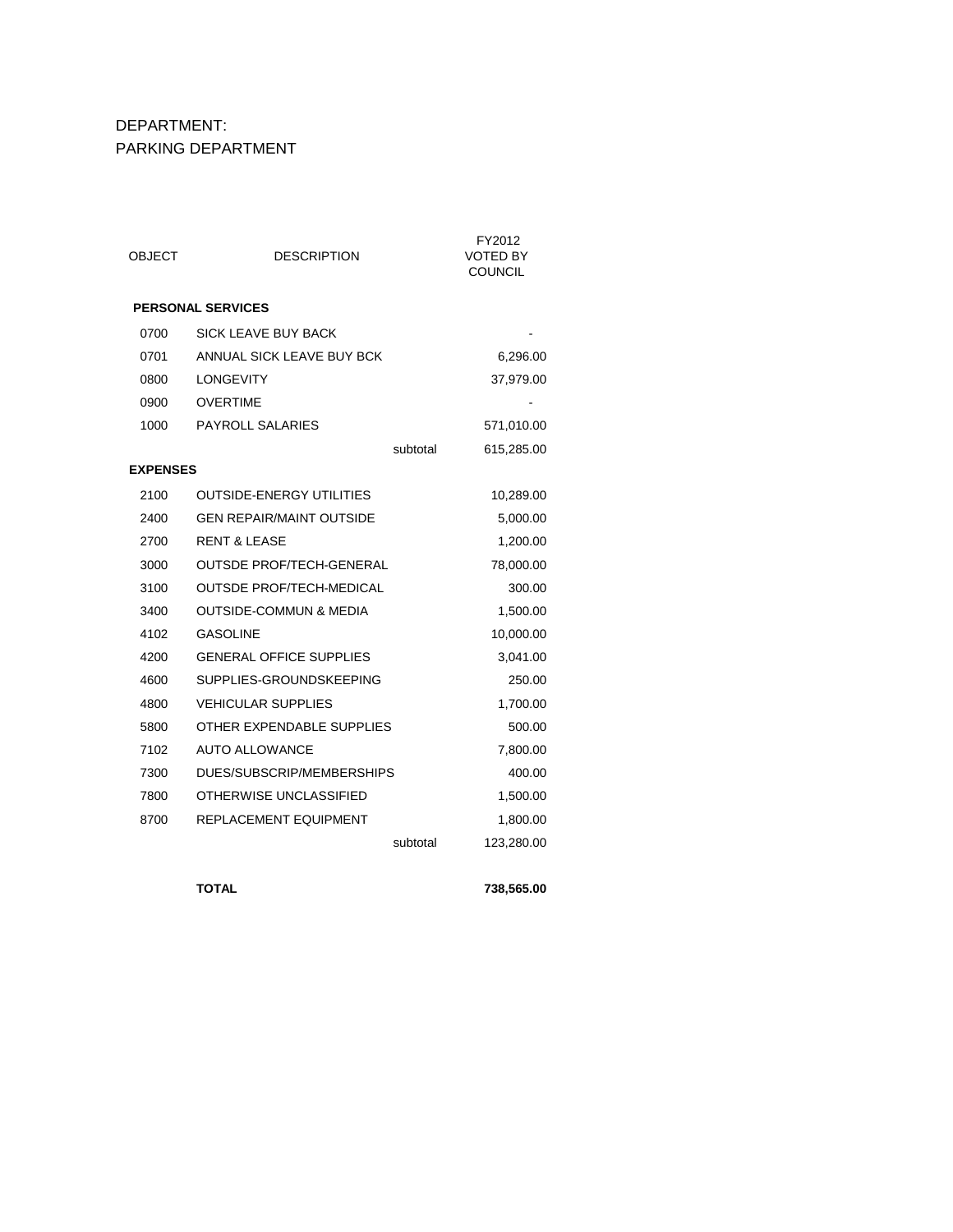# DEPARTMENT: PARKING DEPARTMENT

| OBJECT          | <b>DESCRIPTION</b>                | FY2012<br><b>VOTED BY</b><br><b>COUNCIL</b> |
|-----------------|-----------------------------------|---------------------------------------------|
|                 | <b>PERSONAL SERVICES</b>          |                                             |
| 0700            | <b>SICK LEAVE BUY BACK</b>        |                                             |
| 0701            | ANNUAL SICK LEAVE BUY BCK         | 6,296.00                                    |
| 0800            | <b>LONGEVITY</b>                  | 37,979.00                                   |
| 0900            | <b>OVERTIME</b>                   |                                             |
| 1000            | <b>PAYROLL SALARIES</b>           | 571,010.00                                  |
|                 | subtotal                          | 615,285.00                                  |
| <b>EXPENSES</b> |                                   |                                             |
| 2100            | <b>OUTSIDE-ENERGY UTILITIES</b>   | 10,289.00                                   |
| 2400            | <b>GEN REPAIR/MAINT OUTSIDE</b>   | 5,000.00                                    |
| 2700            | <b>RENT &amp; LEASE</b>           | 1,200.00                                    |
| 3000            | <b>OUTSDE PROF/TECH-GENERAL</b>   | 78,000.00                                   |
| 3100            | <b>OUTSDE PROF/TECH-MEDICAL</b>   | 300.00                                      |
| 3400            | <b>OUTSIDE-COMMUN &amp; MEDIA</b> | 1,500.00                                    |
| 4102            | <b>GASOLINE</b>                   | 10,000.00                                   |
| 4200            | <b>GENERAL OFFICE SUPPLIES</b>    | 3,041.00                                    |
| 4600            | SUPPLIES-GROUNDSKEEPING           | 250.00                                      |
| 4800            | <b>VEHICULAR SUPPLIES</b>         | 1,700.00                                    |
| 5800            | OTHER EXPENDABLE SUPPLIES         | 500.00                                      |
| 7102            | <b>AUTO ALLOWANCE</b>             | 7,800.00                                    |
| 7300            | DUES/SUBSCRIP/MEMBERSHIPS         | 400.00                                      |
| 7800            | OTHERWISE UNCLASSIFIED            | 1,500.00                                    |
| 8700            | REPLACEMENT EQUIPMENT             | 1,800.00                                    |
|                 | subtotal                          | 123,280.00                                  |

**TOTAL 738,565.00**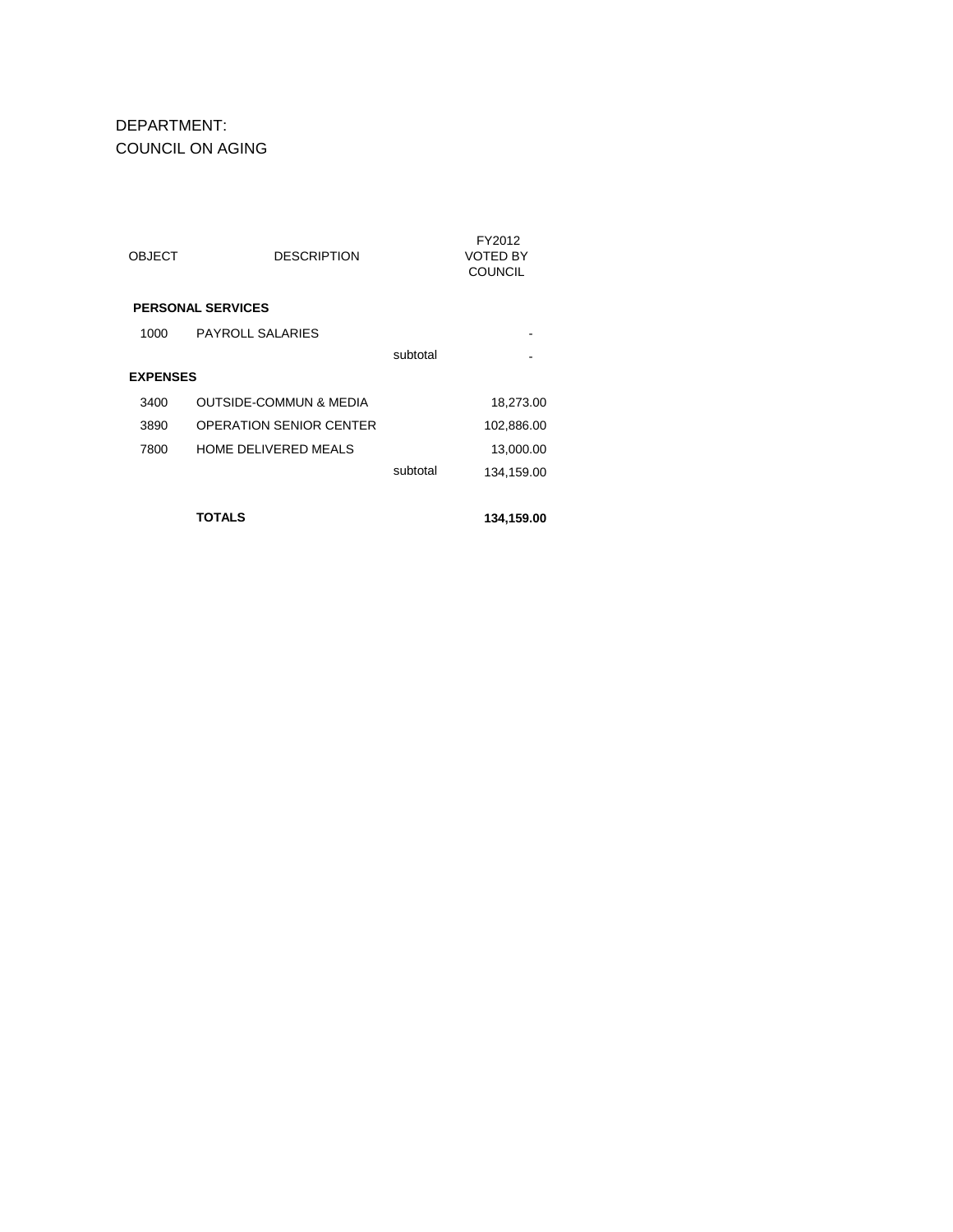DEPARTMENT: COUNCIL ON AGING

| <b>OBJECT</b>   | <b>DESCRIPTION</b>                |          | FY2012<br>VOTED BY<br><b>COUNCIL</b> |
|-----------------|-----------------------------------|----------|--------------------------------------|
|                 | <b>PERSONAL SERVICES</b>          |          |                                      |
| 1000            | <b>PAYROLL SALARIES</b>           |          |                                      |
|                 |                                   | subtotal |                                      |
| <b>EXPENSES</b> |                                   |          |                                      |
| 3400            | <b>OUTSIDE-COMMUN &amp; MEDIA</b> |          | 18,273.00                            |
| 3890            | <b>OPERATION SENIOR CENTER</b>    |          | 102,886.00                           |
| 7800            | HOME DELIVERED MEALS              |          | 13,000.00                            |
|                 |                                   | subtotal | 134,159.00                           |
|                 |                                   |          |                                      |
|                 | TOTALS                            |          | 134,159.00                           |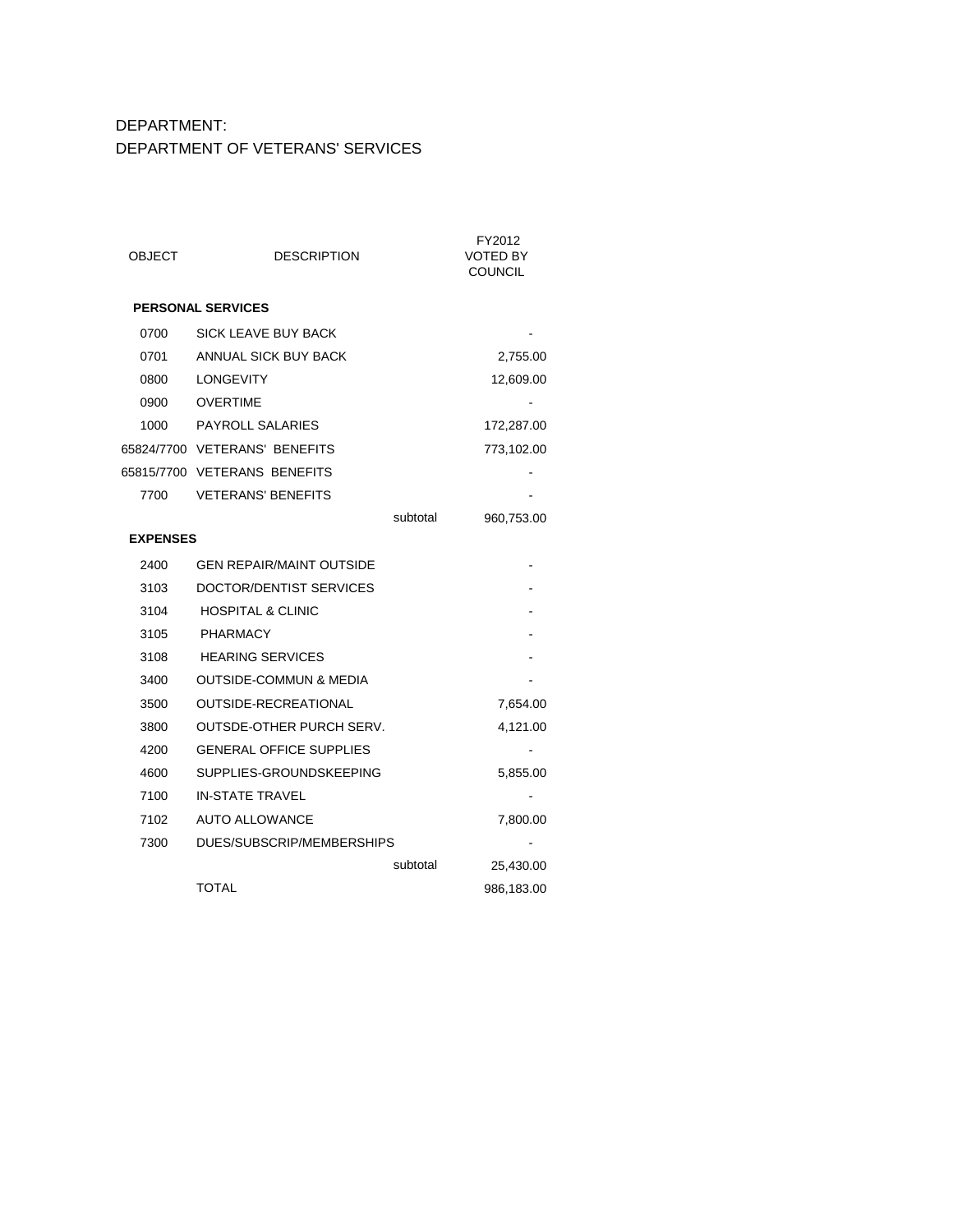# DEPARTMENT: DEPARTMENT OF VETERANS' SERVICES

| OBJECT          | <b>DESCRIPTION</b>                |          | FY2012<br><b>VOTED BY</b><br><b>COUNCIL</b> |
|-----------------|-----------------------------------|----------|---------------------------------------------|
|                 | <b>PERSONAL SERVICES</b>          |          |                                             |
| 0700            | SICK LEAVE BUY BACK               |          |                                             |
| 0701            | ANNUAL SICK BUY BACK              |          | 2,755.00                                    |
| 0800            | LONGEVITY                         |          | 12,609.00                                   |
| 0900            | <b>OVERTIME</b>                   |          |                                             |
| 1000            | <b>PAYROLL SALARIES</b>           |          | 172,287.00                                  |
|                 | 65824/7700 VETERANS' BENEFITS     |          | 773,102.00                                  |
|                 | 65815/7700 VETERANS BENEFITS      |          |                                             |
| 7700            | <b>VETERANS' BENEFITS</b>         |          |                                             |
|                 |                                   | subtotal | 960,753.00                                  |
| <b>EXPENSES</b> |                                   |          |                                             |
| 2400            | <b>GEN REPAIR/MAINT OUTSIDE</b>   |          |                                             |
| 3103            | DOCTOR/DENTIST SERVICES           |          |                                             |
| 3104            | <b>HOSPITAL &amp; CLINIC</b>      |          |                                             |
| 3105            | <b>PHARMACY</b>                   |          |                                             |
| 3108            | <b>HEARING SERVICES</b>           |          |                                             |
| 3400            | <b>OUTSIDE-COMMUN &amp; MEDIA</b> |          |                                             |
| 3500            | <b>OUTSIDE-RECREATIONAL</b>       |          | 7,654.00                                    |
| 3800            | OUTSDE-OTHER PURCH SERV.          |          | 4,121.00                                    |
| 4200            | <b>GENERAL OFFICE SUPPLIES</b>    |          | $\qquad \qquad \blacksquare$                |
| 4600            | SUPPLIES-GROUNDSKEEPING           |          | 5,855.00                                    |
| 7100            | <b>IN-STATE TRAVEL</b>            |          |                                             |
| 7102            | <b>AUTO ALLOWANCE</b>             |          | 7,800.00                                    |
| 7300            | DUES/SUBSCRIP/MEMBERSHIPS         |          |                                             |
|                 |                                   | subtotal | 25,430.00                                   |
|                 | TOTAL                             |          | 986,183.00                                  |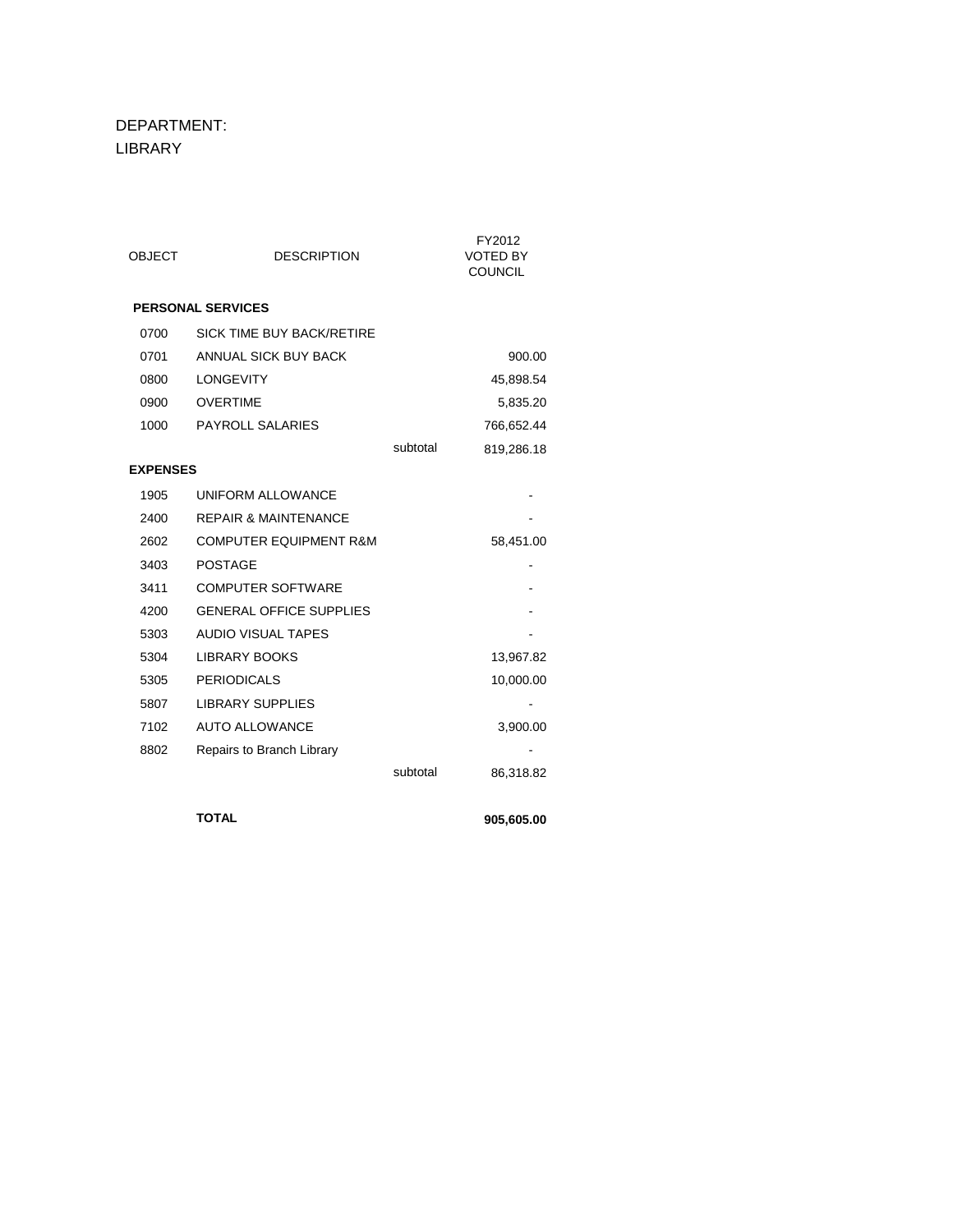DEPARTMENT: LIBRARY

| <b>OBJECT</b>   | <b>DESCRIPTION</b>                |          | FY2012<br><b>VOTED BY</b><br><b>COUNCIL</b> |
|-----------------|-----------------------------------|----------|---------------------------------------------|
|                 | <b>PERSONAL SERVICES</b>          |          |                                             |
| 0700            | <b>SICK TIME BUY BACK/RETIRE</b>  |          |                                             |
| 0701            | ANNUAL SICK BUY BACK              |          | 900.00                                      |
| 0800            | <b>LONGEVITY</b>                  |          | 45,898.54                                   |
| 0900            | <b>OVERTIME</b>                   |          | 5,835.20                                    |
| 1000            | <b>PAYROLL SALARIES</b>           |          | 766,652.44                                  |
|                 |                                   | subtotal | 819,286.18                                  |
| <b>EXPENSES</b> |                                   |          |                                             |
| 1905            | UNIFORM ALLOWANCE                 |          |                                             |
| 2400            | <b>REPAIR &amp; MAINTENANCE</b>   |          |                                             |
| 2602            | <b>COMPUTER EQUIPMENT R&amp;M</b> |          | 58,451.00                                   |
| 3403            | <b>POSTAGE</b>                    |          |                                             |
| 3411            | <b>COMPUTER SOFTWARE</b>          |          |                                             |
| 4200            | <b>GENERAL OFFICE SUPPLIES</b>    |          |                                             |
| 5303            | <b>AUDIO VISUAL TAPES</b>         |          |                                             |
| 5304            | <b>LIBRARY BOOKS</b>              |          | 13,967.82                                   |
| 5305            | <b>PERIODICALS</b>                |          | 10,000.00                                   |
| 5807            | <b>LIBRARY SUPPLIES</b>           |          |                                             |
| 7102            | <b>AUTO ALLOWANCE</b>             |          | 3,900.00                                    |
| 8802            | Repairs to Branch Library         |          |                                             |
|                 |                                   | subtotal | 86,318.82                                   |
|                 | <b>TOTAL</b>                      |          | 905,605.00                                  |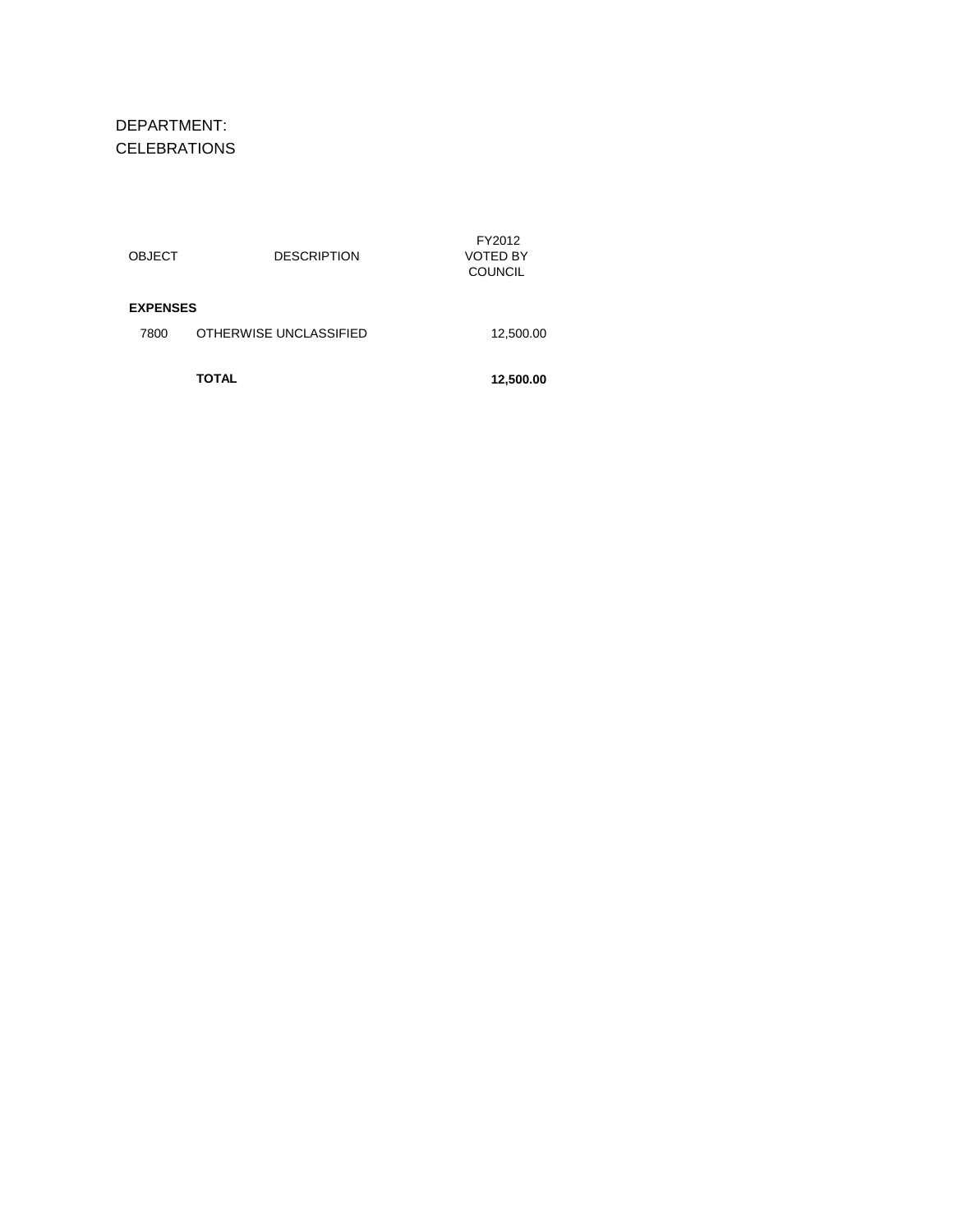DEPARTMENT: CELEBRATIONS

|                         | <b>TOTAL</b>           | 12,500.00                            |
|-------------------------|------------------------|--------------------------------------|
| <b>EXPENSES</b><br>7800 | OTHERWISE UNCLASSIFIED | 12,500.00                            |
| <b>OBJECT</b>           | <b>DESCRIPTION</b>     | FY2012<br>VOTED BY<br><b>COUNCIL</b> |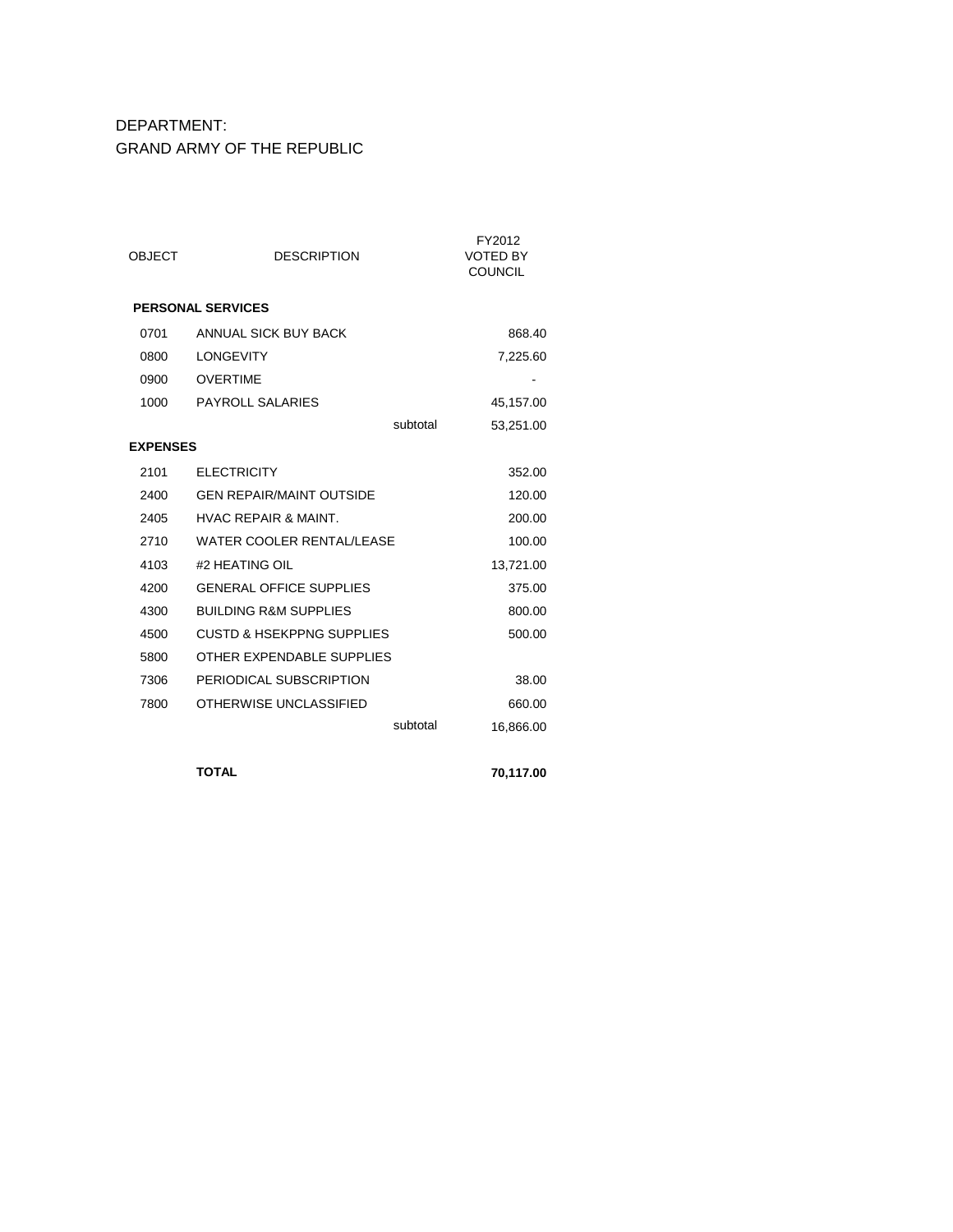#### DEPARTMENT: GRAND ARMY OF THE REPUBLIC

| <b>OBJECT</b>   | <b>DESCRIPTION</b>                   | FY2012<br>VOTED BY<br><b>COUNCIL</b> |
|-----------------|--------------------------------------|--------------------------------------|
|                 | <b>PERSONAL SERVICES</b>             |                                      |
| 0701            | ANNUAL SICK BUY BACK                 | 868.40                               |
| 0800            | <b>LONGEVITY</b>                     | 7,225.60                             |
| 0900            | <b>OVERTIME</b>                      |                                      |
| 1000            | PAYROLL SALARIES                     | 45,157.00                            |
|                 | subtotal                             | 53,251.00                            |
| <b>EXPENSES</b> |                                      |                                      |
| 2101            | <b>ELECTRICITY</b>                   | 352.00                               |
| 2400            | <b>GEN REPAIR/MAINT OUTSIDE</b>      | 120.00                               |
| 2405            | <b>HVAC REPAIR &amp; MAINT.</b>      | 200.00                               |
| 2710            | <b>WATER COOLER RENTAL/LEASE</b>     | 100.00                               |
| 4103            | #2 HEATING OIL                       | 13,721.00                            |
| 4200            | <b>GENERAL OFFICE SUPPLIES</b>       | 375.00                               |
| 4300            | <b>BUILDING R&amp;M SUPPLIES</b>     | 800.00                               |
| 4500            | <b>CUSTD &amp; HSEKPPNG SUPPLIES</b> | 500.00                               |
| 5800            | OTHER EXPENDABLE SUPPLIES            |                                      |
| 7306            | PERIODICAL SUBSCRIPTION              | 38.00                                |
| 7800            | OTHERWISE UNCLASSIFIED               | 660.00                               |
|                 | subtotal                             | 16,866.00                            |
|                 | <b>TOTAL</b>                         | 70,117.00                            |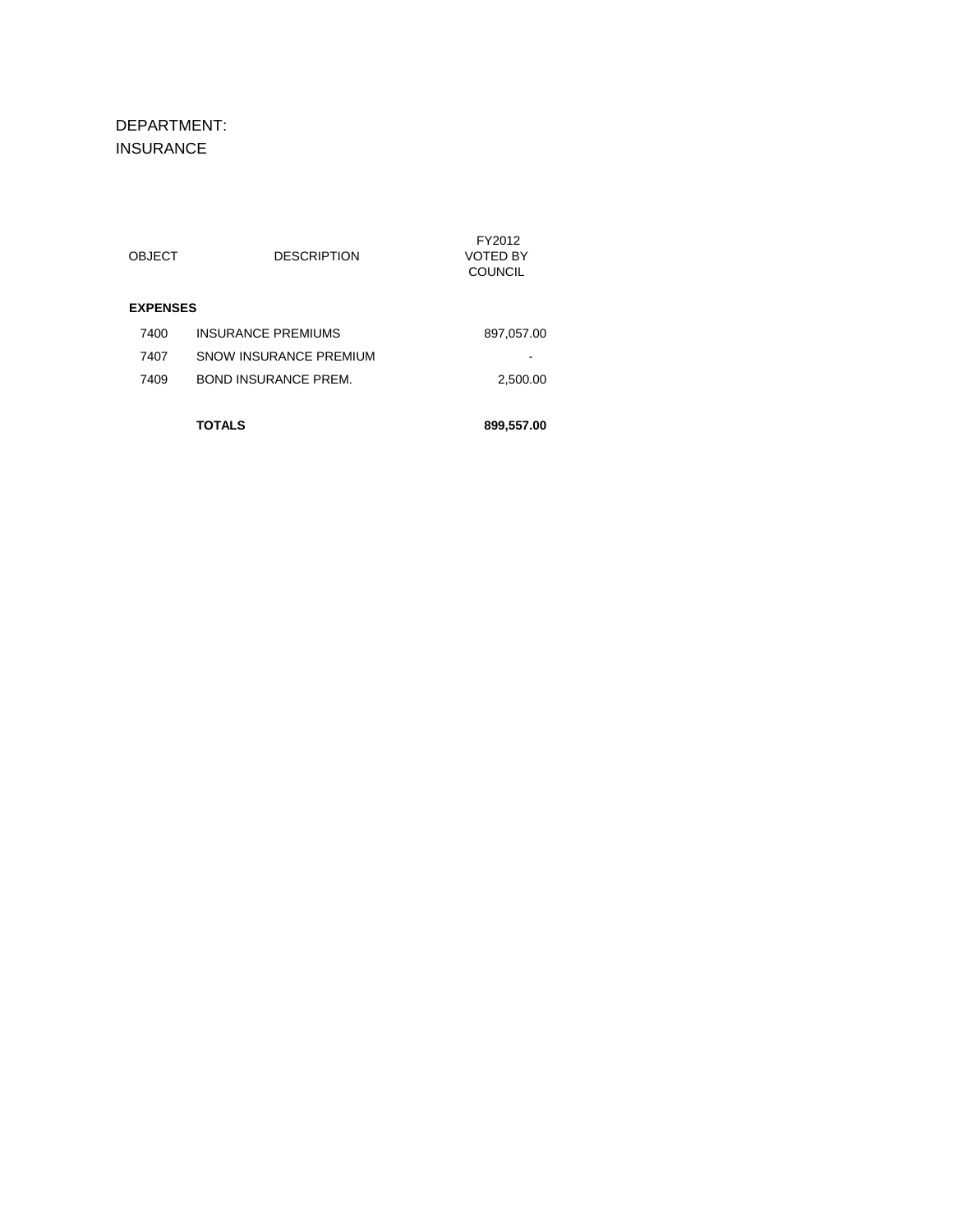DEPARTMENT: INSURANCE

|                 | TOTALS                      | 899,557.00         |
|-----------------|-----------------------------|--------------------|
| 7409            | <b>BOND INSURANCE PREM.</b> | 2,500.00           |
| 7407            | SNOW INSURANCE PREMIUM      |                    |
| 7400            | <b>INSURANCE PREMIUMS</b>   | 897,057.00         |
| <b>EXPENSES</b> |                             |                    |
|                 |                             | <b>COUNCIL</b>     |
| <b>OBJECT</b>   | <b>DESCRIPTION</b>          | FY2012<br>VOTED BY |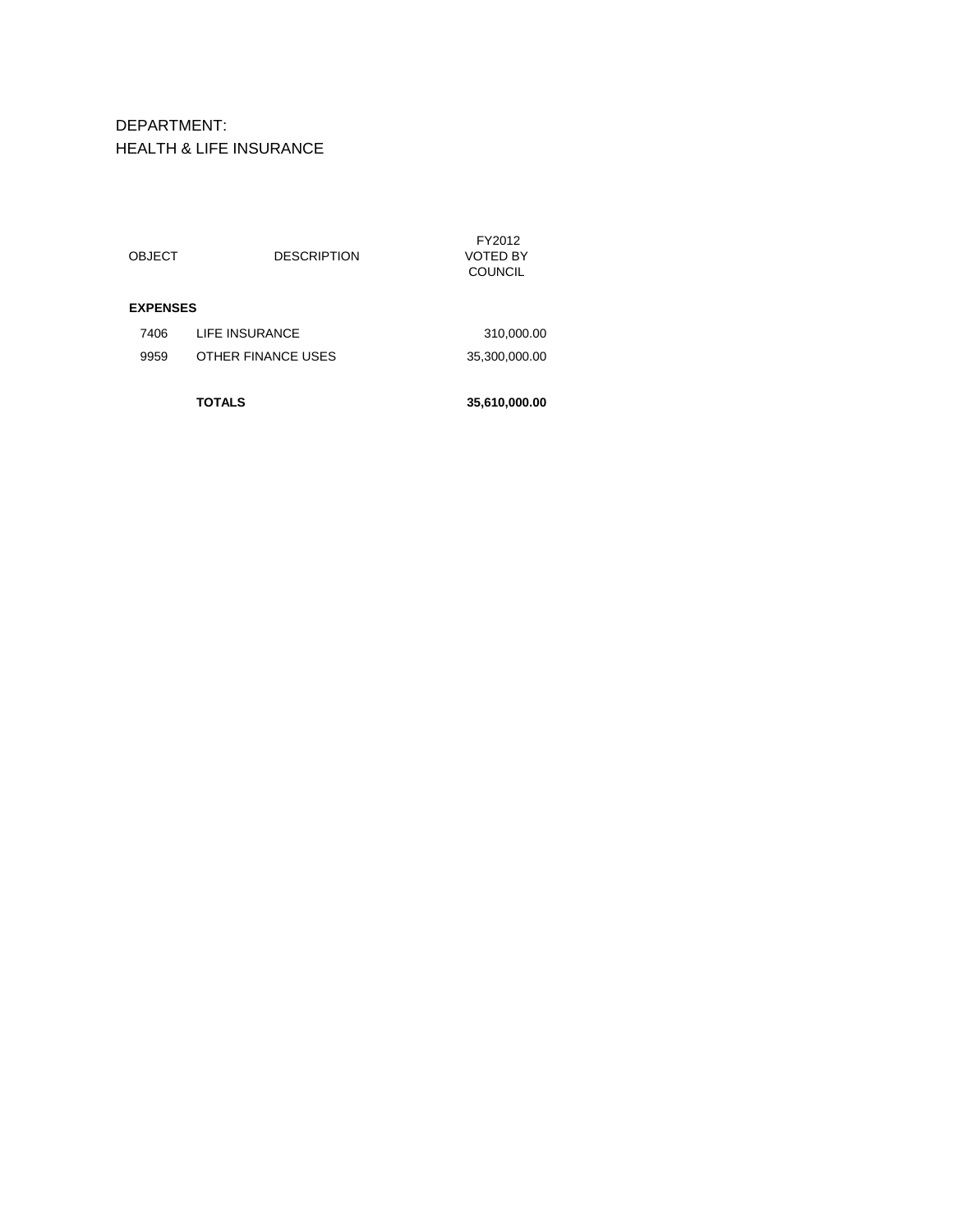### DEPARTMENT: HEALTH & LIFE INSURANCE

|               | TOTALS             | 35,610,000.00                               |
|---------------|--------------------|---------------------------------------------|
| 9959          | OTHER FINANCE USES | 35,300,000.00                               |
| 7406          | LIFE INSURANCE     | 310,000.00                                  |
|               |                    |                                             |
| <b>OBJECT</b> | <b>DESCRIPTION</b> | FY2012<br><b>VOTED BY</b><br><b>COUNCIL</b> |
|               |                    | <b>EXPENSES</b>                             |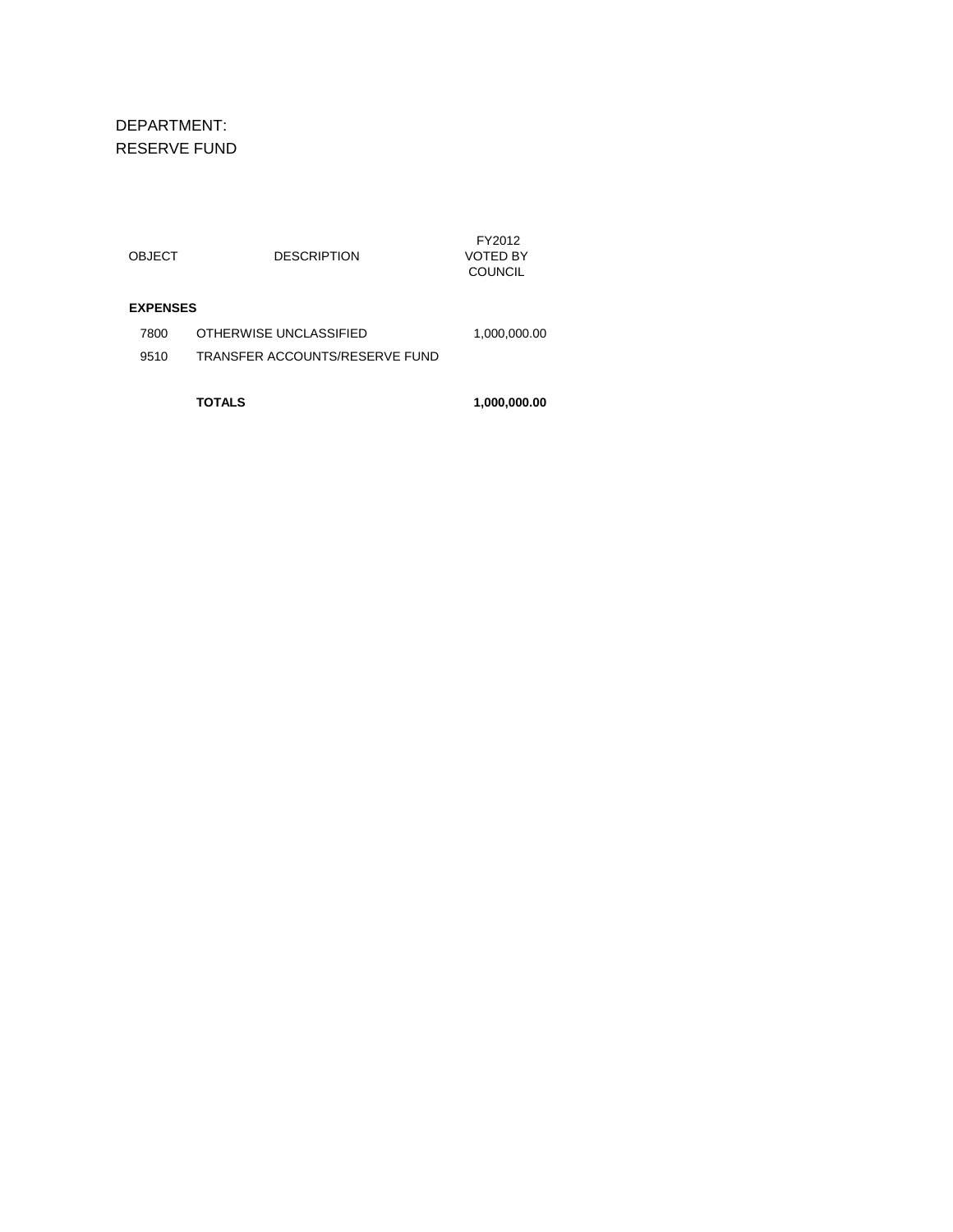DEPARTMENT: RESERVE FUND

|                 | TOTALS                         | 1,000,000.00                         |
|-----------------|--------------------------------|--------------------------------------|
| 9510            | TRANSFER ACCOUNTS/RESERVE FUND |                                      |
| 7800            | OTHERWISE UNCLASSIFIED         | 1,000,000.00                         |
| <b>EXPENSES</b> |                                |                                      |
| OBJECT          | <b>DESCRIPTION</b>             | FY2012<br>VOTED BY<br><b>COUNCIL</b> |
|                 |                                |                                      |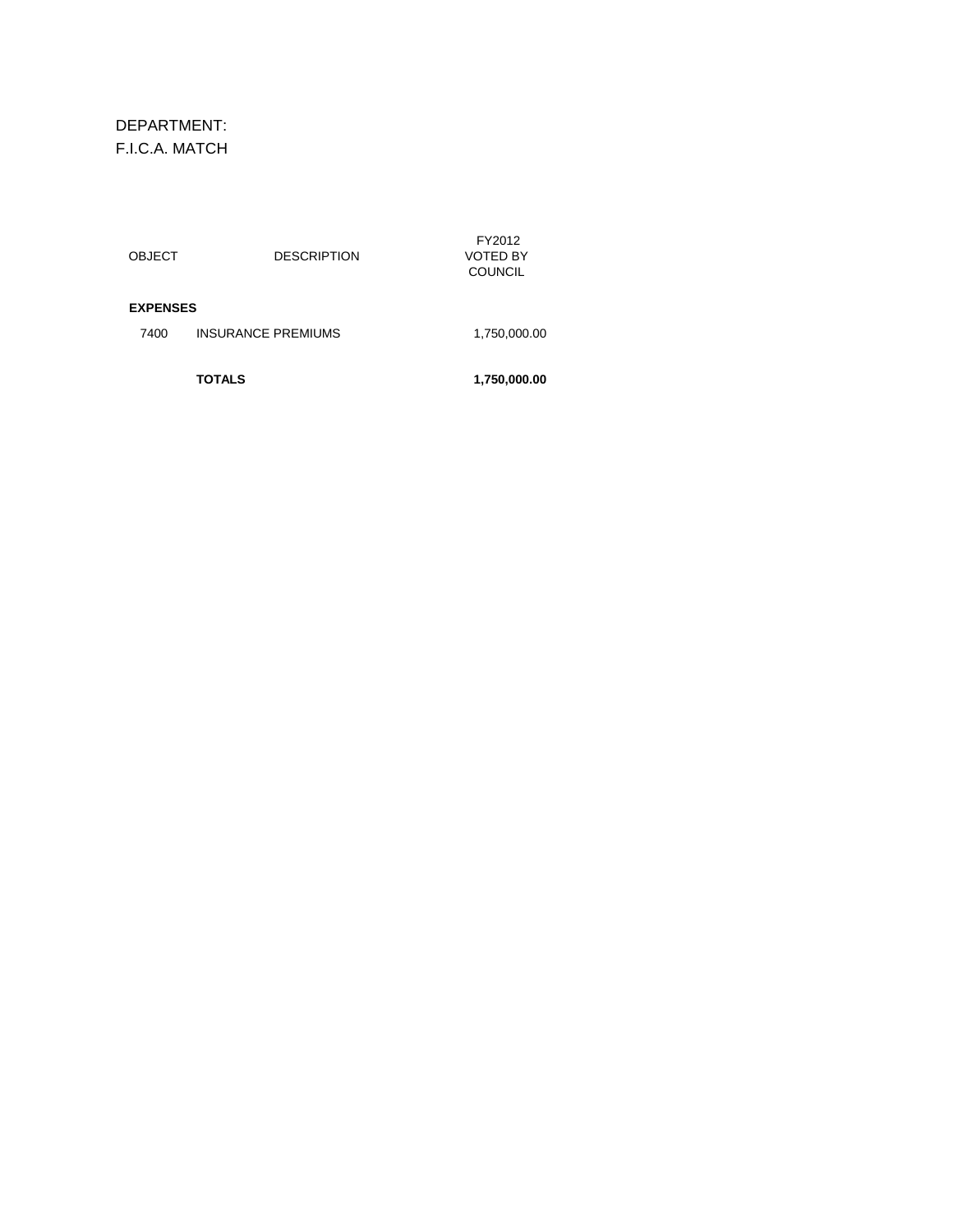DEPARTMENT: F.I.C.A. MATCH

|                 | <b>TOTALS</b>             | 1,750,000.00                                |
|-----------------|---------------------------|---------------------------------------------|
| 7400            | <b>INSURANCE PREMIUMS</b> | 1,750,000.00                                |
| <b>EXPENSES</b> |                           |                                             |
| OBJECT          | <b>DESCRIPTION</b>        | FY2012<br><b>VOTED BY</b><br><b>COUNCIL</b> |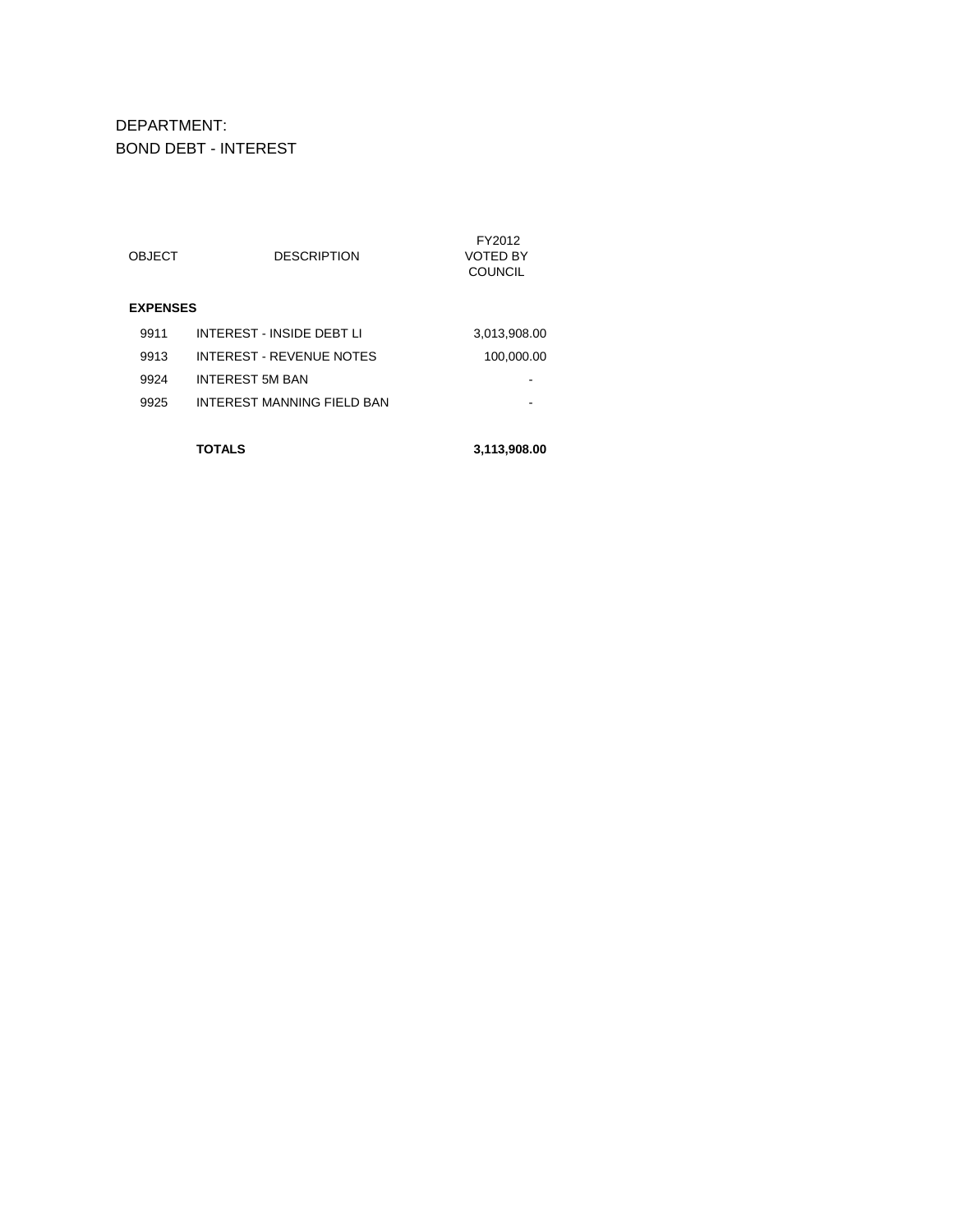DEPARTMENT: BOND DEBT - INTEREST

|                 | <b>OBJECT</b> | <b>DESCRIPTION</b>          | FY2012<br>VOTED BY<br><b>COUNCIL</b> |  |  |
|-----------------|---------------|-----------------------------|--------------------------------------|--|--|
| <b>EXPENSES</b> |               |                             |                                      |  |  |
|                 | 9911          | INTEREST - INSIDE DEBT I I  | 3,013,908.00                         |  |  |
|                 | 9913          | INTEREST - REVENUE NOTES    | 100,000.00                           |  |  |
|                 | 9924          | <b>INTEREST 5M BAN</b>      |                                      |  |  |
|                 | 9925          | INTEREST MANNING FIFI D BAN |                                      |  |  |
|                 |               |                             |                                      |  |  |

**TOTALS 3,113,908.00**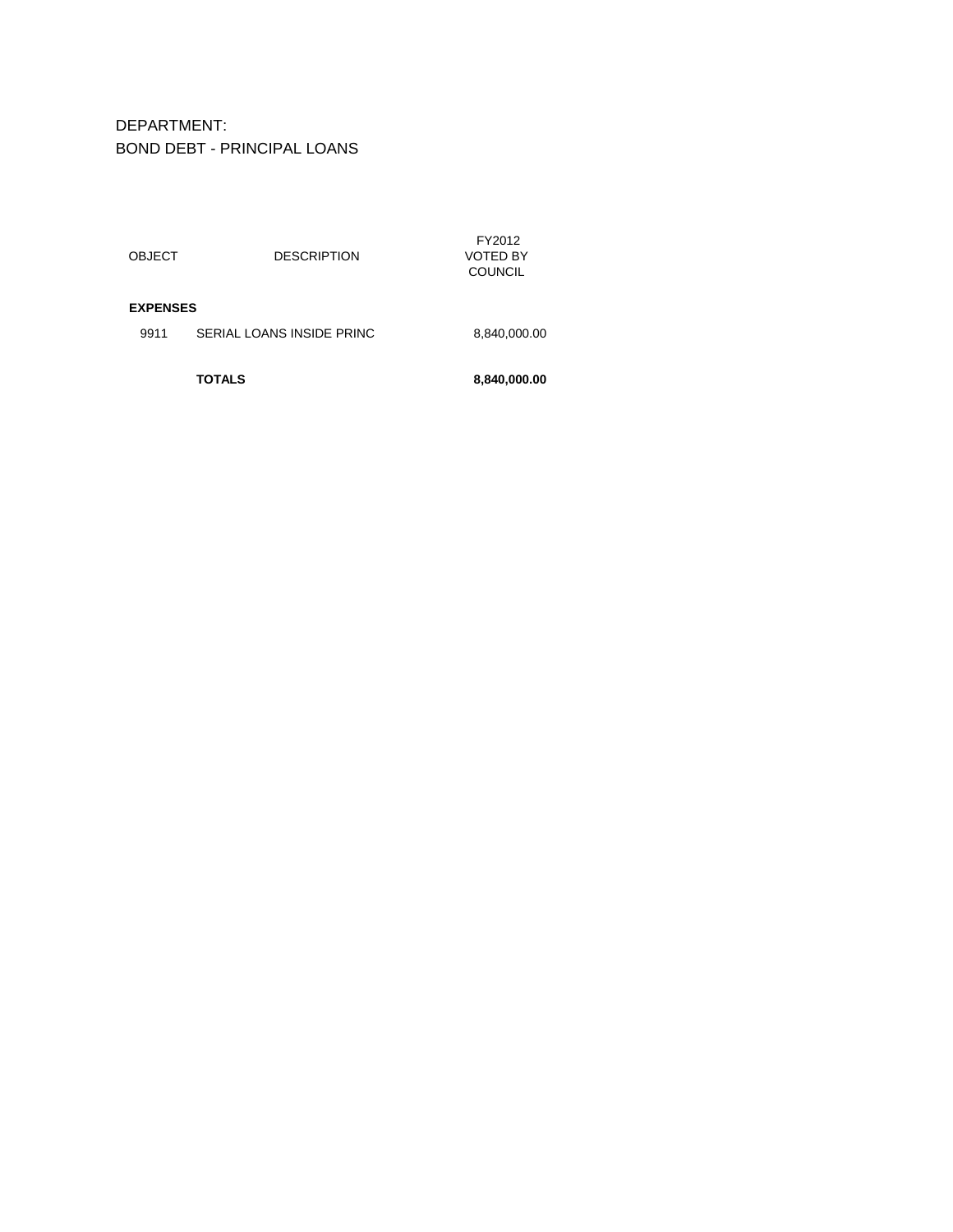DEPARTMENT: BOND DEBT - PRINCIPAL LOANS

| <b>OBJECT</b><br><b>EXPENSES</b> | <b>DESCRIPTION</b>        | <b>VOTED BY</b><br><b>COUNCIL</b> |
|----------------------------------|---------------------------|-----------------------------------|
|                                  |                           |                                   |
| 9911                             | SERIAL LOANS INSIDE PRINC | 8,840,000.00                      |
|                                  |                           |                                   |
|                                  | TOTALS                    | 8,840,000.00                      |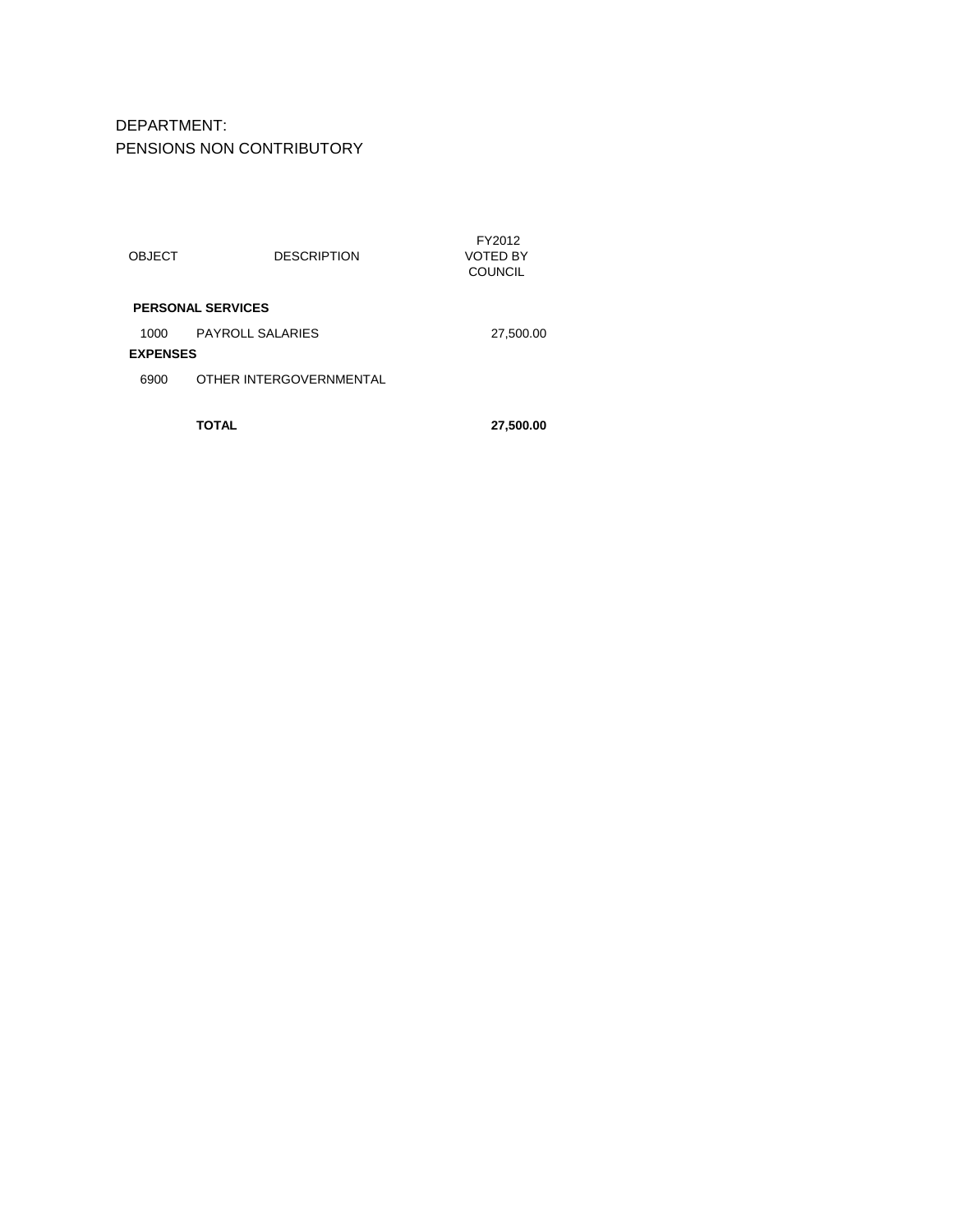DEPARTMENT: PENSIONS NON CONTRIBUTORY

|                          |                         | TOTAL                   | 27,500.00                            |  |  |  |
|--------------------------|-------------------------|-------------------------|--------------------------------------|--|--|--|
|                          | 6900                    | OTHER INTERGOVERNMENTAL |                                      |  |  |  |
|                          | 1000<br><b>EXPENSES</b> | <b>PAYROLL SALARIES</b> | 27,500.00                            |  |  |  |
| <b>PERSONAL SERVICES</b> |                         |                         |                                      |  |  |  |
|                          | <b>OBJECT</b>           | <b>DESCRIPTION</b>      | FY2012<br>VOTED BY<br><b>COUNCIL</b> |  |  |  |